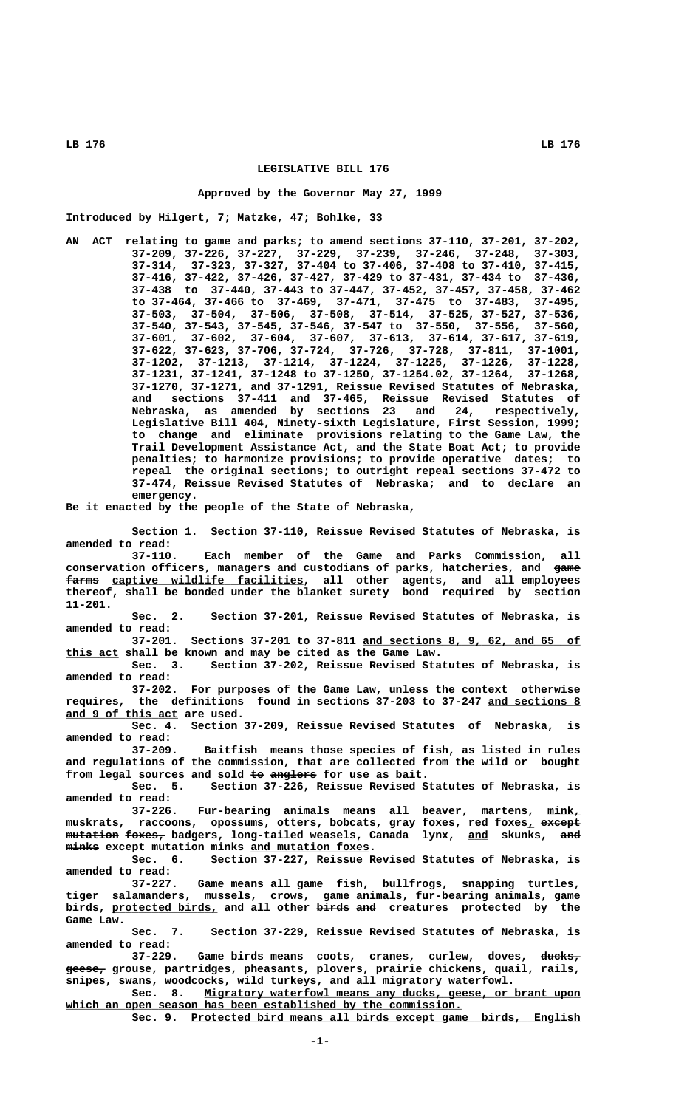## **LEGISLATIVE BILL 176**

### **Approved by the Governor May 27, 1999**

**Introduced by Hilgert, 7; Matzke, 47; Bohlke, 33**

**AN ACT relating to game and parks; to amend sections 37-110, 37-201, 37-202, 37-209, 37-226, 37-227, 37-229, 37-239, 37-246, 37-248, 37-303, 37-314, 37-323, 37-327, 37-404 to 37-406, 37-408 to 37-410, 37-415, 37-416, 37-422, 37-426, 37-427, 37-429 to 37-431, 37-434 to 37-436, 37-438 to 37-440, 37-443 to 37-447, 37-452, 37-457, 37-458, 37-462 to 37-464, 37-466 to 37-469, 37-471, 37-475 to 37-483, 37-495, 37-503, 37-504, 37-506, 37-508, 37-514, 37-525, 37-527, 37-536, 37-540, 37-543, 37-545, 37-546, 37-547 to 37-550, 37-556, 37-560, 37-601, 37-602, 37-604, 37-607, 37-613, 37-614, 37-617, 37-619, 37-622, 37-623, 37-706, 37-724, 37-726, 37-728, 37-811, 37-1001, 37-1202, 37-1213, 37-1214, 37-1224, 37-1225, 37-1226, 37-1228, 37-1231, 37-1241, 37-1248 to 37-1250, 37-1254.02, 37-1264, 37-1268, 37-1270, 37-1271, and 37-1291, Reissue Revised Statutes of Nebraska, and sections 37-411 and 37-465, Reissue Revised Statutes of Nebraska, as amended by sections 23 and 24, respectively, Legislative Bill 404, Ninety-sixth Legislature, First Session, 1999; to change and eliminate provisions relating to the Game Law, the Trail Development Assistance Act, and the State Boat Act; to provide penalties; to harmonize provisions; to provide operative dates; to repeal the original sections; to outright repeal sections 37-472 to 37-474, Reissue Revised Statutes of Nebraska; and to declare an emergency.**

**Be it enacted by the people of the State of Nebraska,**

**Section 1. Section 37-110, Reissue Revised Statutes of Nebraska, is amended to read:**

**37-110. Each member of the Game and Parks Commission, all conservation officers, managers and custodians of parks, hatcheries, and game ———**  $f_{\text{arms}}$  captive wildlife facilities, all other agents, and all employees **thereof, shall be bonded under the blanket surety bond required by section 11-201.**

**Sec. 2. Section 37-201, Reissue Revised Statutes of Nebraska, is amended to read:**

**37-201. Sections 37-201 to 37-811 and sections 8, 9, 62, and 65 of \_\_\_\_\_\_\_\_\_\_\_\_\_\_\_\_\_\_\_\_\_\_\_\_\_\_\_\_\_\_\_\_\_ \_\_\_\_\_\_\_\_ this act shall be known and may be cited as the Game Law.**

**Sec. 3. Section 37-202, Reissue Revised Statutes of Nebraska, is amended to read:**

**37-202. For purposes of the Game Law, unless the context otherwise requires, the definitions found in sections 37-203 to 37-247 and sections 8 \_\_\_\_\_\_\_\_\_\_\_\_\_\_ \_\_\_\_\_\_\_\_\_\_\_\_\_\_\_\_\_ and 9 of this act are used.**

**Sec. 4. Section 37-209, Reissue Revised Statutes of Nebraska, is amended to read:**

**37-209. Baitfish means those species of fish, as listed in rules and regulations of the commission, that are collected from the wild or bought** from legal sources and sold to anglers for use as bait.

**Sec. 5. Section 37-226, Reissue Revised Statutes of Nebraska, is amended to read:**

37-226. Fur-bearing animals means all beaver, martens, mink,  $maxkrats$ , raccoons, opossums, otters, bobcats, gray foxes, red foxes<sub>1</sub> except  $m$ utation foxes, badgers, long-tailed weasels, Canada lynx, and skunks, and  $minks$  except mutation minks and mutation foxes.

**Sec. 6. Section 37-227, Reissue Revised Statutes of Nebraska, is amended to read:**

**37-227. Game means all game fish, bullfrogs, snapping turtles, tiger salamanders, mussels, crows, game animals, fur-bearing animals, game** birds, protected birds, and all other birds and creatures protected by the  **Game Law.**

**Sec. 7. Section 37-229, Reissue Revised Statutes of Nebraska, is amended to read:**

37-229. Game birds means coots, cranes, curlew, doves, ducks<sub>7</sub>  **—————— geese, grouse, partridges, pheasants, plovers, prairie chickens, quail, rails, snipes, swans, woodcocks, wild turkeys, and all migratory waterfowl.**

Sec. 8. Migratory waterfowl means any ducks, geese, or brant upon which an open season has been established by the commission.

 **\_\_\_\_\_\_\_\_\_\_\_\_\_\_\_\_\_\_\_\_\_\_\_\_\_\_\_\_\_\_\_\_\_\_\_\_\_\_\_\_\_\_\_\_\_\_\_\_\_\_\_\_\_\_\_\_\_\_\_ Sec. 9. Protected bird means all birds except game birds, English**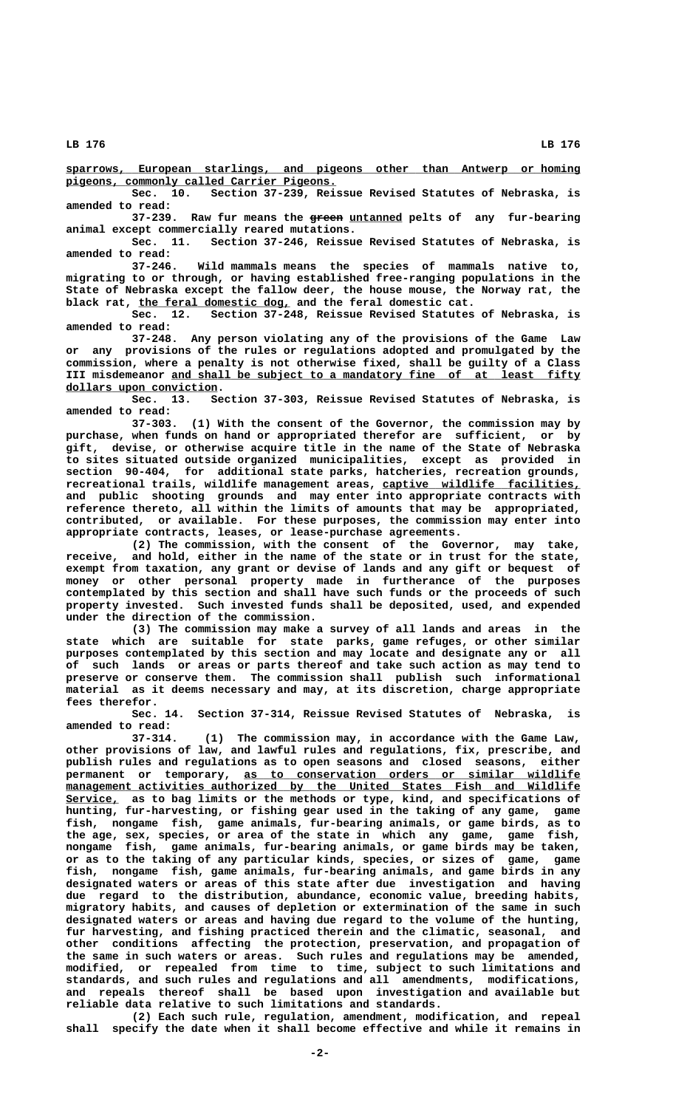**\_\_\_\_\_\_\_\_\_\_\_\_\_\_\_\_\_\_\_\_\_\_\_\_\_\_\_\_\_\_\_\_\_\_\_\_\_\_\_\_\_\_\_\_\_\_\_\_\_\_\_\_\_\_\_\_\_\_\_\_\_\_\_\_\_\_\_\_\_\_\_\_\_\_\_\_\_\_ sparrows, European starlings, and pigeons other than Antwerp or homing \_\_\_\_\_\_\_\_\_\_\_\_\_\_\_\_\_\_\_\_\_\_\_\_\_\_\_\_\_\_\_\_\_\_\_\_\_\_\_\_\_ pigeons, commonly called Carrier Pigeons.**

**Sec. 10. Section 37-239, Reissue Revised Statutes of Nebraska, is amended to read:**

 **————— \_\_\_\_\_\_\_\_ 37-239. Raw fur means the green untanned pelts of any fur-bearing animal except commercially reared mutations.**

**Sec. 11. Section 37-246, Reissue Revised Statutes of Nebraska, is amended to read:**

**37-246. Wild mammals means the species of mammals native to, migrating to or through, or having established free-ranging populations in the State of Nebraska except the fallow deer, the house mouse, the Norway rat, the** black rat, the feral domestic dog, and the feral domestic cat.

**Sec. 12. Section 37-248, Reissue Revised Statutes of Nebraska, is amended to read:**

**37-248. Any person violating any of the provisions of the Game Law or any provisions of the rules or regulations adopted and promulgated by the commission, where a penalty is not otherwise fixed, shall be guilty of a Class** III misdemeanor and shall be subject to a mandatory fine of at least fifty  **\_\_\_\_\_\_\_\_\_\_\_\_\_\_\_\_\_\_\_\_\_\_\_ dollars upon conviction.**

**Sec. 13. Section 37-303, Reissue Revised Statutes of Nebraska, is amended to read:**

**37-303. (1) With the consent of the Governor, the commission may by purchase, when funds on hand or appropriated therefor are sufficient, or by gift, devise, or otherwise acquire title in the name of the State of Nebraska to sites situated outside organized municipalities, except as provided in section 90-404, for additional state parks, hatcheries, recreation grounds, recreational trails, wildlife management areas, captive wildlife facilities, \_\_\_\_\_\_\_\_\_\_\_\_\_\_\_\_\_\_\_\_\_\_\_\_\_\_\_\_\_\_ and public shooting grounds and may enter into appropriate contracts with reference thereto, all within the limits of amounts that may be appropriated, contributed, or available. For these purposes, the commission may enter into appropriate contracts, leases, or lease-purchase agreements.**

**(2) The commission, with the consent of the Governor, may take, receive, and hold, either in the name of the state or in trust for the state, exempt from taxation, any grant or devise of lands and any gift or bequest of money or other personal property made in furtherance of the purposes contemplated by this section and shall have such funds or the proceeds of such property invested. Such invested funds shall be deposited, used, and expended under the direction of the commission.**

**(3) The commission may make a survey of all lands and areas in the state which are suitable for state parks, game refuges, or other similar purposes contemplated by this section and may locate and designate any or all of such lands or areas or parts thereof and take such action as may tend to preserve or conserve them. The commission shall publish such informational material as it deems necessary and may, at its discretion, charge appropriate fees therefor.**

**Sec. 14. Section 37-314, Reissue Revised Statutes of Nebraska, is amended to read:**

**37-314. (1) The commission may, in accordance with the Game Law, other provisions of law, and lawful rules and regulations, fix, prescribe, and publish rules and regulations as to open seasons and closed seasons, either \_\_\_\_\_\_\_\_\_\_\_\_\_\_\_\_\_\_\_\_\_\_\_\_\_\_\_\_\_\_\_\_\_\_\_\_\_\_\_\_\_\_\_\_\_\_\_\_\_\_\_ permanent or temporary, as to conservation orders or similar wildlife**  $m$ anagement activities authorized by the United States Fish and Wildlife  **\_\_\_\_\_\_\_\_ Service, as to bag limits or the methods or type, kind, and specifications of hunting, fur-harvesting, or fishing gear used in the taking of any game, game fish, nongame fish, game animals, fur-bearing animals, or game birds, as to the age, sex, species, or area of the state in which any game, game fish, nongame fish, game animals, fur-bearing animals, or game birds may be taken, or as to the taking of any particular kinds, species, or sizes of game, game fish, nongame fish, game animals, fur-bearing animals, and game birds in any designated waters or areas of this state after due investigation and having due regard to the distribution, abundance, economic value, breeding habits, migratory habits, and causes of depletion or extermination of the same in such designated waters or areas and having due regard to the volume of the hunting, fur harvesting, and fishing practiced therein and the climatic, seasonal, and other conditions affecting the protection, preservation, and propagation of the same in such waters or areas. Such rules and regulations may be amended, modified, or repealed from time to time, subject to such limitations and standards, and such rules and regulations and all amendments, modifications, and repeals thereof shall be based upon investigation and available but reliable data relative to such limitations and standards.**

**(2) Each such rule, regulation, amendment, modification, and repeal shall specify the date when it shall become effective and while it remains in**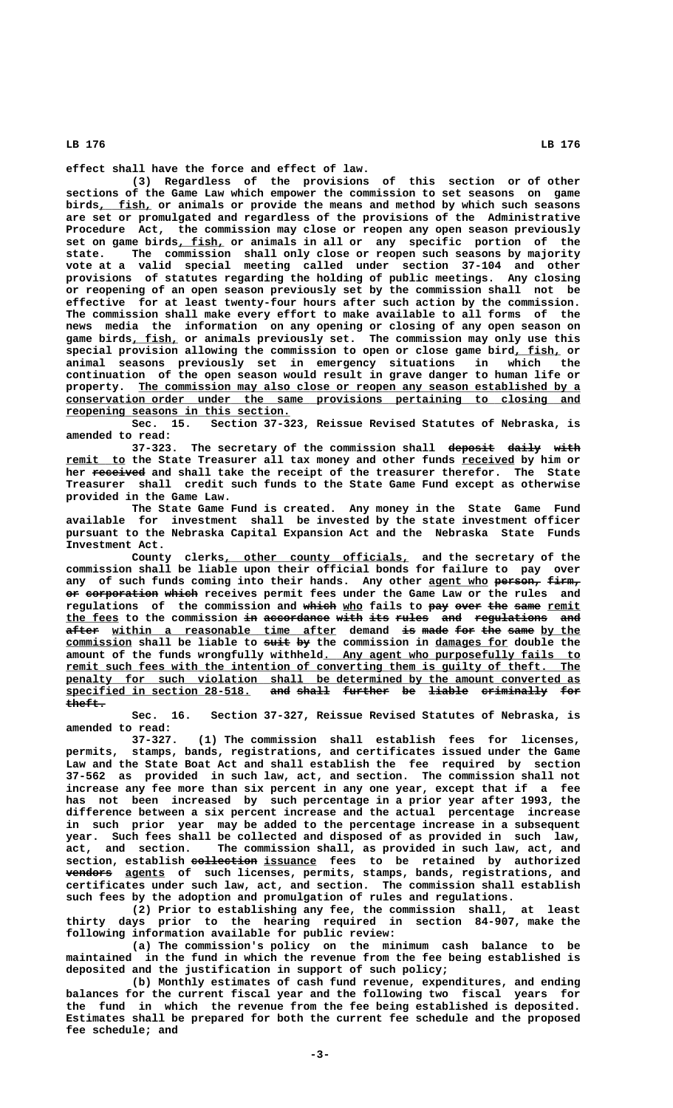**effect shall have the force and effect of law.**

**(3) Regardless of the provisions of this section or of other sections of the Game Law which empower the commission to set seasons on game \_\_\_\_\_\_\_\_ birds, fish, or animals or provide the means and method by which such seasons are set or promulgated and regardless of the provisions of the Administrative Procedure Act, the commission may close or reopen any open season previously \_\_\_\_\_\_\_ set on game birds, fish, or animals in all or any specific portion of the state. The commission shall only close or reopen such seasons by majority vote at a valid special meeting called under section 37-104 and other provisions of statutes regarding the holding of public meetings. Any closing or reopening of an open season previously set by the commission shall not be effective for at least twenty-four hours after such action by the commission. The commission shall make every effort to make available to all forms of the news media the information on any opening or closing of any open season on** game birds, fish, or animals previously set. The commission may only use this special provision allowing the commission to open or close game bird, fish, or **animal seasons previously set in emergency situations in which the continuation of the open season would result in grave danger to human life or** property. The commission may also close or reopen any season established by a  **\_\_\_\_\_\_\_\_\_\_\_\_\_\_\_\_\_\_\_\_\_\_\_\_\_\_\_\_\_\_\_\_\_\_\_\_\_\_\_\_\_\_\_\_\_\_\_\_\_\_\_\_\_\_\_\_\_\_\_\_\_\_\_\_\_\_\_\_\_\_\_\_\_\_\_\_\_\_ conservation order under the same provisions pertaining to closing and \_\_\_\_\_\_\_\_\_\_\_\_\_\_\_\_\_\_\_\_\_\_\_\_\_\_\_\_\_\_\_\_\_\_ reopening seasons in this section.**

**Sec. 15. Section 37-323, Reissue Revised Statutes of Nebraska, is amended to read:**

**37-323.** The secretary of the commission shall deposit daily with remit to the State Treasurer all tax money and other funds received by him or her received and shall take the receipt of the treasurer therefor. The State **Treasurer shall credit such funds to the State Game Fund except as otherwise provided in the Game Law.**

**The State Game Fund is created. Any money in the State Game Fund available for investment shall be invested by the state investment officer pursuant to the Nebraska Capital Expansion Act and the Nebraska State Funds Investment Act.**

County clerks, other county officials, and the secretary of the **commission shall be liable upon their official bonds for failure to pay over** any of such funds coming into their hands. Any other agent who person,  $firm$ ,  $o$ **r** corporation which receives permit fees under the Game Law or the rules and regulations of the commission and which who fails to pay over the same remit the fees to the commission in accordance with its rules and regulations and after within a reasonable time after demand is made for the same by the  **\_\_\_\_\_\_\_\_\_\_ ———— —— \_\_\_\_\_\_\_\_\_\_\_ commission shall be liable to suit by the commission in damages for double the \_\_\_\_\_\_\_\_\_\_\_\_\_\_\_\_\_\_\_\_\_\_\_\_\_\_\_\_\_\_\_\_\_\_\_\_\_\_\_ amount of the funds wrongfully withheld. Any agent who purposefully fails to** remit such fees with the intention of converting them is guilty of theft. The penalty for such violation shall be determined by the amount converted as<br>specified in section 28-518. and shall further be liable criminally for and shall further be liable criminally for  **theft. ——————**

**Sec. 16. Section 37-327, Reissue Revised Statutes of Nebraska, is amended to read:**

**37-327. (1) The commission shall establish fees for licenses, permits, stamps, bands, registrations, and certificates issued under the Game Law and the State Boat Act and shall establish the fee required by section 37-562 as provided in such law, act, and section. The commission shall not increase any fee more than six percent in any one year, except that if a fee has not been increased by such percentage in a prior year after 1993, the difference between a six percent increase and the actual percentage increase in such prior year may be added to the percentage increase in a subsequent year. Such fees shall be collected and disposed of as provided in such law, act, and section. The commission shall, as provided in such law, act, and —————————— \_\_\_\_\_\_\_\_ section, establish collection issuance fees to be retained by authorized ——————— \_\_\_\_\_\_ vendors agents of such licenses, permits, stamps, bands, registrations, and certificates under such law, act, and section. The commission shall establish such fees by the adoption and promulgation of rules and regulations.**

> **(2) Prior to establishing any fee, the commission shall, at least thirty days prior to the hearing required in section 84-907, make the following information available for public review:**

> **(a) The commission's policy on the minimum cash balance to be maintained in the fund in which the revenue from the fee being established is deposited and the justification in support of such policy;**

> **(b) Monthly estimates of cash fund revenue, expenditures, and ending balances for the current fiscal year and the following two fiscal years for the fund in which the revenue from the fee being established is deposited. Estimates shall be prepared for both the current fee schedule and the proposed fee schedule; and**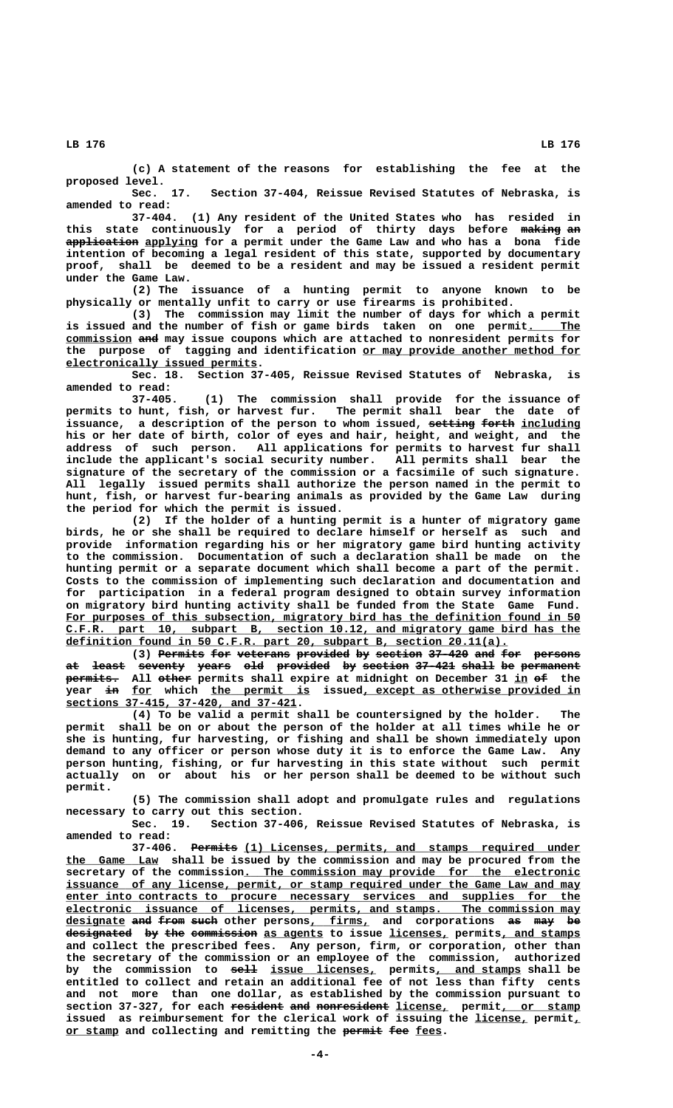**(c) A statement of the reasons for establishing the fee at the proposed level.**

**Sec. 17. Section 37-404, Reissue Revised Statutes of Nebraska, is amended to read:**

**37-404. (1) Any resident of the United States who has resided in this state continuously for a period of thirty days before making an —————— —— ——————————— \_\_\_\_\_\_\_\_ application applying for a permit under the Game Law and who has a bona fide intention of becoming a legal resident of this state, supported by documentary proof, shall be deemed to be a resident and may be issued a resident permit under the Game Law.**

**(2) The issuance of a hunting permit to anyone known to be physically or mentally unfit to carry or use firearms is prohibited.**

**(3) The commission may limit the number of days for which a permit** is issued and the number of fish or game birds taken on one permit. The  **\_\_\_\_\_\_\_\_\_\_ ——— commission and may issue coupons which are attached to nonresident permits for** the purpose of tagging and identification or may provide another method for  **\_\_\_\_\_\_\_\_\_\_\_\_\_\_\_\_\_\_\_\_\_\_\_\_\_\_\_\_\_ electronically issued permits.**

**Sec. 18. Section 37-405, Reissue Revised Statutes of Nebraska, is amended to read:**

**37-405. (1) The commission shall provide for the issuance of permits to hunt, fish, or harvest fur. The permit shall bear the date of** issuance, a description of the person to whom issued, setting forth including **his or her date of birth, color of eyes and hair, height, and weight, and the address of such person. All applications for permits to harvest fur shall include the applicant's social security number. All permits shall bear the signature of the secretary of the commission or a facsimile of such signature. All legally issued permits shall authorize the person named in the permit to hunt, fish, or harvest fur-bearing animals as provided by the Game Law during the period for which the permit is issued.**

**(2) If the holder of a hunting permit is a hunter of migratory game birds, he or she shall be required to declare himself or herself as such and provide information regarding his or her migratory game bird hunting activity to the commission. Documentation of such a declaration shall be made on the hunting permit or a separate document which shall become a part of the permit. Costs to the commission of implementing such declaration and documentation and for participation in a federal program designed to obtain survey information on migratory bird hunting activity shall be funded from the State Game Fund.** For purposes of this subsection, migratory bird has the definition found in 50  **\_\_\_\_\_\_\_\_\_\_\_\_\_\_\_\_\_\_\_\_\_\_\_\_\_\_\_\_\_\_\_\_\_\_\_\_\_\_\_\_\_\_\_\_\_\_\_\_\_\_\_\_\_\_\_\_\_\_\_\_\_\_\_\_\_\_\_\_\_\_\_\_\_\_\_\_\_\_ C.F.R. part 10, subpart B, section 10.12, and migratory game bird has the \_\_\_\_\_\_\_\_\_\_\_\_\_\_\_\_\_\_\_\_\_\_\_\_\_\_\_\_\_\_\_\_\_\_\_\_\_\_\_\_\_\_\_\_\_\_\_\_\_\_\_\_\_\_\_\_\_\_\_\_\_\_\_\_\_\_\_ definition found in 50 C.F.R. part 20, subpart B, section 20.11(a).**

(3) Permits for veterans provided by section 37-420 and for persons at least seventy years old provided by section 37-421 shall be permanent  **———————— ————— \_\_ —— permits. All other permits shall expire at midnight on December 31 in of the —— \_\_\_ \_\_\_\_\_\_\_\_\_\_\_\_\_\_\_ \_\_\_\_\_\_\_\_\_\_\_\_\_\_\_\_\_\_\_\_\_\_\_\_\_\_\_\_\_\_\_\_\_ year in for which the permit is issued, except as otherwise provided in \_\_\_\_\_\_\_\_\_\_\_\_\_\_\_\_\_\_\_\_\_\_\_\_\_\_\_\_\_\_\_\_\_\_\_ sections 37-415, 37-420, and 37-421.**

**(4) To be valid a permit shall be countersigned by the holder. The permit shall be on or about the person of the holder at all times while he or she is hunting, fur harvesting, or fishing and shall be shown immediately upon demand to any officer or person whose duty it is to enforce the Game Law. Any person hunting, fishing, or fur harvesting in this state without such permit actually on or about his or her person shall be deemed to be without such permit.**

**(5) The commission shall adopt and promulgate rules and regulations necessary to carry out this section.**

**Sec. 19. Section 37-406, Reissue Revised Statutes of Nebraska, is amended to read:**

37-406. Permits (1) Licenses, permits, and stamps required under  **\_\_\_\_\_\_\_\_\_\_\_\_\_\_ the Game Law shall be issued by the commission and may be procured from the \_\_\_\_\_\_\_\_\_\_\_\_\_\_\_\_\_\_\_\_\_\_\_\_\_\_\_\_\_\_\_\_\_\_\_\_\_\_\_\_\_\_\_\_\_\_\_\_\_\_\_ secretary of the commission. The commission may provide for the electronic** issuance of any license, permit, or stamp required under the Game Law and may  **\_\_\_\_\_\_\_\_\_\_\_\_\_\_\_\_\_\_\_\_\_\_\_\_\_\_\_\_\_\_\_\_\_\_\_\_\_\_\_\_\_\_\_\_\_\_\_\_\_\_\_\_\_\_\_\_\_\_\_\_\_\_\_\_\_\_\_\_\_\_\_\_\_\_\_\_\_\_ enter into contracts to procure necessary services and supplies for the \_\_\_\_\_\_\_\_\_\_\_\_\_\_\_\_\_\_\_\_\_\_\_\_\_\_\_\_\_\_\_\_\_\_\_\_\_\_\_\_\_\_\_\_\_\_\_\_\_\_\_\_\_\_\_\_\_\_\_\_\_\_\_\_\_\_\_\_\_\_\_\_\_\_\_\_\_\_ electronic issuance of licenses, permits, and stamps. The commission may designate and from such other persons, firms, and corporations as may be \_\_\_\_\_\_\_\_\_ ——— ———— ———— \_\_\_\_\_\_\_\_\_ —— ——— —** designated by the commission as agents to issue licenses, permits, and stamps **and collect the prescribed fees. Any person, firm, or corporation, other than the secretary of the commission or an employee of the commission, authorized** by the commission to sell issue licenses, permits, and stamps shall be **entitled to collect and retain an additional fee of not less than fifty cents and not more than one dollar, as established by the commission pursuant to** section 37-327, for each <del>resident</del> and nonresident license, permit, or stamp issued as reimbursement for the clerical work of issuing the *license*, permit, or stamp and collecting and remitting the permit fee fees.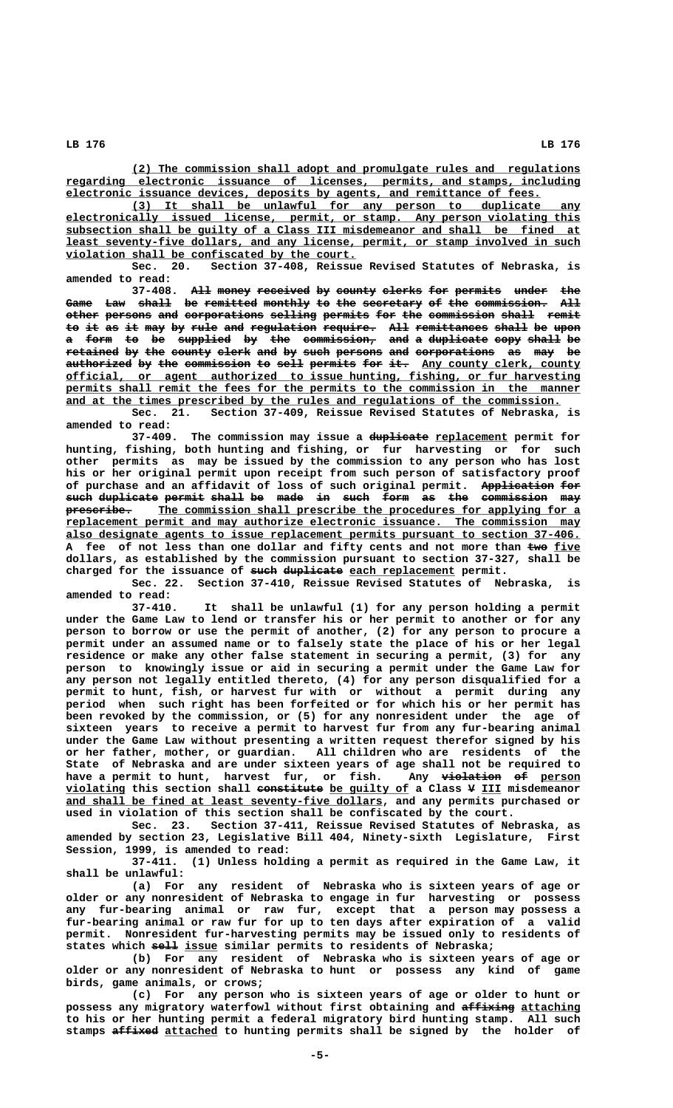**\_\_\_\_\_\_\_\_\_\_\_\_\_\_\_\_\_\_\_\_\_\_\_\_\_\_\_\_\_\_\_\_\_\_\_\_\_\_\_\_\_\_\_\_\_\_\_\_\_\_\_\_\_\_\_\_\_\_\_\_\_\_\_\_\_\_\_\_ (2) The commission shall adopt and promulgate rules and regulations \_\_\_\_\_\_\_\_\_\_\_\_\_\_\_\_\_\_\_\_\_\_\_\_\_\_\_\_\_\_\_\_\_\_\_\_\_\_\_\_\_\_\_\_\_\_\_\_\_\_\_\_\_\_\_\_\_\_\_\_\_\_\_\_\_\_\_\_\_\_\_\_\_\_\_\_\_\_ regarding electronic issuance of licenses, permits, and stamps, including \_\_\_\_\_\_\_\_\_\_\_\_\_\_\_\_\_\_\_\_\_\_\_\_\_\_\_\_\_\_\_\_\_\_\_\_\_\_\_\_\_\_\_\_\_\_\_\_\_\_\_\_\_\_\_\_\_\_\_\_\_\_\_\_\_\_\_\_\_\_\_\_ electronic issuance devices, deposits by agents, and remittance of fees.**

 **\_\_\_\_\_\_\_\_\_\_\_\_\_\_\_\_\_\_\_\_\_\_\_\_\_\_\_\_\_\_\_\_\_\_\_\_\_\_\_\_\_\_\_\_\_\_\_\_\_\_\_\_\_\_\_\_\_\_\_\_\_\_\_\_\_\_\_\_ (3) It shall be unlawful for any person to duplicate any \_\_\_\_\_\_\_\_\_\_\_\_\_\_\_\_\_\_\_\_\_\_\_\_\_\_\_\_\_\_\_\_\_\_\_\_\_\_\_\_\_\_\_\_\_\_\_\_\_\_\_\_\_\_\_\_\_\_\_\_\_\_\_\_\_\_\_\_\_\_\_\_\_\_\_\_\_\_ electronically issued license, permit, or stamp. Any person violating this \_\_\_\_\_\_\_\_\_\_\_\_\_\_\_\_\_\_\_\_\_\_\_\_\_\_\_\_\_\_\_\_\_\_\_\_\_\_\_\_\_\_\_\_\_\_\_\_\_\_\_\_\_\_\_\_\_\_\_\_\_\_\_\_\_\_\_\_\_\_\_\_\_\_\_\_\_\_ subsection shall be guilty of a Class III misdemeanor and shall be fined at \_\_\_\_\_\_\_\_\_\_\_\_\_\_\_\_\_\_\_\_\_\_\_\_\_\_\_\_\_\_\_\_\_\_\_\_\_\_\_\_\_\_\_\_\_\_\_\_\_\_\_\_\_\_\_\_\_\_\_\_\_\_\_\_\_\_\_\_\_\_\_\_\_\_\_\_\_\_ least seventy-five dollars, and any license, permit, or stamp involved in such \_\_\_\_\_\_\_\_\_\_\_\_\_\_\_\_\_\_\_\_\_\_\_\_\_\_\_\_\_\_\_\_\_\_\_\_\_\_\_\_\_\_\_\_ violation shall be confiscated by the court.**

**Sec. 20. Section 37-408, Reissue Revised Statutes of Nebraska, is amended to read:**

**37-408.** All money received by county clerks for permits under the Game Law shall be remitted monthly to the secretary of the commission. All other persons and corporations selling permits for the commission shall remit to it as it may by rule and regulation require. All remittances shall be upon a form to be supplied by the commission, and a duplicate copy shall be retained by the county clerk and by such persons and corporations as may be authorized by the commission to sell permits for it. Any county clerk, county  **\_\_\_\_\_\_\_\_\_\_\_\_\_\_\_\_\_\_\_\_\_\_\_\_\_\_\_\_\_\_\_\_\_\_\_\_\_\_\_\_\_\_\_\_\_\_\_\_\_\_\_\_\_\_\_\_\_\_\_\_\_\_\_\_\_\_\_\_\_\_\_\_\_\_\_\_\_\_ official, or agent authorized to issue hunting, fishing, or fur harvesting** permits shall remit the fees for the permits to the commission in the manner and at the times prescribed by the rules and regulations of the commission.

**Sec. 21. Section 37-409, Reissue Revised Statutes of Nebraska, is amended to read:**

37-409. The commission may issue a duplicate replacement permit for **hunting, fishing, both hunting and fishing, or fur harvesting or for such other permits as may be issued by the commission to any person who has lost his or her original permit upon receipt from such person of satisfactory proof** of purchase and an affidavit of loss of such original permit. App<del>lication</del> <del>for</del> such duplicate permit shall be made in such form as the commission may  $prescripter$ ibe. The commission shall prescribe the procedures for applying for a  **\_\_\_\_\_\_\_\_\_\_\_\_\_\_\_\_\_\_\_\_\_\_\_\_\_\_\_\_\_\_\_\_\_\_\_\_\_\_\_\_\_\_\_\_\_\_\_\_\_\_\_\_\_\_\_\_\_\_\_\_\_\_\_\_\_\_\_\_\_\_\_\_\_\_\_\_\_\_ replacement permit and may authorize electronic issuance. The commission may \_\_\_\_\_\_\_\_\_\_\_\_\_\_\_\_\_\_\_\_\_\_\_\_\_\_\_\_\_\_\_\_\_\_\_\_\_\_\_\_\_\_\_\_\_\_\_\_\_\_\_\_\_\_\_\_\_\_\_\_\_\_\_\_\_\_\_\_\_\_\_\_\_\_\_\_\_\_ also designate agents to issue replacement permits pursuant to section 37-406.** A fee of not less than one dollar and fifty cents and not more than two five **dollars, as established by the commission pursuant to section 37-327, shall be** charged for the issuance of such duplicate each replacement permit.

**Sec. 22. Section 37-410, Reissue Revised Statutes of Nebraska, is amended to read:**

**37-410. It shall be unlawful (1) for any person holding a permit under the Game Law to lend or transfer his or her permit to another or for any person to borrow or use the permit of another, (2) for any person to procure a permit under an assumed name or to falsely state the place of his or her legal residence or make any other false statement in securing a permit, (3) for any person to knowingly issue or aid in securing a permit under the Game Law for any person not legally entitled thereto, (4) for any person disqualified for a permit to hunt, fish, or harvest fur with or without a permit during any period when such right has been forfeited or for which his or her permit has been revoked by the commission, or (5) for any nonresident under the age of sixteen years to receive a permit to harvest fur from any fur-bearing animal under the Game Law without presenting a written request therefor signed by his or her father, mother, or guardian. All children who are residents of the State of Nebraska and are under sixteen years of age shall not be required to** have a permit to hunt, harvest fur, or fish. Any violation of person  **\_\_\_\_\_\_\_\_\_ —————————— \_\_\_\_\_\_\_\_\_\_\_\_ — \_\_\_ violating this section shall constitute be guilty of a Class V III misdemeanor \_\_\_\_\_\_\_\_\_\_\_\_\_\_\_\_\_\_\_\_\_\_\_\_\_\_\_\_\_\_\_\_\_\_\_\_\_\_\_\_\_\_\_\_\_\_\_\_ and shall be fined at least seventy-five dollars, and any permits purchased or used in violation of this section shall be confiscated by the court.**

**Sec. 23. Section 37-411, Reissue Revised Statutes of Nebraska, as amended by section 23, Legislative Bill 404, Ninety-sixth Legislature, First Session, 1999, is amended to read:**

**37-411. (1) Unless holding a permit as required in the Game Law, it shall be unlawful:**

**(a) For any resident of Nebraska who is sixteen years of age or older or any nonresident of Nebraska to engage in fur harvesting or possess any fur-bearing animal or raw fur, except that a person may possess a fur-bearing animal or raw fur for up to ten days after expiration of a valid permit. Nonresident fur-harvesting permits may be issued only to residents of** states which sell issue similar permits to residents of Nebraska;

**(b) For any resident of Nebraska who is sixteen years of age or older or any nonresident of Nebraska to hunt or possess any kind of game birds, game animals, or crows;**

**(c) For any person who is sixteen years of age or older to hunt or** possess any migratory waterfowl without first obtaining and affixing attaching **to his or her hunting permit a federal migratory bird hunting stamp. All such** stamps affixed attached to hunting permits shall be signed by the holder of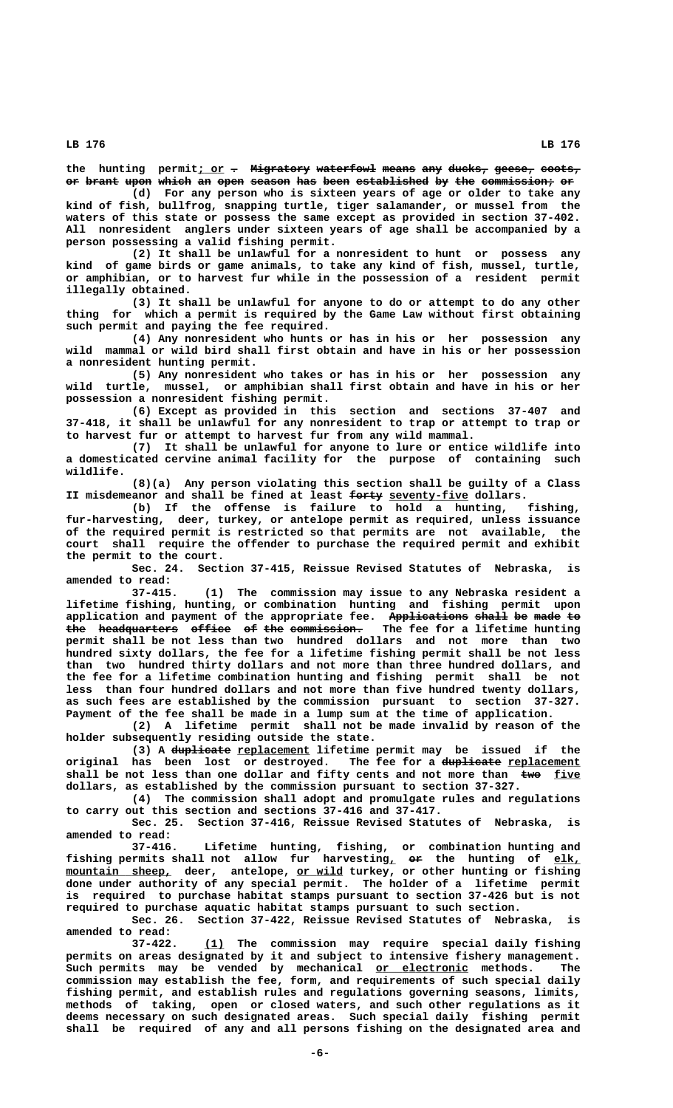the hunting permit<sub>i</sub> or  $\tau$  Migratory waterfowl means any ducks, geese, coots, or brant upon which an open season has been established by the commission, or

**(d) For any person who is sixteen years of age or older to take any kind of fish, bullfrog, snapping turtle, tiger salamander, or mussel from the waters of this state or possess the same except as provided in section 37-402. All nonresident anglers under sixteen years of age shall be accompanied by a person possessing a valid fishing permit.**

**(2) It shall be unlawful for a nonresident to hunt or possess any kind of game birds or game animals, to take any kind of fish, mussel, turtle, or amphibian, or to harvest fur while in the possession of a resident permit illegally obtained.**

**(3) It shall be unlawful for anyone to do or attempt to do any other thing for which a permit is required by the Game Law without first obtaining such permit and paying the fee required.**

**(4) Any nonresident who hunts or has in his or her possession any wild mammal or wild bird shall first obtain and have in his or her possession a nonresident hunting permit.**

**(5) Any nonresident who takes or has in his or her possession any wild turtle, mussel, or amphibian shall first obtain and have in his or her possession a nonresident fishing permit.**

**(6) Except as provided in this section and sections 37-407 and 37-418, it shall be unlawful for any nonresident to trap or attempt to trap or to harvest fur or attempt to harvest fur from any wild mammal.**

**(7) It shall be unlawful for anyone to lure or entice wildlife into a domesticated cervine animal facility for the purpose of containing such wildlife.**

**(8)(a) Any person violating this section shall be guilty of a Class** II misdemeanor and shall be fined at least  $\frac{6}{100}$  seventy-five dollars.

**(b) If the offense is failure to hold a hunting, fishing, fur-harvesting, deer, turkey, or antelope permit as required, unless issuance of the required permit is restricted so that permits are not available, the court shall require the offender to purchase the required permit and exhibit the permit to the court.**

**Sec. 24. Section 37-415, Reissue Revised Statutes of Nebraska, is amended to read:**

**37-415. (1) The commission may issue to any Nebraska resident a lifetime fishing, hunting, or combination hunting and fishing permit upon** application and payment of the appropriate fee. Applications shall be made to **the headquarters office of the commission. The fee for a lifetime hunting ——— ———————————— —————— —— ——— —————————— permit shall be not less than two hundred dollars and not more than two hundred sixty dollars, the fee for a lifetime fishing permit shall be not less than two hundred thirty dollars and not more than three hundred dollars, and the fee for a lifetime combination hunting and fishing permit shall be not less than four hundred dollars and not more than five hundred twenty dollars, as such fees are established by the commission pursuant to section 37-327. Payment of the fee shall be made in a lump sum at the time of application.**

**(2) A lifetime permit shall not be made invalid by reason of the holder subsequently residing outside the state.**

(3) A duplicate replacement lifetime permit may be issued if the original has been lost or destroyed. The fee for a duplicate replacement shall be not less than one dollar and fifty cents and not more than  $\frac{E}{\text{true}}$ **dollars, as established by the commission pursuant to section 37-327.**

**(4) The commission shall adopt and promulgate rules and regulations to carry out this section and sections 37-416 and 37-417.**

**Sec. 25. Section 37-416, Reissue Revised Statutes of Nebraska, is amended to read:**

Lifetime hunting, fishing, or combination hunting and fishing permits shall not allow fur harvesting<sub>L</sub>  $er$  the hunting of  $elk$ ,  $\frac{1}{2}$  **mountain** sheep, deer, antelope, or wild turkey, or other hunting or fishing **done under authority of any special permit. The holder of a lifetime permit is required to purchase habitat stamps pursuant to section 37-426 but is not required to purchase aquatic habitat stamps pursuant to such section.**

**Sec. 26. Section 37-422, Reissue Revised Statutes of Nebraska, is amended to read:**

 **\_\_\_ 37-422. (1) The commission may require special daily fishing permits on areas designated by it and subject to intensive fishery management.** Such permits may be vended by mechanical <u>or electronic</u> methods. The **commission may establish the fee, form, and requirements of such special daily fishing permit, and establish rules and regulations governing seasons, limits, methods of taking, open or closed waters, and such other regulations as it deems necessary on such designated areas. Such special daily fishing permit shall be required of any and all persons fishing on the designated area and**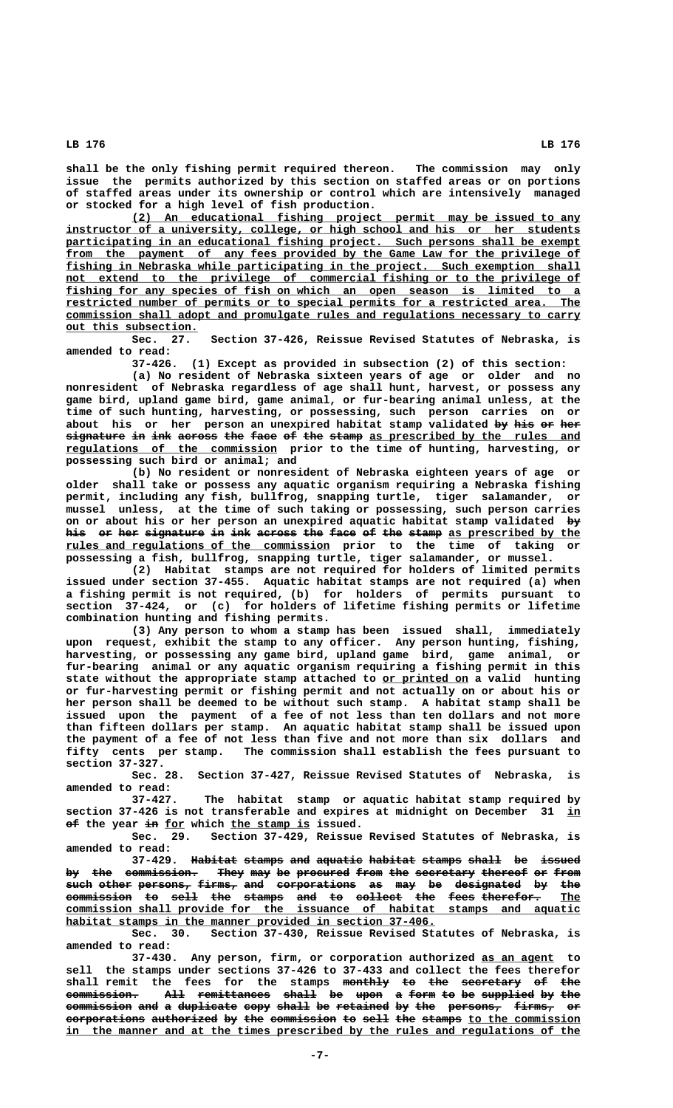**shall be the only fishing permit required thereon. The commission may only issue the permits authorized by this section on staffed areas or on portions**

**or stocked for a high level of fish production. \_\_\_\_\_\_\_\_\_\_\_\_\_\_\_\_\_\_\_\_\_\_\_\_\_\_\_\_\_\_\_\_\_\_\_\_\_\_\_\_\_\_\_\_\_\_\_\_\_\_\_\_\_\_\_\_\_\_\_\_\_\_\_\_\_\_\_\_ (2) An educational fishing project permit may be issued to any \_\_\_\_\_\_\_\_\_\_\_\_\_\_\_\_\_\_\_\_\_\_\_\_\_\_\_\_\_\_\_\_\_\_\_\_\_\_\_\_\_\_\_\_\_\_\_\_\_\_\_\_\_\_\_\_\_\_\_\_\_\_\_\_\_\_\_\_\_\_\_\_\_\_\_\_\_\_ instructor of a university, college, or high school and his or her students** participating in an educational fishing project. Such persons shall be exempt from the payment of any fees provided by the Game Law for the privilege of  **\_\_\_\_\_\_\_\_\_\_\_\_\_\_\_\_\_\_\_\_\_\_\_\_\_\_\_\_\_\_\_\_\_\_\_\_\_\_\_\_\_\_\_\_\_\_\_\_\_\_\_\_\_\_\_\_\_\_\_\_\_\_\_\_\_\_\_\_\_\_\_\_\_\_\_\_\_\_ fishing in Nebraska while participating in the project. Such exemption shall \_\_\_\_\_\_\_\_\_\_\_\_\_\_\_\_\_\_\_\_\_\_\_\_\_\_\_\_\_\_\_\_\_\_\_\_\_\_\_\_\_\_\_\_\_\_\_\_\_\_\_\_\_\_\_\_\_\_\_\_\_\_\_\_\_\_\_\_\_\_\_\_\_\_\_\_\_\_ not extend to the privilege of commercial fishing or to the privilege of \_\_\_\_\_\_\_\_\_\_\_\_\_\_\_\_\_\_\_\_\_\_\_\_\_\_\_\_\_\_\_\_\_\_\_\_\_\_\_\_\_\_\_\_\_\_\_\_\_\_\_\_\_\_\_\_\_\_\_\_\_\_\_\_\_\_\_\_\_\_\_\_\_\_\_\_\_\_ fishing for any species of fish on which an open season is limited to a \_\_\_\_\_\_\_\_\_\_\_\_\_\_\_\_\_\_\_\_\_\_\_\_\_\_\_\_\_\_\_\_\_\_\_\_\_\_\_\_\_\_\_\_\_\_\_\_\_\_\_\_\_\_\_\_\_\_\_\_\_\_\_\_\_\_\_\_\_\_\_\_\_\_\_\_\_\_ restricted number of permits or to special permits for a restricted area. The \_\_\_\_\_\_\_\_\_\_\_\_\_\_\_\_\_\_\_\_\_\_\_\_\_\_\_\_\_\_\_\_\_\_\_\_\_\_\_\_\_\_\_\_\_\_\_\_\_\_\_\_\_\_\_\_\_\_\_\_\_\_\_\_\_\_\_\_\_\_\_\_\_\_\_\_\_\_ commission shall adopt and promulgate rules and regulations necessary to carry \_\_\_\_\_\_\_\_\_\_\_\_\_\_\_\_\_\_\_\_ out this subsection.**

**of staffed areas under its ownership or control which are intensively managed**

**Sec. 27. Section 37-426, Reissue Revised Statutes of Nebraska, is amended to read:**

**37-426. (1) Except as provided in subsection (2) of this section: (a) No resident of Nebraska sixteen years of age or older and no nonresident of Nebraska regardless of age shall hunt, harvest, or possess any game bird, upland game bird, game animal, or fur-bearing animal unless, at the time of such hunting, harvesting, or possessing, such person carries on or** about his or her person an unexpired habitat stamp validated by his or her  $\mathop{\mathtt{sigmoid}}$  in ink across the face of the stamp <u>as prescribed by the rules and</u>  **\_\_\_\_\_\_\_\_\_\_\_\_\_\_\_\_\_\_\_\_\_\_\_\_\_\_\_\_\_\_\_\_ regulations of the commission prior to the time of hunting, harvesting, or possessing such bird or animal; and**

**(b) No resident or nonresident of Nebraska eighteen years of age or older shall take or possess any aquatic organism requiring a Nebraska fishing permit, including any fish, bullfrog, snapping turtle, tiger salamander, or mussel unless, at the time of such taking or possessing, such person carries on or about his or her person an unexpired aquatic habitat stamp validated by—** his or her signature in ink across the face of the stamp as prescribed by the  **\_\_\_\_\_\_\_\_\_\_\_\_\_\_\_\_\_\_\_\_\_\_\_\_\_\_\_\_\_\_\_\_\_\_\_\_\_\_\_\_ rules and regulations of the commission prior to the time of taking or possessing a fish, bullfrog, snapping turtle, tiger salamander, or mussel.**

**(2) Habitat stamps are not required for holders of limited permits issued under section 37-455. Aquatic habitat stamps are not required (a) when a fishing permit is not required, (b) for holders of permits pursuant to section 37-424, or (c) for holders of lifetime fishing permits or lifetime combination hunting and fishing permits.**

**(3) Any person to whom a stamp has been issued shall, immediately upon request, exhibit the stamp to any officer. Any person hunting, fishing, harvesting, or possessing any game bird, upland game bird, game animal, or fur-bearing animal or any aquatic organism requiring a fishing permit in this** state without the appropriate stamp attached to or printed on a valid hunting **or fur-harvesting permit or fishing permit and not actually on or about his or her person shall be deemed to be without such stamp. A habitat stamp shall be issued upon the payment of a fee of not less than ten dollars and not more than fifteen dollars per stamp. An aquatic habitat stamp shall be issued upon the payment of a fee of not less than five and not more than six dollars and fifty cents per stamp. The commission shall establish the fees pursuant to section 37-327.**

**Sec. 28. Section 37-427, Reissue Revised Statutes of Nebraska, is amended to read:**

**37-427. The habitat stamp or aquatic habitat stamp required by section 37-426 is not transferable and expires at midnight on December 31 in\_\_**  $\theta$  the year in for which the stamp is issued.

**Sec. 29. Section 37-429, Reissue Revised Statutes of Nebraska, is amended to read:**

**37-429. Habitat stamps and aquatic habitat stamps shall be issued ——————— —————— ——— ——————— ——————— —————— ————— —— —————** by the commission. They may be procured from the secretary thereof or from **such other persons, firms, and corporations as may be designated by the ———— ————— ———————— —————— ——— ———————————— —— ——— —— —————————— —— ——** commission to sell the stamps and to collect the fees therefor.  **\_\_\_\_\_\_\_\_\_\_\_\_\_\_\_\_\_\_\_\_\_\_\_\_\_\_\_\_\_\_\_\_\_\_\_\_\_\_\_\_\_\_\_\_\_\_\_\_\_\_\_\_\_\_\_\_\_\_\_\_\_\_\_\_\_\_\_\_\_\_\_\_\_\_\_\_\_\_ commission shall provide for the issuance of habitat stamps and aquatic** habitat stamps in the manner provided in section 37-406.

**Sec. 30. Section 37-430, Reissue Revised Statutes of Nebraska, is amended to read:**

**37-430. Any person, firm, or corporation authorized as an agent to \_\_\_\_\_\_\_\_\_\_\_ sell the stamps under sections 37-426 to 37-433 and collect the fees therefor** shall remit the fees for the stamps <del>monthly to the secretary</del> <del>of the</del> **commission. All remittances shall be upon a form to be supplied by the ——————————— ——— ——————————— ————— —— ———— — ———— —— —— ———————— —— ——** commission and a duplicate copy shall be retained by the persons, firms, or **corporations authorized by the commission to sell the stamps to the commission** in the manner and at the times prescribed by the rules and regulations of the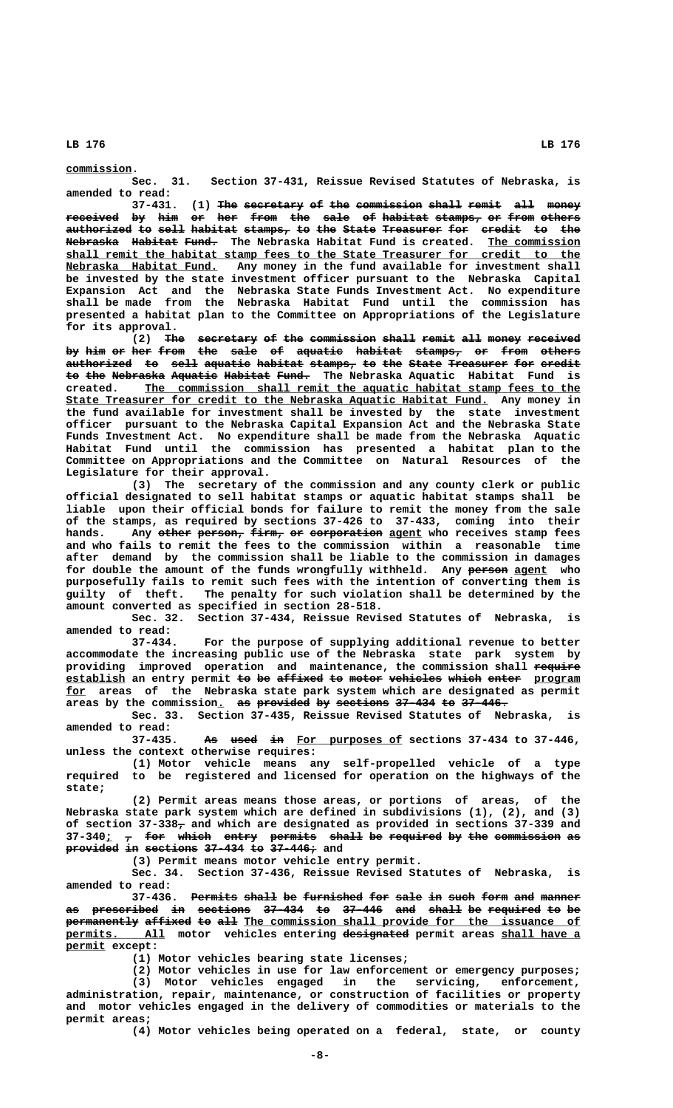### **commission. \_\_\_\_\_\_\_\_\_\_**

**Sec. 31. Section 37-431, Reissue Revised Statutes of Nebraska, is amended to read:**

**37-431.** (1) The secretary of the commission shall remit all money  $\texttt{received by him or her from the sale of habitat stamps, or from other}$  $\overline{\textbf{a}}$  and to sell habitat stamps, to the State Treasurer for credit to the  **<del>Nebraska</del> <del>Habitat Fund.</del> The Nebraska Habitat Fund is created. <u>The commission</u> \_\_\_\_\_\_\_\_\_\_\_\_\_\_\_\_\_\_\_\_\_\_\_\_\_\_\_\_\_\_\_\_\_\_\_\_\_\_\_\_\_\_\_\_\_\_\_\_\_\_\_\_\_\_\_\_\_\_\_\_\_\_\_\_\_\_\_\_\_\_\_\_\_\_\_\_\_\_ shall remit the habitat stamp fees to the State Treasurer for credit to the**  $Nebraska$  Habitat Fund.</u> Any money in the fund available for investment shall **be invested by the state investment officer pursuant to the Nebraska Capital Expansion Act and the Nebraska State Funds Investment Act. No expenditure shall be made from the Nebraska Habitat Fund until the commission has presented a habitat plan to the Committee on Appropriations of the Legislature for its approval.**

> (2) The secretary of the commission shall remit all money received by him or her from the sale of aquatic habitat stamps, or from others  $a$ uthorized to sell aquatic habitat stamps, to the State Treasurer for credit **to the Nebraska Aquatic Habitat Fund. The Nebraska Aquatic Habitat Fund is —— ——— ———————— ——————— ——————— ————— \_\_\_\_\_\_\_\_\_\_\_\_\_\_\_\_\_\_\_\_\_\_\_\_\_\_\_\_\_\_\_\_\_\_\_\_\_\_\_\_\_\_\_\_\_\_\_\_\_\_\_\_\_\_\_\_\_\_\_\_\_\_\_\_\_\_ created. The commission shall remit the aquatic habitat stamp fees to the \_\_\_\_\_\_\_\_\_\_\_\_\_\_\_\_\_\_\_\_\_\_\_\_\_\_\_\_\_\_\_\_\_\_\_\_\_\_\_\_\_\_\_\_\_\_\_\_\_\_\_\_\_\_\_\_\_\_\_\_\_\_\_\_ State Treasurer for credit to the Nebraska Aquatic Habitat Fund. Any money in the fund available for investment shall be invested by the state investment officer pursuant to the Nebraska Capital Expansion Act and the Nebraska State Funds Investment Act. No expenditure shall be made from the Nebraska Aquatic Habitat Fund until the commission has presented a habitat plan to the Committee on Appropriations and the Committee on Natural Resources of the Legislature for their approval.**

> **(3) The secretary of the commission and any county clerk or public official designated to sell habitat stamps or aquatic habitat stamps shall be liable upon their official bonds for failure to remit the money from the sale of the stamps, as required by sections 37-426 to 37-433, coming into their** hands. Any other person, firm, or corporation agent who receives stamp fees **and who fails to remit the fees to the commission within a reasonable time after demand by the commission shall be liable to the commission in damages** for double the amount of the funds wrongfully withheld. Any person agent who **purposefully fails to remit such fees with the intention of converting them is guilty of theft. The penalty for such violation shall be determined by the amount converted as specified in section 28-518.**

> **Sec. 32. Section 37-434, Reissue Revised Statutes of Nebraska, is amended to read:**

> **37-434. For the purpose of supplying additional revenue to better accommodate the increasing public use of the Nebraska state park system by providing improved operation and maintenance, the commission shall require —————— establish an entry permit to be affixed to motor vehicles which enter program \_\_\_\_\_\_\_\_\_ —— —— ——————— —— ————— ———————— ————— ————— \_\_\_\_\_\_\_ \_\_\_ for areas of the Nebraska state park system which are designated as permit** areas by the commission. as provided by sections 37-434 to 37-446.

> **Sec. 33. Section 37-435, Reissue Revised Statutes of Nebraska, is amended to read:**

> 37-435. As used in For purposes of sections 37-434 to 37-446, **unless the context otherwise requires:**

> **(1) Motor vehicle means any self-propelled vehicle of a type required to be registered and licensed for operation on the highways of the state;**

> **(2) Permit areas means those areas, or portions of areas, of the Nebraska state park system which are defined in subdivisions (1), (2), and (3)** of section 37-338<sub>7</sub> and which are designated as provided in sections 37-339 and 37-340<sub>1</sub>  $\tau$  for which entry permits shall be required by the commission as **provided in sections 37-434 to 37-446; and**

**(3) Permit means motor vehicle entry permit.**

**Sec. 34. Section 37-436, Reissue Revised Statutes of Nebraska, is amended to read:**

**37-436. Permits shall be furnished for sale in such form and manner** as prescribed in sections 37-434 to 37-446 and shall be required to be **permanently affixed to all The commission shall provide for the issuance of \_\_\_\_\_\_\_\_\_\_\_\_\_\_\_ —————————— \_\_\_\_\_\_\_\_\_\_\_\_ permits. All motor vehicles entering designated permit areas shall have a permit except: \_\_\_\_\_\_**

**(1) Motor vehicles bearing state licenses;**

**(2) Motor vehicles in use for law enforcement or emergency purposes;**

**(3) Motor vehicles engaged in the servicing, enforcement, administration, repair, maintenance, or construction of facilities or property and motor vehicles engaged in the delivery of commodities or materials to the permit areas;**

**(4) Motor vehicles being operated on a federal, state, or county**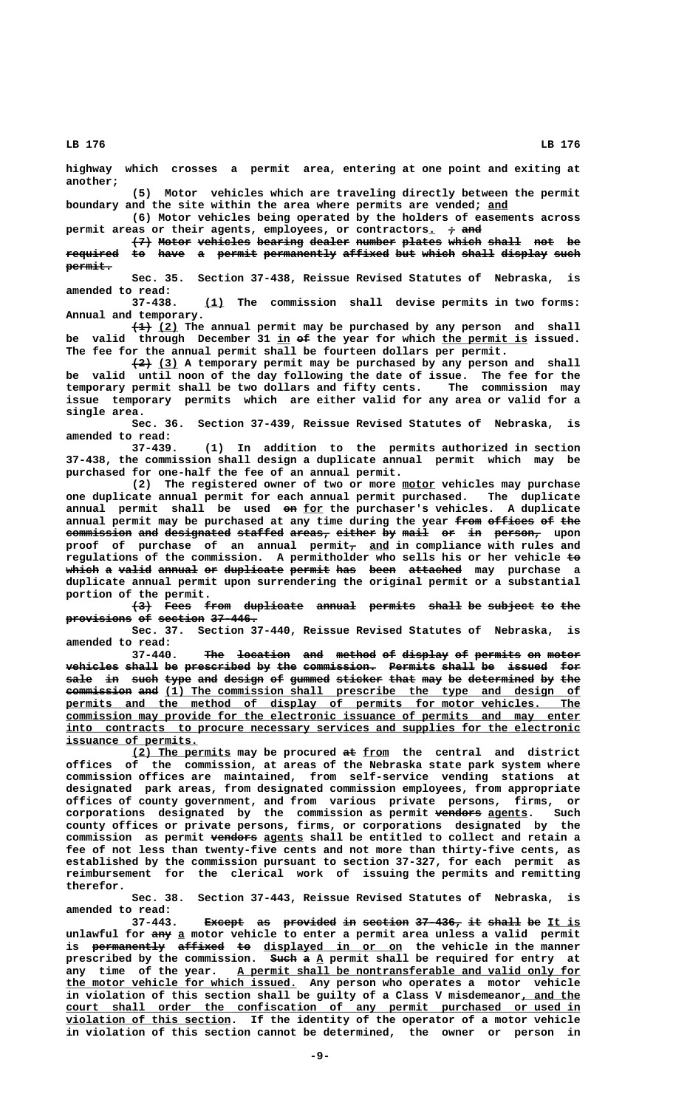**highway which crosses a permit area, entering at one point and exiting at another;**

**(5) Motor vehicles which are traveling directly between the permit boundary and the site within the area where permits are vended; and \_\_\_**

**(6) Motor vehicles being operated by the holders of easements across** permit areas or their agents, employees, or contractors.  $\rightarrow$  and

 $\left\{\frac{7}{7}\right\}$  Motor vehicles bearing dealer number plates which shall not be **required to have a permit permanently affixed but which shall display such ———————— —— ———— — —————— ——————————— ——————— ——— ————— ————— ——————— ———** permit.

**Sec. 35. Section 37-438, Reissue Revised Statutes of Nebraska, is amended to read:**

 **\_\_\_ 37-438. (1) The commission shall devise permits in two forms: Annual and temporary.**

 **——— \_\_\_ (1) (2) The annual permit may be purchased by any person and shall \_\_ —— \_\_\_\_\_\_\_\_\_\_\_\_\_ be valid through December 31 in of the year for which the permit is issued. The fee for the annual permit shall be fourteen dollars per permit.**

 **——— \_\_\_ (2) (3) A temporary permit may be purchased by any person and shall be valid until noon of the day following the date of issue. The fee for the temporary permit shall be two dollars and fifty cents. The commission may issue temporary permits which are either valid for any area or valid for a single area.**

> **Sec. 36. Section 37-439, Reissue Revised Statutes of Nebraska, is amended to read:**

> **37-439. (1) In addition to the permits authorized in section 37-438, the commission shall design a duplicate annual permit which may be purchased for one-half the fee of an annual permit.**

**(2) The registered owner of two or more motor vehicles may purchase \_\_\_\_\_ one duplicate annual permit for each annual permit purchased. The duplicate —— \_\_\_ annual permit shall be used on for the purchaser's vehicles. A duplicate** annual permit may be purchased at any time during the year from offices of the **commission and designated staffed areas, either by mail or in person,** upon proof of purchase of an annual permit<sub>7</sub> and in compliance with rules and **regulations of the commission. A permitholder who sells his or her vehicle to—** which a valid annual or duplicate permit has been attached may purchase a **duplicate annual permit upon surrendering the original permit or a substantial portion of the permit.**

> $\left\{\rightarrow\right\}$  Fees from duplicate annual permits shall be subject to the provisions of section 37-446.

> **Sec. 37. Section 37-440, Reissue Revised Statutes of Nebraska, is amended to read:**

> **37-440.** The location and method of display of permits on motor  $\textbf{v}$  wehicles shall be prescribed by the commission. Permits shall be issued for sale in such type and design of gummed sticker that may be determined by the  $f$  commission and (1) The commission shall prescribe the type and design of permits and the method of display of permits for motor vehicles. The  **\_\_\_\_\_\_\_\_\_\_\_\_\_\_\_\_\_\_\_\_\_\_\_\_\_\_\_\_\_\_\_\_\_\_\_\_\_\_\_\_\_\_\_\_\_\_\_\_\_\_\_\_\_\_\_\_\_\_\_\_\_\_\_\_\_\_\_\_\_\_\_\_\_\_\_\_\_\_ commission may provide for the electronic issuance of permits and may enter \_\_\_\_\_\_\_\_\_\_\_\_\_\_\_\_\_\_\_\_\_\_\_\_\_\_\_\_\_\_\_\_\_\_\_\_\_\_\_\_\_\_\_\_\_\_\_\_\_\_\_\_\_\_\_\_\_\_\_\_\_\_\_\_\_\_\_\_\_\_\_\_\_\_\_\_\_\_ into contracts to procure necessary services and supplies for the electronic \_\_\_\_\_\_\_\_\_\_\_\_\_\_\_\_\_\_\_\_ issuance of permits.**

> **\_\_\_\_\_\_\_\_\_\_\_\_\_\_\_ —— \_\_\_\_ (2) The permits may be procured at from the central and district offices of the commission, at areas of the Nebraska state park system where commission offices are maintained, from self-service vending stations at designated park areas, from designated commission employees, from appropriate offices of county government, and from various private persons, firms, or corporations designated by the commission as permit vendors agents. Such ——————— \_\_\_\_\_\_ county offices or private persons, firms, or corporations designated by the** commission as permit vendors agents shall be entitled to collect and retain a **fee of not less than twenty-five cents and not more than thirty-five cents, as established by the commission pursuant to section 37-327, for each permit as reimbursement for the clerical work of issuing the permits and remitting therefor.**

> **Sec. 38. Section 37-443, Reissue Revised Statutes of Nebraska, is amended to read:**

**37-443.** Except as provided in section 37-436, it shall be It is unlawful for any a motor vehicle to enter a permit area unless a valid permit  $\tt{is}$  <del>permanently</del> <del>affixed to</del> displayed in or on the vehicle in the manner **prescribed by the commission. Such a A permit shall be required for entry at ———— — \_** any time of the year. A permit shall be nontransferable and valid only for  **\_\_\_\_\_\_\_\_\_\_\_\_\_\_\_\_\_\_\_\_\_\_\_\_\_\_\_\_\_\_\_\_\_\_\_ the motor vehicle for which issued. Any person who operates a motor vehicle** in violation of this section shall be guilty of a Class V misdemeanor, and the  **\_\_\_\_\_\_\_\_\_\_\_\_\_\_\_\_\_\_\_\_\_\_\_\_\_\_\_\_\_\_\_\_\_\_\_\_\_\_\_\_\_\_\_\_\_\_\_\_\_\_\_\_\_\_\_\_\_\_\_\_\_\_\_\_\_\_\_\_\_\_\_\_\_\_\_\_\_\_ court shall order the confiscation of any permit purchased or used in \_\_\_\_\_\_\_\_\_\_\_\_\_\_\_\_\_\_\_\_\_\_\_\_\_ violation of this section. If the identity of the operator of a motor vehicle in violation of this section cannot be determined, the owner or person in**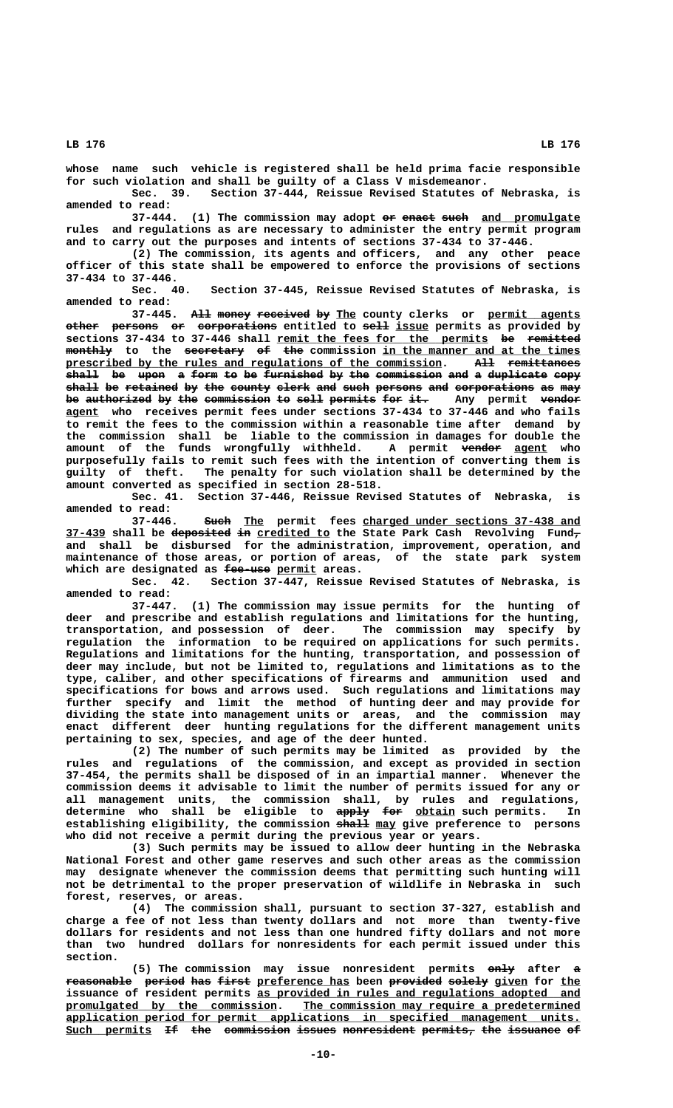**whose name such vehicle is registered shall be held prima facie responsible for such violation and shall be guilty of a Class V misdemeanor.**

**Sec. 39. Section 37-444, Reissue Revised Statutes of Nebraska, is amended to read:**

(1) The commission may adopt or enact such and promulgate **rules and regulations as are necessary to administer the entry permit program and to carry out the purposes and intents of sections 37-434 to 37-446.**

**(2) The commission, its agents and officers, and any other peace officer of this state shall be empowered to enforce the provisions of sections 37-434 to 37-446.**

Section 37-445, Reissue Revised Statutes of Nebraska, is **amended to read:**

**37-445.** All money received by The county clerks or permit agents **other persons or corporations** entitled to sell issue permits as provided by sections 37-434 to 37-446 shall <u>remit the fees for the permits</u> be remitted monthly to the secretary of the commission in the manner and at the times  **\_\_\_\_\_\_\_\_\_\_\_\_\_\_\_\_\_\_\_\_\_\_\_\_\_\_\_\_\_\_\_\_\_\_\_\_\_\_\_\_\_\_\_\_\_\_\_\_\_\_\_\_\_\_\_\_\_ ——— ——————————— prescribed by the rules and regulations of the commission. All remittances** shall be upon a form to be furnished by the commission and a duplicate copy shall be retained by the county clerk and such persons and corporations as may be authorized by the commission to sell permits for it. Any permit vendor  **\_\_\_\_\_ agent who receives permit fees under sections 37-434 to 37-446 and who fails to remit the fees to the commission within a reasonable time after demand by the commission shall be liable to the commission in damages for double the** amount of the funds wrongfully withheld. A permit <del>vendor</del> <u>agent</u> who **purposefully fails to remit such fees with the intention of converting them is guilty of theft. The penalty for such violation shall be determined by the amount converted as specified in section 28-518.**

**Sec. 41. Section 37-446, Reissue Revised Statutes of Nebraska, is amended to read:**

37-446. Such The permit fees charged under sections 37-438 and  **\_\_\_\_\_\_ ————————— —— \_\_\_\_\_\_\_\_\_\_\_ — 37-439 shall be deposited in credited to the State Park Cash Revolving Fund, and shall be disbursed for the administration, improvement, operation, and maintenance of those areas, or portion of areas, of the state park system ——————— \_\_\_\_\_\_ which are designated as fee-use permit areas.**

**Sec. 42. Section 37-447, Reissue Revised Statutes of Nebraska, is amended to read:**

**37-447. (1) The commission may issue permits for the hunting of deer and prescribe and establish regulations and limitations for the hunting, transportation, and possession of deer. The commission may specify by regulation the information to be required on applications for such permits. Regulations and limitations for the hunting, transportation, and possession of deer may include, but not be limited to, regulations and limitations as to the type, caliber, and other specifications of firearms and ammunition used and specifications for bows and arrows used. Such regulations and limitations may further specify and limit the method of hunting deer and may provide for dividing the state into management units or areas, and the commission may enact different deer hunting regulations for the different management units pertaining to sex, species, and age of the deer hunted.**

**(2) The number of such permits may be limited as provided by the rules and regulations of the commission, and except as provided in section 37-454, the permits shall be disposed of in an impartial manner. Whenever the commission deems it advisable to limit the number of permits issued for any or all management units, the commission shall, by rules and regulations,** determine who shall be eligible to  $\frac{1}{2}$  for  $\frac{1}{2}$  for  $\frac{1}{2}$  such permits. In establishing eligibility, the commission shall may give preference to persons **who did not receive a permit during the previous year or years.**

**(3) Such permits may be issued to allow deer hunting in the Nebraska National Forest and other game reserves and such other areas as the commission may designate whenever the commission deems that permitting such hunting will not be detrimental to the proper preservation of wildlife in Nebraska in such forest, reserves, or areas.**

**(4) The commission shall, pursuant to section 37-327, establish and charge a fee of not less than twenty dollars and not more than twenty-five dollars for residents and not less than one hundred fifty dollars and not more than two hundred dollars for nonresidents for each permit issued under this section.**

(5) The commission may issue nonresident permits  $\overrightarrow{enly}$  after a reasonable period has first preference has been provided solely given for the issuance of resident permits as provided in rules and regulations adopted and  **\_\_\_\_\_\_\_\_\_\_\_\_\_\_\_\_\_\_\_\_\_\_\_\_\_\_\_\_\_\_\_\_ \_\_\_\_\_\_\_\_\_\_\_\_\_\_\_\_\_\_\_\_\_\_\_\_\_\_\_\_\_\_\_\_\_\_\_\_\_\_\_\_\_\_ promulgated by the commission. The commission may require a predetermined \_\_\_\_\_\_\_\_\_\_\_\_\_\_\_\_\_\_\_\_\_\_\_\_\_\_\_\_\_\_\_\_\_\_\_\_\_\_\_\_\_\_\_\_\_\_\_\_\_\_\_\_\_\_\_\_\_\_\_\_\_\_\_\_\_\_\_\_\_\_\_\_\_\_\_\_\_\_ application period for permit applications in specified management units.** Such permits If the commission issues nonresident permits, the issuance of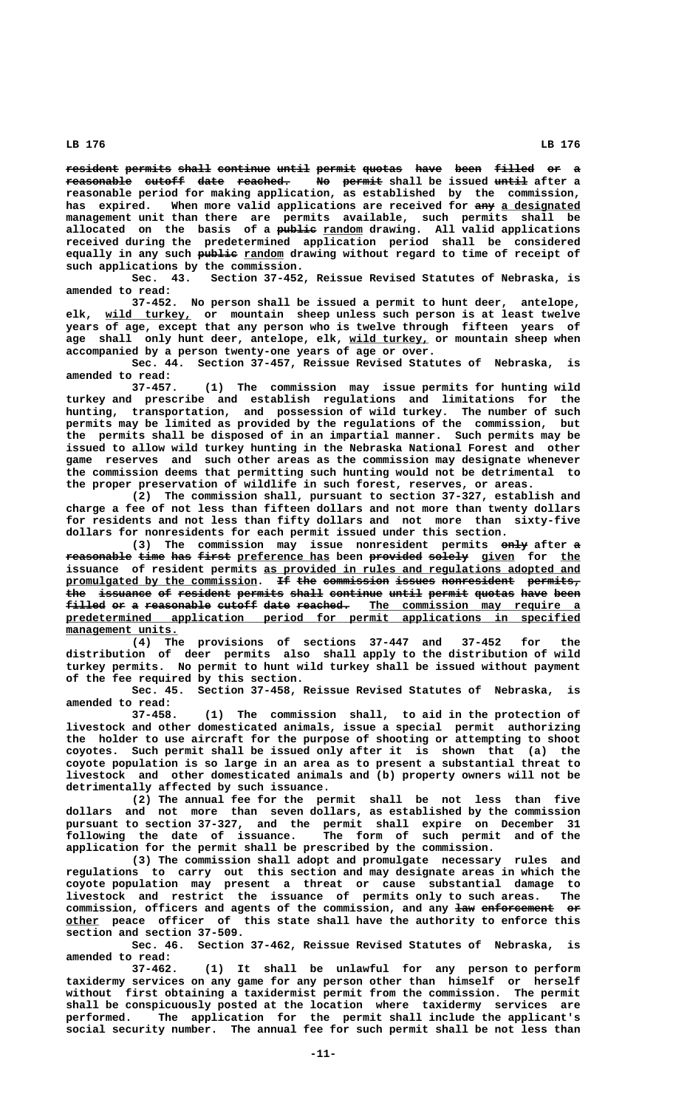**resident permits shall continue until permit quotas have been filled or a reasonable cutoff date reached. No permit shall be issued until after a —————————— —————— ———— ———————— —— —————— ———— reasonable period for making application, as established by the commission,** has expired. When more valid applications are received for any a designated **management unit than there are permits available, such permits shall be —————— \_\_\_\_\_\_ allocated on the basis of a public random drawing. All valid applications received during the predetermined application period shall be considered** equally in any such publie random drawing without regard to time of receipt of **such applications by the commission.**

**Sec. 43. Section 37-452, Reissue Revised Statutes of Nebraska, is amended to read:**

**37-452. No person shall be issued a permit to hunt deer, antelope, \_\_\_\_\_\_\_\_\_\_\_\_\_ elk, wild turkey, or mountain sheep unless such person is at least twelve years of age, except that any person who is twelve through fifteen years of \_\_\_\_\_\_\_\_\_\_\_\_ age shall only hunt deer, antelope, elk, wild turkey, or mountain sheep when accompanied by a person twenty-one years of age or over.**

**Sec. 44. Section 37-457, Reissue Revised Statutes of Nebraska, is amended to read:**

**37-457. (1) The commission may issue permits for hunting wild turkey and prescribe and establish regulations and limitations for the hunting, transportation, and possession of wild turkey. The number of such permits may be limited as provided by the regulations of the commission, but the permits shall be disposed of in an impartial manner. Such permits may be issued to allow wild turkey hunting in the Nebraska National Forest and other game reserves and such other areas as the commission may designate whenever the commission deems that permitting such hunting would not be detrimental to the proper preservation of wildlife in such forest, reserves, or areas.**

**(2) The commission shall, pursuant to section 37-327, establish and charge a fee of not less than fifteen dollars and not more than twenty dollars for residents and not less than fifty dollars and not more than sixty-five dollars for nonresidents for each permit issued under this section.**

(3) The commission may issue nonresident permits only after a reasonable time has first preference has been provided solely given for the issuance of resident permits as provided in rules and regulations adopted and promulgated by the commission. If the commission issues nonresident permits, the issuance of resident permits shall continue until permit quotas have been **filled or a reasonable cutoff date reached. The commission may require a —————— —— — —————————— —————— ———— ———————— \_\_\_\_\_\_\_\_\_\_\_\_\_\_\_\_\_\_\_\_\_\_\_\_\_\_\_\_\_\_\_\_ \_\_\_\_\_\_\_\_\_\_\_\_\_\_\_\_\_\_\_\_\_\_\_\_\_\_\_\_\_\_\_\_\_\_\_\_\_\_\_\_\_\_\_\_\_\_\_\_\_\_\_\_\_\_\_\_\_\_\_\_\_\_\_\_\_\_\_\_\_\_\_\_\_\_\_\_\_\_ predetermined application period for permit applications in specified management units. \_\_\_\_\_\_\_\_\_\_\_\_\_\_\_\_\_**

> **(4) The provisions of sections 37-447 and 37-452 for the distribution of deer permits also shall apply to the distribution of wild turkey permits. No permit to hunt wild turkey shall be issued without payment of the fee required by this section.**

> **Sec. 45. Section 37-458, Reissue Revised Statutes of Nebraska, is amended to read:**

> **37-458. (1) The commission shall, to aid in the protection of livestock and other domesticated animals, issue a special permit authorizing the holder to use aircraft for the purpose of shooting or attempting to shoot coyotes. Such permit shall be issued only after it is shown that (a) the coyote population is so large in an area as to present a substantial threat to livestock and other domesticated animals and (b) property owners will not be detrimentally affected by such issuance.**

> **(2) The annual fee for the permit shall be not less than five dollars and not more than seven dollars, as established by the commission pursuant to section 37-327, and the permit shall expire on December 31 following the date of issuance. The form of such permit and of the application for the permit shall be prescribed by the commission.**

> **(3) The commission shall adopt and promulgate necessary rules and regulations to carry out this section and may designate areas in which the coyote population may present a threat or cause substantial damage to livestock and restrict the issuance of permits only to such areas. The** commission, officers and agents of the commission, and any law enforcement or  **\_\_\_\_\_ other peace officer of this state shall have the authority to enforce this section and section 37-509.**

> **Sec. 46. Section 37-462, Reissue Revised Statutes of Nebraska, is amended to read:**

> **37-462. (1) It shall be unlawful for any person to perform taxidermy services on any game for any person other than himself or herself without first obtaining a taxidermist permit from the commission. The permit shall be conspicuously posted at the location where taxidermy services are performed. The application for the permit shall include the applicant's social security number. The annual fee for such permit shall be not less than**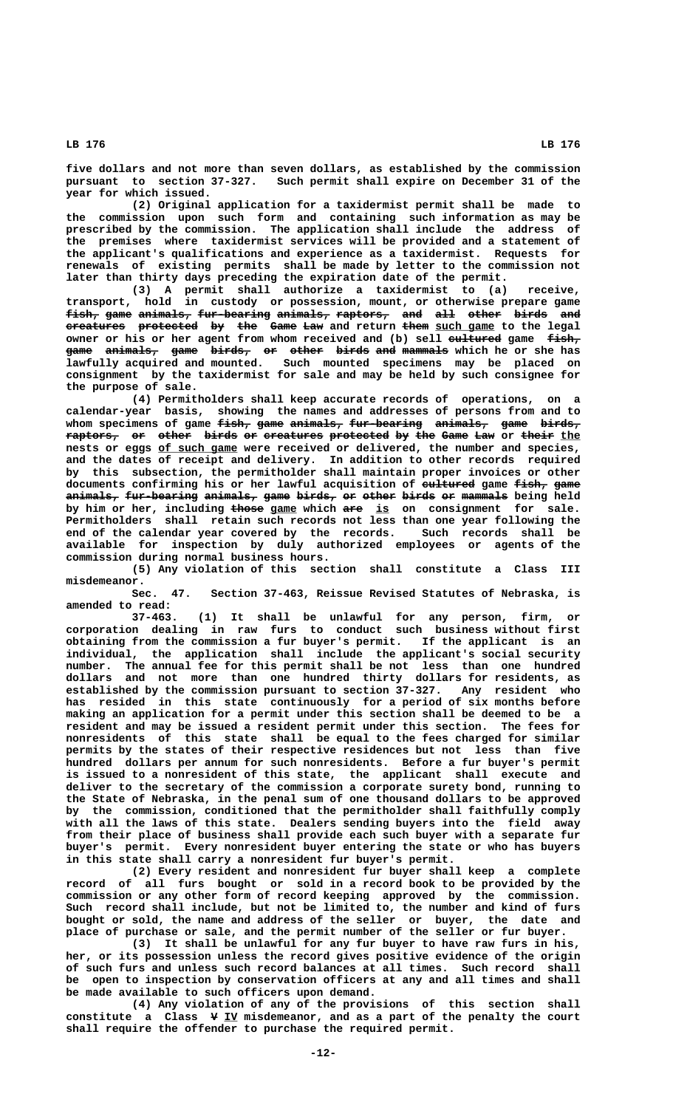**five dollars and not more than seven dollars, as established by the commission pursuant to section 37-327. Such permit shall expire on December 31 of the year for which issued.**

**(2) Original application for a taxidermist permit shall be made to the commission upon such form and containing such information as may be prescribed by the commission. The application shall include the address of the premises where taxidermist services will be provided and a statement of the applicant's qualifications and experience as a taxidermist. Requests for renewals of existing permits shall be made by letter to the commission not later than thirty days preceding the expiration date of the permit.**

**(3) A permit shall authorize a taxidermist to (a) receive, transport, hold in custody or possession, mount, or otherwise prepare game fish, game animals, fur-bearing animals, raptors, and all other birds and ————— ———— ———————— ——————————— ———————— ———————— ——— ——— ————— ————— ——**  $e$ reatures protected by the Game Law and return them such game to the legal owner or his or her agent from whom received and (b) sell eultured game fish, **game animals, game birds, or other birds and mammals which he or she has ———— ———————— ———— —————— —— ————— ————— ——— —————— lawfully acquired and mounted. Such mounted specimens may be placed on consignment by the taxidermist for sale and may be held by such consignee for the purpose of sale.**

**(4) Permitholders shall keep accurate records of operations, on a calendar-year basis, showing the names and addresses of persons from and to** whom specimens of game <del>fish, game animals, fur-bearing</del> animals, game birds,  $r$ aptors, or other birds or creatures protected by the Game Law or their the nests or eggs of such game were received or delivered, the number and species, **and the dates of receipt and delivery. In addition to other records required by this subsection, the permitholder shall maintain proper invoices or other** documents confirming his or her lawful acquisition of eultured game fish, game **animals, fur-bearing animals, game birds, or other birds or mammals being held ———————— ——————————— ———————— ———— —————— —— ————— ————— —— ——————** by him or her, including those game which are is on consignment for sale. **Permitholders shall retain such records not less than one year following the end of the calendar year covered by the records. Such records shall be available for inspection by duly authorized employees or agents of the commission during normal business hours.**

**(5) Any violation of this section shall constitute a Class III misdemeanor.**

**Sec. 47. Section 37-463, Reissue Revised Statutes of Nebraska, is amended to read:**

**37-463. (1) It shall be unlawful for any person, firm, or corporation dealing in raw furs to conduct such business without first obtaining from the commission a fur buyer's permit. If the applicant is an individual, the application shall include the applicant's social security number. The annual fee for this permit shall be not less than one hundred dollars and not more than one hundred thirty dollars for residents, as established by the commission pursuant to section 37-327. Any resident who has resided in this state continuously for a period of six months before making an application for a permit under this section shall be deemed to be a resident and may be issued a resident permit under this section. The fees for nonresidents of this state shall be equal to the fees charged for similar permits by the states of their respective residences but not less than five hundred dollars per annum for such nonresidents. Before a fur buyer's permit is issued to a nonresident of this state, the applicant shall execute and deliver to the secretary of the commission a corporate surety bond, running to the State of Nebraska, in the penal sum of one thousand dollars to be approved by the commission, conditioned that the permitholder shall faithfully comply with all the laws of this state. Dealers sending buyers into the field away from their place of business shall provide each such buyer with a separate fur buyer's permit. Every nonresident buyer entering the state or who has buyers in this state shall carry a nonresident fur buyer's permit.**

**(2) Every resident and nonresident fur buyer shall keep a complete record of all furs bought or sold in a record book to be provided by the commission or any other form of record keeping approved by the commission. Such record shall include, but not be limited to, the number and kind of furs bought or sold, the name and address of the seller or buyer, the date and place of purchase or sale, and the permit number of the seller or fur buyer.**

**(3) It shall be unlawful for any fur buyer to have raw furs in his, her, or its possession unless the record gives positive evidence of the origin of such furs and unless such record balances at all times. Such record shall be open to inspection by conservation officers at any and all times and shall be made available to such officers upon demand.**

**(4) Any violation of any of the provisions of this section shall — \_\_ constitute a Class V IV misdemeanor, and as a part of the penalty the court shall require the offender to purchase the required permit.**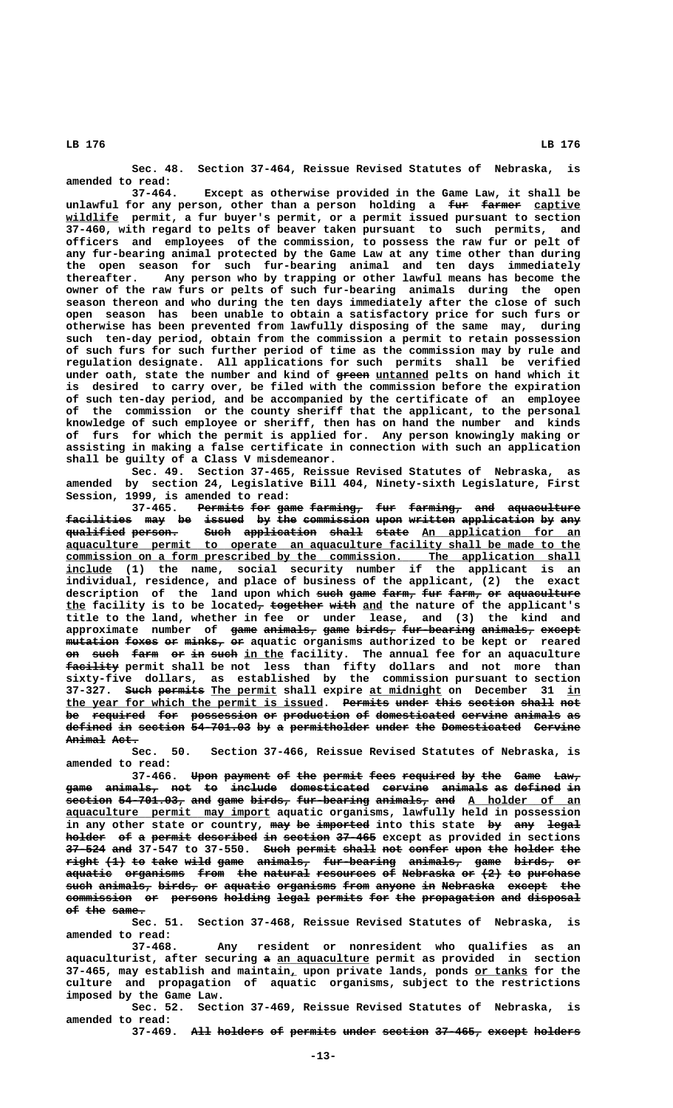**Sec. 48. Section 37-464, Reissue Revised Statutes of Nebraska, is amended to read:**

**37-464. Except as otherwise provided in the Game Law, it shall be** unlawful for any person, other than a person holding a fur farmer captive  **\_\_\_\_\_\_\_\_ wildlife permit, a fur buyer's permit, or a permit issued pursuant to section 37-460, with regard to pelts of beaver taken pursuant to such permits, and officers and employees of the commission, to possess the raw fur or pelt of any fur-bearing animal protected by the Game Law at any time other than during the open season for such fur-bearing animal and ten days immediately thereafter. Any person who by trapping or other lawful means has become the owner of the raw furs or pelts of such fur-bearing animals during the open season thereon and who during the ten days immediately after the close of such open season has been unable to obtain a satisfactory price for such furs or otherwise has been prevented from lawfully disposing of the same may, during such ten-day period, obtain from the commission a permit to retain possession of such furs for such further period of time as the commission may by rule and regulation designate. All applications for such permits shall be verified** under oath, state the number and kind of green untanned pelts on hand which it **is desired to carry over, be filed with the commission before the expiration of such ten-day period, and be accompanied by the certificate of an employee of the commission or the county sheriff that the applicant, to the personal knowledge of such employee or sheriff, then has on hand the number and kinds of furs for which the permit is applied for. Any person knowingly making or assisting in making a false certificate in connection with such an application shall be guilty of a Class V misdemeanor.**

**Sec. 49. Section 37-465, Reissue Revised Statutes of Nebraska, as amended by section 24, Legislative Bill 404, Ninety-sixth Legislature, First Session, 1999, is amended to read:**

**37-465. Permits for game farming, fur farming, and aquaculture ——————— ——— ———— ———————— ——— ———————— ——— ——————————** facilities may be issued by the commission upon written application by any **qualified person. Such application shall state An application for an ————————— ——————— ———— ——————————— ————— ————— \_\_\_\_\_\_\_\_\_\_\_\_\_\_\_\_\_\_\_\_\_\_\_\_ \_\_\_\_\_\_\_\_\_\_\_\_\_\_\_\_\_\_\_\_\_\_\_\_\_\_\_\_\_\_\_\_\_\_\_\_\_\_\_\_\_\_\_\_\_\_\_\_\_\_\_\_\_\_\_\_\_\_\_\_\_\_\_\_\_\_\_\_\_\_\_\_\_\_\_\_\_\_ aquaculture permit to operate an aquaculture facility shall be made to the \_\_\_\_\_\_\_\_\_\_\_\_\_\_\_\_\_\_\_\_\_\_\_\_\_\_\_\_\_\_\_\_\_\_\_\_\_\_\_\_\_\_\_\_\_\_\_\_\_\_\_\_\_\_\_\_\_\_\_\_\_\_\_\_\_\_\_\_\_\_\_\_\_\_\_\_\_\_ commission on a form prescribed by the commission. The application shall \_\_\_\_\_\_\_ include (1) the name, social security number if the applicant is an individual, residence, and place of business of the applicant, (2) the exact** description of the land upon which such game farm, fur farm, or aquaculture **the facility is to be located<del>, together with</del> and the nature of the applicant's title to the land, whether in fee or under lease, and (3) the kind and** approximate number of <del>game animals, game birds, fur-bearing animals, except</del>  $m$ utation foxes or  $m$ inks, or aquatic organisms authorized to be kept or reared **on such farm or in such in the facility. The annual fee for an aquaculture ———————— facility permit shall be not less than fifty dollars and not more than sixty-five dollars, as established by the commission pursuant to section 37-327. Such permits The permit shall expire <u>at midnight</u> on December 31 <u>in</u>** the year for which the permit is issued. Permits under this section shall not be required for possession or production of domesticated cervine animals as defined in section 54-701.03 by a permitholder under the Domesticated Cervine Animal Act.

> **Sec. 50. Section 37-466, Reissue Revised Statutes of Nebraska, is amended to read:**

> **37-466.** Upon payment of the permit fees required by the Game Law, game animals, not to include domesticated cervine animals as defined in  $\texttt{section 54-701.03}$ , and game birds, fur-bearing animals, and A holder of an  **\_\_\_\_\_\_\_\_\_\_\_\_\_\_\_\_\_\_\_\_\_\_\_\_\_\_\_\_\_\_\_ aquaculture permit may import aquatic organisms, lawfully held in possession** in any other state or country, may be imported into this state by any legal **holder** of a permit described in section 37-465 except as provided in sections 37-524 and 37-547 to 37-550. Such permit shall not confer upon the holder the **right (1) to take wild game animals, fur-bearing animals, game birds, or ————— ——— —— ———— ———— ———— ———————— ——————————— ———————— ———— —————— —** aquatic organisms from the natural resources of Nebraska or (2) to purchase  $\frac{1}{3}$  animals, birds, or aquatic organisms from anyone in Nebraska except the commission or persons holding legal permits for the propagation and disposal **of the same. —— ——— —————**

> **Sec. 51. Section 37-468, Reissue Revised Statutes of Nebraska, is amended to read:**

> **37-468. Any resident or nonresident who qualifies as an — \_\_\_\_\_\_\_\_\_\_\_\_\_\_ aquaculturist, after securing a an aquaculture permit as provided in section \_ \_\_\_\_\_\_\_\_ 37-465, may establish and maintain, upon private lands, ponds or tanks for the culture and propagation of aquatic organisms, subject to the restrictions imposed by the Game Law.**

> **Sec. 52. Section 37-469, Reissue Revised Statutes of Nebraska, is amended to read:**

**37-469. All holders of permits under section 37-465, except holders ——— ——————— —— ——————— ————— ——————— ——————— —————— ———————**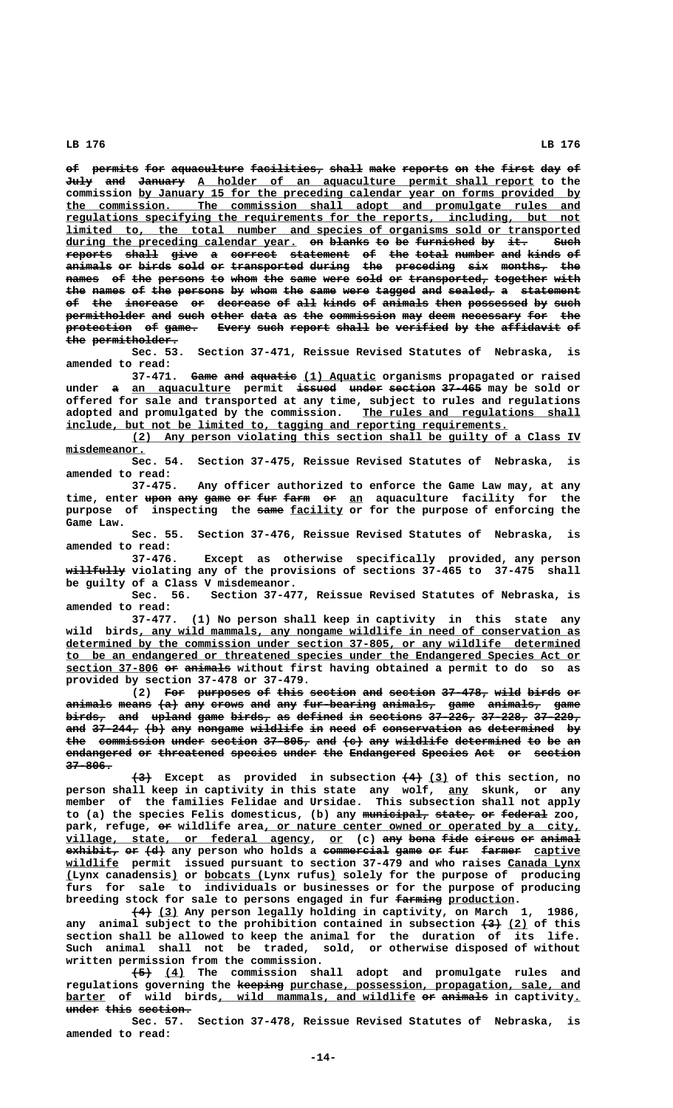**of permits for aquaculture facilities, shall make reports on the first day of —— ——————— ——— ——————————— ——————————— ————— ———— ——————— —— ——— ————— ——— ——** July and January A holder of an aquaculture permit shall report to the commission by January 15 for the preceding calendar year on forms provided by  **\_\_\_\_\_\_\_\_\_\_\_\_\_\_\_\_\_\_\_\_\_\_\_\_\_\_\_\_\_\_\_\_\_\_\_\_\_\_\_\_\_\_\_\_\_\_\_\_\_\_\_\_\_\_\_\_\_\_\_\_\_\_\_\_\_\_\_\_\_\_\_\_\_\_\_\_\_\_ the commission. The commission shall adopt and promulgate rules and \_\_\_\_\_\_\_\_\_\_\_\_\_\_\_\_\_\_\_\_\_\_\_\_\_\_\_\_\_\_\_\_\_\_\_\_\_\_\_\_\_\_\_\_\_\_\_\_\_\_\_\_\_\_\_\_\_\_\_\_\_\_\_\_\_\_\_\_\_\_\_\_\_\_\_\_\_\_ regulations specifying the requirements for the reports, including, but not \_\_\_\_\_\_\_\_\_\_\_\_\_\_\_\_\_\_\_\_\_\_\_\_\_\_\_\_\_\_\_\_\_\_\_\_\_\_\_\_\_\_\_\_\_\_\_\_\_\_\_\_\_\_\_\_\_\_\_\_\_\_\_\_\_\_\_\_\_\_\_\_\_\_\_\_\_\_ limited to, the total number and species of organisms sold or transported during the preceding calendar year. on blanks to be furnished by it. Such \_\_\_\_\_\_\_\_\_\_\_\_\_\_\_\_\_\_\_\_\_\_\_\_\_\_\_\_\_\_\_\_\_\_\_ —— —————— —— —— ————————— —— ——— ———** reports shall give a correct statement of the total number and kinds of **animals or birds sold or transported during the preceding six months, the** names of the persons to whom the same were sold or transported, together with the names of the persons by whom the same were tagged and sealed, a statement of the increase or decrease of all kinds of animals then possessed by such permitholder and such other data as the commission may deem necessary for the protection of game. Every such report shall be verified by the affidavit of the permitholder.

**Sec. 53. Section 37-471, Reissue Revised Statutes of Nebraska, is amended to read:**

37-471. Game and aquatie (1) Aquatic organisms propagated or raised under a <u>an aquaculture</u> permit issued under section 37-465 may be sold or **offered for sale and transported at any time, subject to rules and regulations** adopted and promulgated by the commission. The rules and regulations shall  **\_\_\_\_\_\_\_\_\_\_\_\_\_\_\_\_\_\_\_\_\_\_\_\_\_\_\_\_\_\_\_\_\_\_\_\_\_\_\_\_\_\_\_\_\_\_\_\_\_\_\_\_\_\_\_\_\_\_\_\_\_\_\_\_\_\_\_ include, but not be limited to, tagging and reporting requirements.**

 **\_\_\_\_\_\_\_\_\_\_\_\_\_\_\_\_\_\_\_\_\_\_\_\_\_\_\_\_\_\_\_\_\_\_\_\_\_\_\_\_\_\_\_\_\_\_\_\_\_\_\_\_\_\_\_\_\_\_\_\_\_\_\_\_\_\_\_\_ (2) Any person violating this section shall be guilty of a Class IV misdemeanor. \_\_\_\_\_\_\_\_\_\_\_\_**

**Sec. 54. Section 37-475, Reissue Revised Statutes of Nebraska, is amended to read:**

**37-475. Any officer authorized to enforce the Game Law may, at any** time, enter upon any game or fur farm or an aquaculture facility for the purpose of inspecting the same facility or for the purpose of enforcing the  **Game Law.**

**Sec. 55. Section 37-476, Reissue Revised Statutes of Nebraska, is amended to read:**

**37-476. Except as otherwise specifically provided, any person ————————— willfully violating any of the provisions of sections 37-465 to 37-475 shall be guilty of a Class V misdemeanor.**

**Sec. 56. Section 37-477, Reissue Revised Statutes of Nebraska, is amended to read:**

**37-477. (1) No person shall keep in captivity in this state any \_\_\_\_\_\_\_\_\_\_\_\_\_\_\_\_\_\_\_\_\_\_\_\_\_\_\_\_\_\_\_\_\_\_\_\_\_\_\_\_\_\_\_\_\_\_\_\_\_\_\_\_\_\_\_\_\_\_\_\_\_\_\_\_\_\_\_ wild birds, any wild mammals, any nongame wildlife in need of conservation as \_\_\_\_\_\_\_\_\_\_\_\_\_\_\_\_\_\_\_\_\_\_\_\_\_\_\_\_\_\_\_\_\_\_\_\_\_\_\_\_\_\_\_\_\_\_\_\_\_\_\_\_\_\_\_\_\_\_\_\_\_\_\_\_\_\_\_\_\_\_\_\_\_\_\_\_\_\_ determined by the commission under section 37-805, or any wildlife determined \_\_\_\_\_\_\_\_\_\_\_\_\_\_\_\_\_\_\_\_\_\_\_\_\_\_\_\_\_\_\_\_\_\_\_\_\_\_\_\_\_\_\_\_\_\_\_\_\_\_\_\_\_\_\_\_\_\_\_\_\_\_\_\_\_\_\_\_\_\_\_\_\_\_\_\_\_\_ to be an endangered or threatened species under the Endangered Species Act or section 37-806 or animals without first having obtained a permit to do so as \_\_\_\_\_\_\_\_\_\_\_\_\_\_ —— —————— provided by section 37-478 or 37-479.**

(2) For purposes of this section and section 37-478, wild birds or animals means (a) any crows and any fur-bearing animals, game animals, game birds, and upland game birds, as defined in sections 37-226, 37-228, 37-229, and 37-244, (b) any nongame wildlife in need of conservation as determined by the commission under section 37-805, and (c) any wildlife determined to be an endangered or threatened species under the Endangered Species Act or section  **37-806. ———————**

 **——— ——— \_\_\_ (3) Except as provided in subsection (4) (3) of this section, no person shall keep in captivity in this state any wolf, any skunk, or any \_\_\_ member of the families Felidae and Ursidae. This subsection shall not apply** to (a) the species Felis domesticus, (b) any municipal, state, or federal zoo, park, refuge, or wildlife area, or nature center owned or operated by a city,  $village, state, or federal agency, or (c) any bona fide curves or animal-$ </u> **exhibit, or (d)** any person who holds a commercial game or fur farmer captive  **\_\_\_\_\_\_\_\_ wildlife permit issued pursuant to section 37-479 and who raises Canada Lynx \_\_\_\_\_\_\_\_\_\_\_ \_ \_ \_\_\_\_\_\_\_\_\_ \_ (Lynx canadensis) or bobcats (Lynx rufus) solely for the purpose of producing furs for sale to individuals or businesses or for the purpose of producing** breeding stock for sale to persons engaged in fur  $f{f{a}}{r{m}}{r{p}{r{q}}{r{d}}{r{d}{r}{r{r{r}{r{r{r{r{e}}}}}}}}$ 

 **——— \_\_\_ (4) (3) Any person legally holding in captivity, on March 1, 1986,** any animal subject to the prohibition contained in subsection  $\left(3\right)$  (2) of this **section shall be allowed to keep the animal for the duration of its life. Such animal shall not be traded, sold, or otherwise disposed of without written permission from the commission.**

 **——— \_\_\_ (5) (4) The commission shall adopt and promulgate rules and** regulations governing the keeping purchase, possession, propagation, sale, and **barter** of wild birds, wild mammals, and wildlife or animals in captivity. **under this section. ————— ———— ————————**

**Sec. 57. Section 37-478, Reissue Revised Statutes of Nebraska, is amended to read:**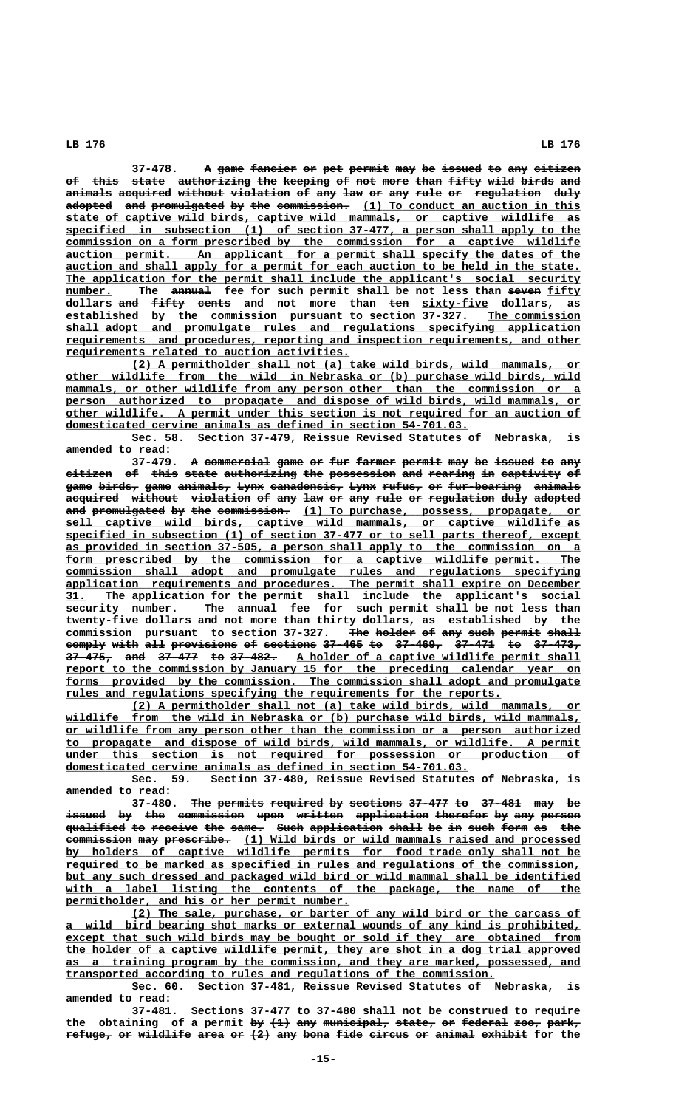37-478. A game fancier or pet permit may be issued to any citizen of this state authorizing the keeping of not more than fifty wild birds and animals acquired without violation of any law or any rule or regulation duly adopted and promulgated by the commission. (1) To conduct an auction in this  **\_\_\_\_\_\_\_\_\_\_\_\_\_\_\_\_\_\_\_\_\_\_\_\_\_\_\_\_\_\_\_\_\_\_\_\_\_\_\_\_\_\_\_\_\_\_\_\_\_\_\_\_\_\_\_\_\_\_\_\_\_\_\_\_\_\_\_\_\_\_\_\_\_\_\_\_\_\_ state of captive wild birds, captive wild mammals, or captive wildlife as \_\_\_\_\_\_\_\_\_\_\_\_\_\_\_\_\_\_\_\_\_\_\_\_\_\_\_\_\_\_\_\_\_\_\_\_\_\_\_\_\_\_\_\_\_\_\_\_\_\_\_\_\_\_\_\_\_\_\_\_\_\_\_\_\_\_\_\_\_\_\_\_\_\_\_\_\_\_ specified in subsection (1) of section 37-477, a person shall apply to the \_\_\_\_\_\_\_\_\_\_\_\_\_\_\_\_\_\_\_\_\_\_\_\_\_\_\_\_\_\_\_\_\_\_\_\_\_\_\_\_\_\_\_\_\_\_\_\_\_\_\_\_\_\_\_\_\_\_\_\_\_\_\_\_\_\_\_\_\_\_\_\_\_\_\_\_\_\_ commission on a form prescribed by the commission for a captive wildlife \_\_\_\_\_\_\_\_\_\_\_\_\_\_\_\_\_\_\_\_\_\_\_\_\_\_\_\_\_\_\_\_\_\_\_\_\_\_\_\_\_\_\_\_\_\_\_\_\_\_\_\_\_\_\_\_\_\_\_\_\_\_\_\_\_\_\_\_\_\_\_\_\_\_\_\_\_\_ auction permit. An applicant for a permit shall specify the dates of the** auction and shall apply for a permit for each auction to be held in the state. The application for the permit shall include the applicant's social security number. The annual fee for such permit shall be not less than seven fifty <code>dollars <del>and <code>£<del>i</del>fty cents and not more than ten <code><u>sixty-five</code> dollars, as</code></del></code></code></u> **established by the commission pursuant to section 37-327. The commission \_\_\_\_\_\_\_\_\_\_\_\_\_\_ \_\_\_\_\_\_\_\_\_\_\_\_\_\_\_\_\_\_\_\_\_\_\_\_\_\_\_\_\_\_\_\_\_\_\_\_\_\_\_\_\_\_\_\_\_\_\_\_\_\_\_\_\_\_\_\_\_\_\_\_\_\_\_\_\_\_\_\_\_\_\_\_\_\_\_\_\_\_ shall adopt and promulgate rules and regulations specifying application \_\_\_\_\_\_\_\_\_\_\_\_\_\_\_\_\_\_\_\_\_\_\_\_\_\_\_\_\_\_\_\_\_\_\_\_\_\_\_\_\_\_\_\_\_\_\_\_\_\_\_\_\_\_\_\_\_\_\_\_\_\_\_\_\_\_\_\_\_\_\_\_\_\_\_\_\_\_ requirements and procedures, reporting and inspection requirements, and other \_\_\_\_\_\_\_\_\_\_\_\_\_\_\_\_\_\_\_\_\_\_\_\_\_\_\_\_\_\_\_\_\_\_\_\_\_\_\_\_\_\_\_ requirements related to auction activities.**

 **\_\_\_\_\_\_\_\_\_\_\_\_\_\_\_\_\_\_\_\_\_\_\_\_\_\_\_\_\_\_\_\_\_\_\_\_\_\_\_\_\_\_\_\_\_\_\_\_\_\_\_\_\_\_\_\_\_\_\_\_\_\_\_\_\_\_\_\_ (2) A permitholder shall not (a) take wild birds, wild mammals, or \_\_\_\_\_\_\_\_\_\_\_\_\_\_\_\_\_\_\_\_\_\_\_\_\_\_\_\_\_\_\_\_\_\_\_\_\_\_\_\_\_\_\_\_\_\_\_\_\_\_\_\_\_\_\_\_\_\_\_\_\_\_\_\_\_\_\_\_\_\_\_\_\_\_\_\_\_\_ other wildlife from the wild in Nebraska or (b) purchase wild birds, wild**  $m$ mammals, or other wildlife from any person other than the commission or a person authorized to propagate and dispose of wild birds, wild mammals, or  **\_\_\_\_\_\_\_\_\_\_\_\_\_\_\_\_\_\_\_\_\_\_\_\_\_\_\_\_\_\_\_\_\_\_\_\_\_\_\_\_\_\_\_\_\_\_\_\_\_\_\_\_\_\_\_\_\_\_\_\_\_\_\_\_\_\_\_\_\_\_\_\_\_\_\_\_\_\_ other wildlife. A permit under this section is not required for an auction of \_\_\_\_\_\_\_\_\_\_\_\_\_\_\_\_\_\_\_\_\_\_\_\_\_\_\_\_\_\_\_\_\_\_\_\_\_\_\_\_\_\_\_\_\_\_\_\_\_\_\_\_\_\_\_\_\_\_\_\_\_ domesticated cervine animals as defined in section 54-701.03.**

**Sec. 58. Section 37-479, Reissue Revised Statutes of Nebraska, is amended to read:**

A commercial game or fur farmer permit may be issued to any **citizen of this state authorizing the possession and rearing in captivity of ——————— —— ———— ————— ——————————— ——— —————————— ——— ——————— —— ————————— — game birds, game animals, Lynx canadensis, Lynx rufus, or fur-bearing animals ———— —————— ———— ———————— ———— ——————————— ———— —————— —— ——————————— ——————** acquired without violation of any law or any rule or regulation duly adopted and promulgated by the commission. (1) To purchase, possess, propagate, or  **\_\_\_\_\_\_\_\_\_\_\_\_\_\_\_\_\_\_\_\_\_\_\_\_\_\_\_\_\_\_\_\_\_\_\_\_\_\_\_\_\_\_\_\_\_\_\_\_\_\_\_\_\_\_\_\_\_\_\_\_\_\_\_\_\_\_\_\_\_\_\_\_\_\_\_\_\_\_ sell captive wild birds, captive wild mammals, or captive wildlife as \_\_\_\_\_\_\_\_\_\_\_\_\_\_\_\_\_\_\_\_\_\_\_\_\_\_\_\_\_\_\_\_\_\_\_\_\_\_\_\_\_\_\_\_\_\_\_\_\_\_\_\_\_\_\_\_\_\_\_\_\_\_\_\_\_\_\_\_\_\_\_\_\_\_\_\_\_\_ specified in subsection (1) of section 37-477 or to sell parts thereof, except as provided in section 37-505, a person shall apply to the commission on a** a form prescribed by the commission for a captive wildlife permit. The  **\_\_\_\_\_\_\_\_\_\_\_\_\_\_\_\_\_\_\_\_\_\_\_\_\_\_\_\_\_\_\_\_\_\_\_\_\_\_\_\_\_\_\_\_\_\_\_\_\_\_\_\_\_\_\_\_\_\_\_\_\_\_\_\_\_\_\_\_\_\_\_\_\_\_\_\_\_\_ commission shall adopt and promulgate rules and regulations specifying \_\_\_\_\_\_\_\_\_\_\_\_\_\_\_\_\_\_\_\_\_\_\_\_\_\_\_\_\_\_\_\_\_\_\_\_\_\_\_\_\_\_\_\_\_\_\_\_\_\_\_\_\_\_\_\_\_\_\_\_\_\_\_\_\_\_\_\_\_\_\_\_\_\_\_\_\_\_ application requirements and procedures. The permit shall expire on December \_\_\_ 31. The application for the permit shall include the applicant's social security number. The annual fee for such permit shall be not less than twenty-five dollars and not more than thirty dollars, as established by the** commission pursuant to section 37-327. The holder of any such permit shall **comply with all provisions of sections 37-465 to 37-469, 37-471 to 37-473, —————— ———— ——— —————————— —— ———————— —————— —— ——————— —————— —— ———————** 37-475, and 37-477 to 37-482. A holder of a captive wildlife permit shall report to the commission by January 15 for the preceding calendar year on forms provided by the commission. The commission shall adopt and promulgate  **\_\_\_\_\_\_\_\_\_\_\_\_\_\_\_\_\_\_\_\_\_\_\_\_\_\_\_\_\_\_\_\_\_\_\_\_\_\_\_\_\_\_\_\_\_\_\_\_\_\_\_\_\_\_\_\_\_\_\_\_\_\_\_\_\_\_ rules and regulations specifying the requirements for the reports.**

 **\_\_\_\_\_\_\_\_\_\_\_\_\_\_\_\_\_\_\_\_\_\_\_\_\_\_\_\_\_\_\_\_\_\_\_\_\_\_\_\_\_\_\_\_\_\_\_\_\_\_\_\_\_\_\_\_\_\_\_\_\_\_\_\_\_\_\_\_ (2) A permitholder shall not (a) take wild birds, wild mammals, or \_\_\_\_\_\_\_\_\_\_\_\_\_\_\_\_\_\_\_\_\_\_\_\_\_\_\_\_\_\_\_\_\_\_\_\_\_\_\_\_\_\_\_\_\_\_\_\_\_\_\_\_\_\_\_\_\_\_\_\_\_\_\_\_\_\_\_\_\_\_\_\_\_\_\_\_\_\_ wildlife from the wild in Nebraska or (b) purchase wild birds, wild mammals, \_\_\_\_\_\_\_\_\_\_\_\_\_\_\_\_\_\_\_\_\_\_\_\_\_\_\_\_\_\_\_\_\_\_\_\_\_\_\_\_\_\_\_\_\_\_\_\_\_\_\_\_\_\_\_\_\_\_\_\_\_\_\_\_\_\_\_\_\_\_\_\_\_\_\_\_\_\_ or wildlife from any person other than the commission or a person authorized \_\_\_\_\_\_\_\_\_\_\_\_\_\_\_\_\_\_\_\_\_\_\_\_\_\_\_\_\_\_\_\_\_\_\_\_\_\_\_\_\_\_\_\_\_\_\_\_\_\_\_\_\_\_\_\_\_\_\_\_\_\_\_\_\_\_\_\_\_\_\_\_\_\_\_\_\_\_ to propagate and dispose of wild birds, wild mammals, or wildlife. A permit**  $under$  this section is not required for possession or production of  **\_\_\_\_\_\_\_\_\_\_\_\_\_\_\_\_\_\_\_\_\_\_\_\_\_\_\_\_\_\_\_\_\_\_\_\_\_\_\_\_\_\_\_\_\_\_\_\_\_\_\_\_\_\_\_\_\_\_\_\_\_ domesticated cervine animals as defined in section 54-701.03.**

**Sec. 59. Section 37-480, Reissue Revised Statutes of Nebraska, is amended to read:**

37-480. The permits required by sections 37-477 to 37-481 may be issued by the commission upon written application therefor by any person qualified to receive the same. Such application shall be in such form as the **commission may prescribe.** (1) Wild birds or wild mammals raised and processed  **\_\_\_\_\_\_\_\_\_\_\_\_\_\_\_\_\_\_\_\_\_\_\_\_\_\_\_\_\_\_\_\_\_\_\_\_\_\_\_\_\_\_\_\_\_\_\_\_\_\_\_\_\_\_\_\_\_\_\_\_\_\_\_\_\_\_\_\_\_\_\_\_\_\_\_\_\_\_ by holders of captive wildlife permits for food trade only shall not be \_\_\_\_\_\_\_\_\_\_\_\_\_\_\_\_\_\_\_\_\_\_\_\_\_\_\_\_\_\_\_\_\_\_\_\_\_\_\_\_\_\_\_\_\_\_\_\_\_\_\_\_\_\_\_\_\_\_\_\_\_\_\_\_\_\_\_\_\_\_\_\_\_\_\_\_\_\_ required to be marked as specified in rules and regulations of the commission, \_\_\_\_\_\_\_\_\_\_\_\_\_\_\_\_\_\_\_\_\_\_\_\_\_\_\_\_\_\_\_\_\_\_\_\_\_\_\_\_\_\_\_\_\_\_\_\_\_\_\_\_\_\_\_\_\_\_\_\_\_\_\_\_\_\_\_\_\_\_\_\_\_\_\_\_\_\_ but any such dressed and packaged wild bird or wild mammal shall be identified** with a label listing the contents of the package, the name of the  **\_\_\_\_\_\_\_\_\_\_\_\_\_\_\_\_\_\_\_\_\_\_\_\_\_\_\_\_\_\_\_\_\_\_\_\_\_\_\_\_\_\_\_ permitholder, and his or her permit number.**

 **\_\_\_\_\_\_\_\_\_\_\_\_\_\_\_\_\_\_\_\_\_\_\_\_\_\_\_\_\_\_\_\_\_\_\_\_\_\_\_\_\_\_\_\_\_\_\_\_\_\_\_\_\_\_\_\_\_\_\_\_\_\_\_\_\_\_\_\_ (2) The sale, purchase, or barter of any wild bird or the carcass of \_\_\_\_\_\_\_\_\_\_\_\_\_\_\_\_\_\_\_\_\_\_\_\_\_\_\_\_\_\_\_\_\_\_\_\_\_\_\_\_\_\_\_\_\_\_\_\_\_\_\_\_\_\_\_\_\_\_\_\_\_\_\_\_\_\_\_\_\_\_\_\_\_\_\_\_\_\_ a wild bird bearing shot marks or external wounds of any kind is prohibited, \_\_\_\_\_\_\_\_\_\_\_\_\_\_\_\_\_\_\_\_\_\_\_\_\_\_\_\_\_\_\_\_\_\_\_\_\_\_\_\_\_\_\_\_\_\_\_\_\_\_\_\_\_\_\_\_\_\_\_\_\_\_\_\_\_\_\_\_\_\_\_\_\_\_\_\_\_\_ except that such wild birds may be bought or sold if they are obtained from \_\_\_\_\_\_\_\_\_\_\_\_\_\_\_\_\_\_\_\_\_\_\_\_\_\_\_\_\_\_\_\_\_\_\_\_\_\_\_\_\_\_\_\_\_\_\_\_\_\_\_\_\_\_\_\_\_\_\_\_\_\_\_\_\_\_\_\_\_\_\_\_\_\_\_\_\_\_ the holder of a captive wildlife permit, they are shot in a dog trial approved \_\_\_\_\_\_\_\_\_\_\_\_\_\_\_\_\_\_\_\_\_\_\_\_\_\_\_\_\_\_\_\_\_\_\_\_\_\_\_\_\_\_\_\_\_\_\_\_\_\_\_\_\_\_\_\_\_\_\_\_\_\_\_\_\_\_\_\_\_\_\_\_\_\_\_\_\_\_ as a training program by the commission, and they are marked, possessed, and \_\_\_\_\_\_\_\_\_\_\_\_\_\_\_\_\_\_\_\_\_\_\_\_\_\_\_\_\_\_\_\_\_\_\_\_\_\_\_\_\_\_\_\_\_\_\_\_\_\_\_\_\_\_\_\_\_\_\_\_\_\_\_\_\_ transported according to rules and regulations of the commission.**

**Sec. 60. Section 37-481, Reissue Revised Statutes of Nebraska, is amended to read:**

**37-481. Sections 37-477 to 37-480 shall not be construed to require** the obtaining of a permit by  $(1)$  any municipal, state, or federal zoo, park, refuge, or wildlife area or  $(2)$  any bona fide circus or animal exhibit for the

### **LB 176 LB 176**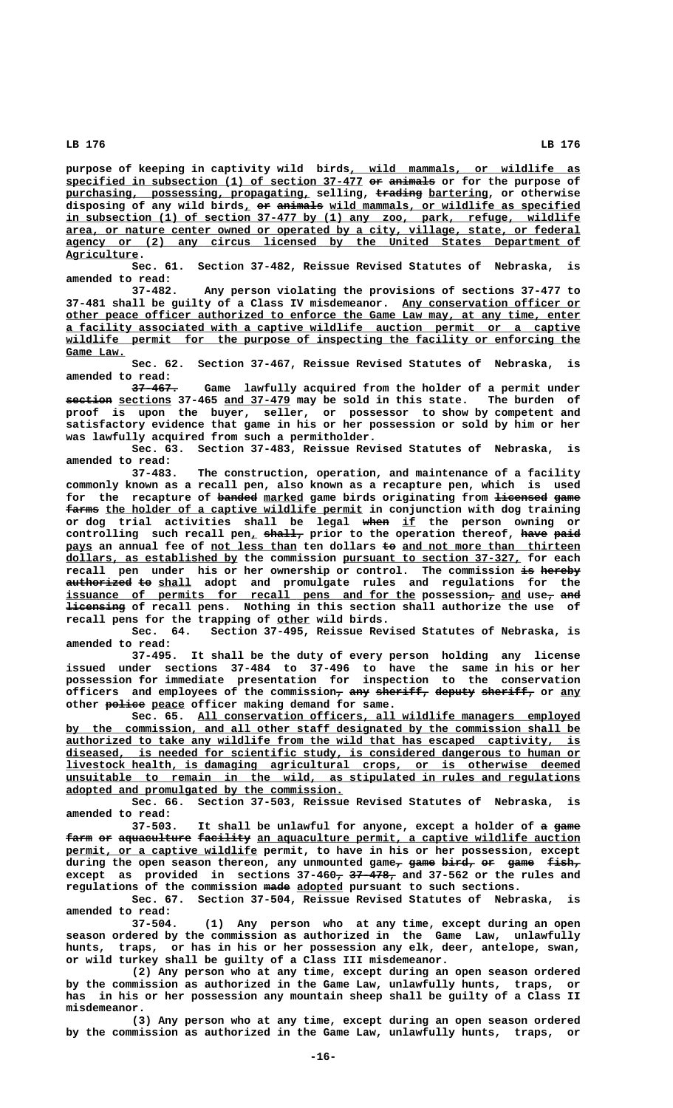**\_\_\_\_\_\_\_\_\_\_\_\_\_\_\_\_\_\_\_\_\_\_\_\_\_\_\_\_\_\_\_\_\_\_\_ purpose of keeping in captivity wild birds, wild mammals, or wildlife as specified in subsection (1) of section 37-477 or animals or for the purpose of \_\_\_\_\_\_\_\_\_\_\_\_\_\_\_\_\_\_\_\_\_\_\_\_\_\_\_\_\_\_\_\_\_\_\_\_\_\_\_\_\_\_\_\_\_ —— ——————** purchasing, possessing, propagating, selling, trading bartering, or otherwise disposing of any wild birds, or animals wild mammals, or wildlife as specified  **\_\_\_\_\_\_\_\_\_\_\_\_\_\_\_\_\_\_\_\_\_\_\_\_\_\_\_\_\_\_\_\_\_\_\_\_\_\_\_\_\_\_\_\_\_\_\_\_\_\_\_\_\_\_\_\_\_\_\_\_\_\_\_\_\_\_\_\_\_\_\_\_\_\_\_\_\_\_ in subsection (1) of section 37-477 by (1) any zoo, park, refuge, wildlife \_\_\_\_\_\_\_\_\_\_\_\_\_\_\_\_\_\_\_\_\_\_\_\_\_\_\_\_\_\_\_\_\_\_\_\_\_\_\_\_\_\_\_\_\_\_\_\_\_\_\_\_\_\_\_\_\_\_\_\_\_\_\_\_\_\_\_\_\_\_\_\_\_\_\_\_\_\_ area, or nature center owned or operated by a city, village, state, or federal \_\_\_\_\_\_\_\_\_\_\_\_\_\_\_\_\_\_\_\_\_\_\_\_\_\_\_\_\_\_\_\_\_\_\_\_\_\_\_\_\_\_\_\_\_\_\_\_\_\_\_\_\_\_\_\_\_\_\_\_\_\_\_\_\_\_\_\_\_\_\_\_\_\_\_\_\_\_ agency or (2) any circus licensed by the United States Department of Agriculture. \_\_\_\_\_\_\_\_\_\_\_**

> **Sec. 61. Section 37-482, Reissue Revised Statutes of Nebraska, is amended to read:**

> **37-482. Any person violating the provisions of sections 37-477 to** 37-481 shall be guilty of a Class IV misdemeanor. Any conservation officer or  **\_\_\_\_\_\_\_\_\_\_\_\_\_\_\_\_\_\_\_\_\_\_\_\_\_\_\_\_\_\_\_\_\_\_\_\_\_\_\_\_\_\_\_\_\_\_\_\_\_\_\_\_\_\_\_\_\_\_\_\_\_\_\_\_\_\_\_\_\_\_\_\_\_\_\_\_\_\_ other peace officer authorized to enforce the Game Law may, at any time, enter \_\_\_\_\_\_\_\_\_\_\_\_\_\_\_\_\_\_\_\_\_\_\_\_\_\_\_\_\_\_\_\_\_\_\_\_\_\_\_\_\_\_\_\_\_\_\_\_\_\_\_\_\_\_\_\_\_\_\_\_\_\_\_\_\_\_\_\_\_\_\_\_\_\_\_\_\_\_ a facility associated with a captive wildlife auction permit or a captive \_\_\_\_\_\_\_\_\_\_\_\_\_\_\_\_\_\_\_\_\_\_\_\_\_\_\_\_\_\_\_\_\_\_\_\_\_\_\_\_\_\_\_\_\_\_\_\_\_\_\_\_\_\_\_\_\_\_\_\_\_\_\_\_\_\_\_\_\_\_\_\_\_\_\_\_\_\_ wildlife permit for the purpose of inspecting the facility or enforcing the Game Law. \_\_\_\_\_\_\_\_\_**

> **Sec. 62. Section 37-467, Reissue Revised Statutes of Nebraska, is amended to read:**

> Game lawfully acquired from the holder of a permit under **section** sections 37-465 and 37-479 may be sold in this state. The burden of **proof is upon the buyer, seller, or possessor to show by competent and satisfactory evidence that game in his or her possession or sold by him or her was lawfully acquired from such a permitholder.**

> **Sec. 63. Section 37-483, Reissue Revised Statutes of Nebraska, is**

**amended to read: 37-483. The construction, operation, and maintenance of a facility commonly known as a recall pen, also known as a recapture pen, which is used** for the recapture of banded marked game birds originating from licensed game  $f$ arms the holder of a captive wildlife permit in conjunction with dog training **or dog trial activities shall be legal when if the person owning or ———— \_\_** controlling such recall pen<sub>1</sub> shall, prior to the operation thereof, have paid pays an annual fee of not less than ten dollars to and not more than thirteen  **\_\_\_\_\_\_\_\_\_\_\_\_\_\_\_\_\_\_\_\_\_\_\_\_\_\_ \_\_\_\_\_\_\_\_\_\_\_\_\_\_\_\_\_\_\_\_\_\_\_\_\_\_\_ dollars, as established by the commission pursuant to section 37-327, for each recall pen under his or her ownership or control. The commission is hereby —— ————— authorized to shall adopt and promulgate rules and regulations for the —————————— —— \_\_\_\_\_**  $\tt{issumce}$  of  $\tt{permits}$  for  $\tt{recall}$   $\tt{pens}$  and for the possession $_{\cal{T}}$  and use $_{\cal{T}}$  a<del>nd</del>  **————————— licensing of recall pens. Nothing in this section shall authorize the use of \_\_\_\_\_ recall pens for the trapping of other wild birds.**

**Sec. 64. Section 37-495, Reissue Revised Statutes of Nebraska, is amended to read:**

**37-495. It shall be the duty of every person holding any license issued under sections 37-484 to 37-496 to have the same in his or her possession for immediate presentation for inspection to the conservation** officers and employees of the commission<sub>7</sub> any sheriff, deputy sheriff, or any other  $\frac{1}{100}$  **police** peace officer making demand for same.

 **\_\_\_\_\_\_\_\_\_\_\_\_\_\_\_\_\_\_\_\_\_\_\_\_\_\_\_\_\_\_\_\_\_\_\_\_\_\_\_\_\_\_\_\_\_\_\_\_\_\_\_\_\_\_\_\_\_\_ Sec. 65. All conservation officers, all wildlife managers employed \_\_\_\_\_\_\_\_\_\_\_\_\_\_\_\_\_\_\_\_\_\_\_\_\_\_\_\_\_\_\_\_\_\_\_\_\_\_\_\_\_\_\_\_\_\_\_\_\_\_\_\_\_\_\_\_\_\_\_\_\_\_\_\_\_\_\_\_\_\_\_\_\_\_\_\_\_\_ by the commission, and all other staff designated by the commission shall be \_\_\_\_\_\_\_\_\_\_\_\_\_\_\_\_\_\_\_\_\_\_\_\_\_\_\_\_\_\_\_\_\_\_\_\_\_\_\_\_\_\_\_\_\_\_\_\_\_\_\_\_\_\_\_\_\_\_\_\_\_\_\_\_\_\_\_\_\_\_\_\_\_\_\_\_\_\_ authorized to take any wildlife from the wild that has escaped captivity, is \_\_\_\_\_\_\_\_\_\_\_\_\_\_\_\_\_\_\_\_\_\_\_\_\_\_\_\_\_\_\_\_\_\_\_\_\_\_\_\_\_\_\_\_\_\_\_\_\_\_\_\_\_\_\_\_\_\_\_\_\_\_\_\_\_\_\_\_\_\_\_\_\_\_\_\_\_\_ diseased, is needed for scientific study, is considered dangerous to human or \_\_\_\_\_\_\_\_\_\_\_\_\_\_\_\_\_\_\_\_\_\_\_\_\_\_\_\_\_\_\_\_\_\_\_\_\_\_\_\_\_\_\_\_\_\_\_\_\_\_\_\_\_\_\_\_\_\_\_\_\_\_\_\_\_\_\_\_\_\_\_\_\_\_\_\_\_\_ livestock health, is damaging agricultural crops, or is otherwise deemed \_\_\_\_\_\_\_\_\_\_\_\_\_\_\_\_\_\_\_\_\_\_\_\_\_\_\_\_\_\_\_\_\_\_\_\_\_\_\_\_\_\_\_\_\_\_\_\_\_\_\_\_\_\_\_\_\_\_\_\_\_\_\_\_\_\_\_\_\_\_\_\_\_\_\_\_\_\_ unsuitable to remain in the wild, as stipulated in rules and regulations \_\_\_\_\_\_\_\_\_\_\_\_\_\_\_\_\_\_\_\_\_\_\_\_\_\_\_\_\_\_\_\_\_\_\_\_\_\_\_\_\_\_ adopted and promulgated by the commission.**

**Sec. 66. Section 37-503, Reissue Revised Statutes of Nebraska, is amended to read:**

It shall be unlawful for anyone, except a holder of a game farm or aquaculture facility an aquaculture permit, a captive wildlife auction **permit, or a captive wildlife permit, to have in his or her possession, except** during the open season thereon, any unmounted game<sub>r</sub> game bird, or game fish, except as provided in sections  $37-460$ <sup> $7$ </sup>  $37-478$ <sup> $7$ </sup> and  $37-562$  or the rules and regulations of the commission made adopted pursuant to such sections.

**Sec. 67. Section 37-504, Reissue Revised Statutes of Nebraska, is amended to read:**

**37-504. (1) Any person who at any time, except during an open season ordered by the commission as authorized in the Game Law, unlawfully hunts, traps, or has in his or her possession any elk, deer, antelope, swan, or wild turkey shall be guilty of a Class III misdemeanor.**

**(2) Any person who at any time, except during an open season ordered by the commission as authorized in the Game Law, unlawfully hunts, traps, or has in his or her possession any mountain sheep shall be guilty of a Class II misdemeanor.**

**(3) Any person who at any time, except during an open season ordered by the commission as authorized in the Game Law, unlawfully hunts, traps, or**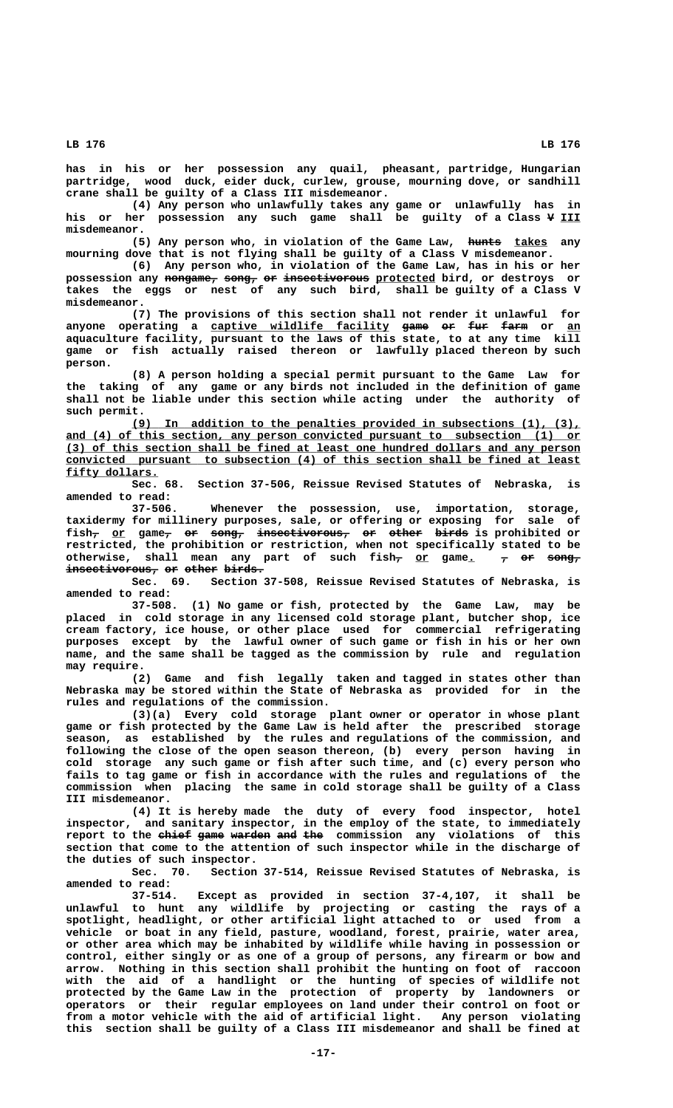**has in his or her possession any quail, pheasant, partridge, Hungarian partridge, wood duck, eider duck, curlew, grouse, mourning dove, or sandhill crane shall be guilty of a Class III misdemeanor.**

**(4) Any person who unlawfully takes any game or unlawfully has in** his or her possession any such game shall be guilty of a Class  $\frac{1}{2}$  III  **misdemeanor.**

(5) Any person who, in violation of the Game Law, hunts takes any **mourning dove that is not flying shall be guilty of a Class V misdemeanor.**

**(6) Any person who, in violation of the Game Law, has in his or her** possession any nongame, song, or insectivorous protected bird, or destroys or **takes the eggs or nest of any such bird, shall be guilty of a Class V misdemeanor.**

**(7) The provisions of this section shall not render it unlawful for** anyone operating a captive wildlife facility game or fur farm or an **aquaculture facility, pursuant to the laws of this state, to at any time kill game or fish actually raised thereon or lawfully placed thereon by such person.**

**(8) A person holding a special permit pursuant to the Game Law for the taking of any game or any birds not included in the definition of game shall not be liable under this section while acting under the authority of**

 **such permit.** In addition to the penalties provided in subsections (1), (3),  **\_\_\_\_\_\_\_\_\_\_\_\_\_\_\_\_\_\_\_\_\_\_\_\_\_\_\_\_\_\_\_\_\_\_\_\_\_\_\_\_\_\_\_\_\_\_\_\_\_\_\_\_\_\_\_\_\_\_\_\_\_\_\_\_\_\_\_\_\_\_\_\_\_\_\_\_\_\_ and (4) of this section, any person convicted pursuant to subsection (1) or \_\_\_\_\_\_\_\_\_\_\_\_\_\_\_\_\_\_\_\_\_\_\_\_\_\_\_\_\_\_\_\_\_\_\_\_\_\_\_\_\_\_\_\_\_\_\_\_\_\_\_\_\_\_\_\_\_\_\_\_\_\_\_\_\_\_\_\_\_\_\_\_\_\_\_\_\_\_ (3) of this section shall be fined at least one hundred dollars and any person \_\_\_\_\_\_\_\_\_\_\_\_\_\_\_\_\_\_\_\_\_\_\_\_\_\_\_\_\_\_\_\_\_\_\_\_\_\_\_\_\_\_\_\_\_\_\_\_\_\_\_\_\_\_\_\_\_\_\_\_\_\_\_\_\_\_\_\_\_\_\_\_\_\_\_\_\_\_ convicted pursuant to subsection (4) of this section shall be fined at least fifty dollars. \_\_\_\_\_\_\_\_\_\_\_\_\_\_**

**Sec. 68. Section 37-506, Reissue Revised Statutes of Nebraska, is amended to read:**

**37-506. Whenever the possession, use, importation, storage, taxidermy for millinery purposes, sale, or offering or exposing for sale of**  $\texttt{fish_{\tau}}$  o<u>r</u> game<del>,</del> <del>or</del> song, insectivorous, or other birds</del> is prohibited or **restricted, the prohibition or restriction, when not specifically stated to be** otherwise, shall mean any part of such fish<sub>7</sub> or game. 7 or song<sub>7</sub>  $i$ nsectivorous, or other birds.

**Sec. 69. Section 37-508, Reissue Revised Statutes of Nebraska, is amended to read:**

**37-508. (1) No game or fish, protected by the Game Law, may be placed in cold storage in any licensed cold storage plant, butcher shop, ice cream factory, ice house, or other place used for commercial refrigerating purposes except by the lawful owner of such game or fish in his or her own name, and the same shall be tagged as the commission by rule and regulation**

 **may require. (2) Game and fish legally taken and tagged in states other than Nebraska may be stored within the State of Nebraska as provided for in the rules and regulations of the commission.**

**(3)(a) Every cold storage plant owner or operator in whose plant game or fish protected by the Game Law is held after the prescribed storage season, as established by the rules and regulations of the commission, and following the close of the open season thereon, (b) every person having in cold storage any such game or fish after such time, and (c) every person who fails to tag game or fish in accordance with the rules and regulations of the commission when placing the same in cold storage shall be guilty of a Class III misdemeanor.**

**(4) It is hereby made the duty of every food inspector, hotel inspector, and sanitary inspector, in the employ of the state, to immediately** report to the ehief game warden and the commission any violations of this **section that come to the attention of such inspector while in the discharge of the duties of such inspector.**

**Sec. 70. Section 37-514, Reissue Revised Statutes of Nebraska, is amended to read:**

**37-514. Except as provided in section 37-4,107, it shall be unlawful to hunt any wildlife by projecting or casting the rays of a spotlight, headlight, or other artificial light attached to or used from a vehicle or boat in any field, pasture, woodland, forest, prairie, water area, or other area which may be inhabited by wildlife while having in possession or control, either singly or as one of a group of persons, any firearm or bow and arrow. Nothing in this section shall prohibit the hunting on foot of raccoon with the aid of a handlight or the hunting of species of wildlife not protected by the Game Law in the protection of property by landowners or operators or their regular employees on land under their control on foot or from a motor vehicle with the aid of artificial light. Any person violating this section shall be guilty of a Class III misdemeanor and shall be fined at**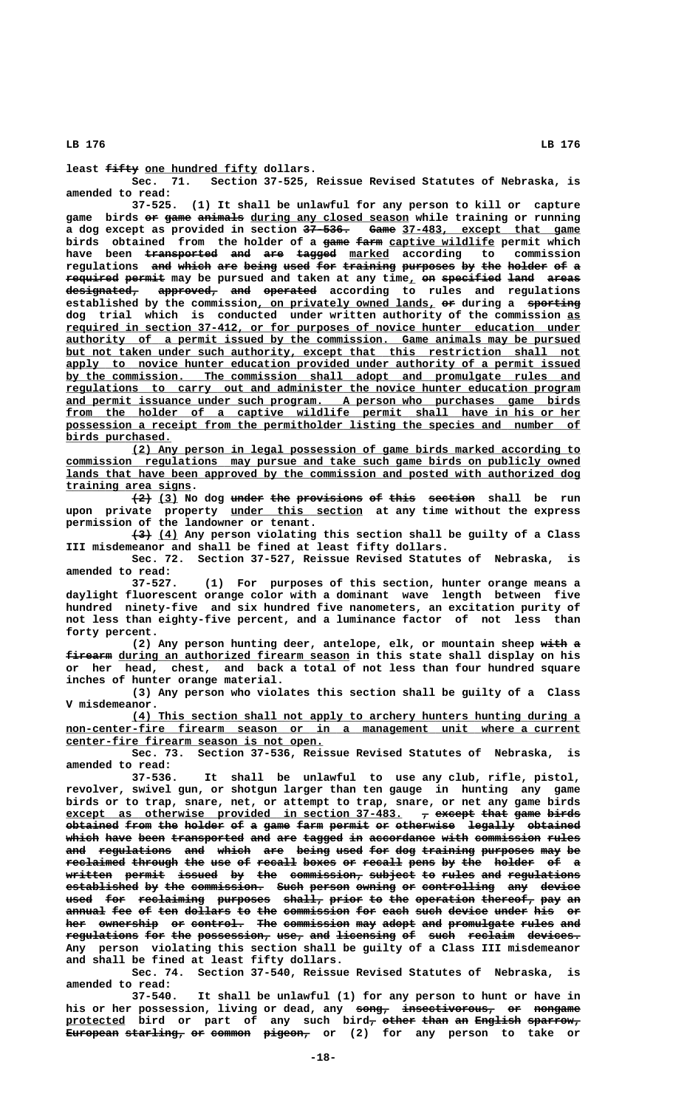**least <del>fifty</del> one hundred fifty dollars.**<br>: Sec. 71. Section 37-525,

Section 37-525, Reissue Revised Statutes of Nebraska, is **amended to read:**

**37-525. (1) It shall be unlawful for any person to kill or capture** game birds or game animals during any closed season while training or running a dog except as provided in section 37-536. Game 37-483, except that game birds obtained from the holder of a game farm captive wildlife permit which have been <del>transported and are tagged</del> marked according to commission regulations and which are being used for training purposes by the holder of a **required permit may be pursued and taken at any time, on specified land areas designated, approved, and operated according to rules and regulations ——————————— ————————— ——— ———————** established by the commission, on privately owned lands, or during a sporting **dog trial which is conducted under written authority of the commission as\_\_ \_\_\_\_\_\_\_\_\_\_\_\_\_\_\_\_\_\_\_\_\_\_\_\_\_\_\_\_\_\_\_\_\_\_\_\_\_\_\_\_\_\_\_\_\_\_\_\_\_\_\_\_\_\_\_\_\_\_\_\_\_\_\_\_\_\_\_\_\_\_\_\_\_\_\_\_\_\_ required in section 37-412, or for purposes of novice hunter education under \_\_\_\_\_\_\_\_\_\_\_\_\_\_\_\_\_\_\_\_\_\_\_\_\_\_\_\_\_\_\_\_\_\_\_\_\_\_\_\_\_\_\_\_\_\_\_\_\_\_\_\_\_\_\_\_\_\_\_\_\_\_\_\_\_\_\_\_\_\_\_\_\_\_\_\_\_\_ authority of a permit issued by the commission. Game animals may be pursued** but not taken under such authority, except that this restriction shall not apply to novice hunter education provided under authority of a permit issued  **\_\_\_\_\_\_\_\_\_\_\_\_\_\_\_\_\_\_\_\_\_\_\_\_\_\_\_\_\_\_\_\_\_\_\_\_\_\_\_\_\_\_\_\_\_\_\_\_\_\_\_\_\_\_\_\_\_\_\_\_\_\_\_\_\_\_\_\_\_\_\_\_\_\_\_\_\_\_ by the commission. The commission shall adopt and promulgate rules and \_\_\_\_\_\_\_\_\_\_\_\_\_\_\_\_\_\_\_\_\_\_\_\_\_\_\_\_\_\_\_\_\_\_\_\_\_\_\_\_\_\_\_\_\_\_\_\_\_\_\_\_\_\_\_\_\_\_\_\_\_\_\_\_\_\_\_\_\_\_\_\_\_\_\_\_\_\_ regulations to carry out and administer the novice hunter education program** and permit issuance under such program. A person who purchases game birds from the holder of a captive wildlife permit shall have in his or her  **\_\_\_\_\_\_\_\_\_\_\_\_\_\_\_\_\_\_\_\_\_\_\_\_\_\_\_\_\_\_\_\_\_\_\_\_\_\_\_\_\_\_\_\_\_\_\_\_\_\_\_\_\_\_\_\_\_\_\_\_\_\_\_\_\_\_\_\_\_\_\_\_\_\_\_\_\_\_ possession a receipt from the permitholder listing the species and number of birds purchased. \_\_\_\_\_\_\_\_\_\_\_\_\_\_\_\_**

 **\_\_\_\_\_\_\_\_\_\_\_\_\_\_\_\_\_\_\_\_\_\_\_\_\_\_\_\_\_\_\_\_\_\_\_\_\_\_\_\_\_\_\_\_\_\_\_\_\_\_\_\_\_\_\_\_\_\_\_\_\_\_\_\_\_\_\_\_ (2) Any person in legal possession of game birds marked according to \_\_\_\_\_\_\_\_\_\_\_\_\_\_\_\_\_\_\_\_\_\_\_\_\_\_\_\_\_\_\_\_\_\_\_\_\_\_\_\_\_\_\_\_\_\_\_\_\_\_\_\_\_\_\_\_\_\_\_\_\_\_\_\_\_\_\_\_\_\_\_\_\_\_\_\_\_\_ commission regulations may pursue and take such game birds on publicly owned \_\_\_\_\_\_\_\_\_\_\_\_\_\_\_\_\_\_\_\_\_\_\_\_\_\_\_\_\_\_\_\_\_\_\_\_\_\_\_\_\_\_\_\_\_\_\_\_\_\_\_\_\_\_\_\_\_\_\_\_\_\_\_\_\_\_\_\_\_\_\_\_\_\_\_\_\_\_ lands that have been approved by the commission and posted with authorized dog \_\_\_\_\_\_\_\_\_\_\_\_\_\_\_\_\_\_\_ training area signs.**

 $(2)$  (3) No dog under the provisions of this section shall be run  **\_\_\_\_\_\_\_\_\_\_\_\_\_\_\_\_\_\_\_\_ upon private property under this section at any time without the express permission of the landowner or tenant.**

 **——— \_\_\_ (3) (4) Any person violating this section shall be guilty of a Class III misdemeanor and shall be fined at least fifty dollars.**

**Sec. 72. Section 37-527, Reissue Revised Statutes of Nebraska, is amended to read:**

**37-527. (1) For purposes of this section, hunter orange means a daylight fluorescent orange color with a dominant wave length between five hundred ninety-five and six hundred five nanometers, an excitation purity of not less than eighty-five percent, and a luminance factor of not less than forty percent.**

(2) Any person hunting deer, antelope, elk, or mountain sheep with a  $f$ **irearm** during an authorized firearm season in this state shall display on his **or her head, chest, and back a total of not less than four hundred square inches of hunter orange material.**

**(3) Any person who violates this section shall be guilty of a Class V misdemeanor.**

 **\_\_\_\_\_\_\_\_\_\_\_\_\_\_\_\_\_\_\_\_\_\_\_\_\_\_\_\_\_\_\_\_\_\_\_\_\_\_\_\_\_\_\_\_\_\_\_\_\_\_\_\_\_\_\_\_\_\_\_\_\_\_\_\_\_\_\_\_ (4) This section shall not apply to archery hunters hunting during a**  $non-center-free$  firearm season or in a management unit where a current  **\_\_\_\_\_\_\_\_\_\_\_\_\_\_\_\_\_\_\_\_\_\_\_\_\_\_\_\_\_\_\_\_\_\_\_\_\_\_\_ center-fire firearm season is not open.**

**Sec. 73. Section 37-536, Reissue Revised Statutes of Nebraska, is amended to read:**

It shall be unlawful to use any club, rifle, pistol, **revolver, swivel gun, or shotgun larger than ten gauge in hunting any game birds or to trap, snare, net, or attempt to trap, snare, or net any game birds** except as otherwise provided in section 37-483.  $\tau$  except that game birds **obtained from the holder of a game farm permit or otherwise legally obtained ———————— ———— ——— —————— —— — ———— ———— —————— —— ————————— ——————— ———————** which have been transported and are tagged in accordance with commission rules and regulations and which are being used for dog training purposes may be reclaimed through the use of recall boxes or recall pens by the holder of a **written permit issued by the commission, subject to rules and regulations ——————— —————— —————— —— ——— ——————————— ——————— —— ————— ——— —————————— established by the commission. Such person owning or controlling any device ——————————— —— ——— ——————————— ———— —————— —————— —— ——————————— ——— ————— used for reclaiming purposes shall, prior to the operation thereof, pay an ———— ——— —————————— ———————— —————— ————— —— ——— ————————— ———————— ——— —** annual fee of ten dollars to the commission for each such device under his or **her ownership or control. The commission may adopt and promulgate rules and ——— ————————— —— ———————— ——— —————————— ——— ————— ——— —————————— ————— ———**  $\texttt{regulation of the possession}\$   $\texttt{use}$   $\texttt{a}$   $\texttt{use}$   $\texttt{use}$   $\texttt{use}$   $\texttt{use}$   $\texttt{use}$   $\texttt{use}$   $\texttt{use}$   $\texttt{use}$ **Any person violating this section shall be guilty of a Class III misdemeanor and shall be fined at least fifty dollars.**

**Sec. 74. Section 37-540, Reissue Revised Statutes of Nebraska, is amended to read:**

**37-540. It shall be unlawful (1) for any person to hunt or have in** his or her possession, living or dead, any song, insectivorous, or nongame **protected bird or part of any such bird, other than an English sparrow, \_\_\_\_\_\_\_\_\_ — ————— ———— —— ——————— ———————— European starling, or common pigeon, or (2) for any person to take or ———————— ————————— —— —————— ———————**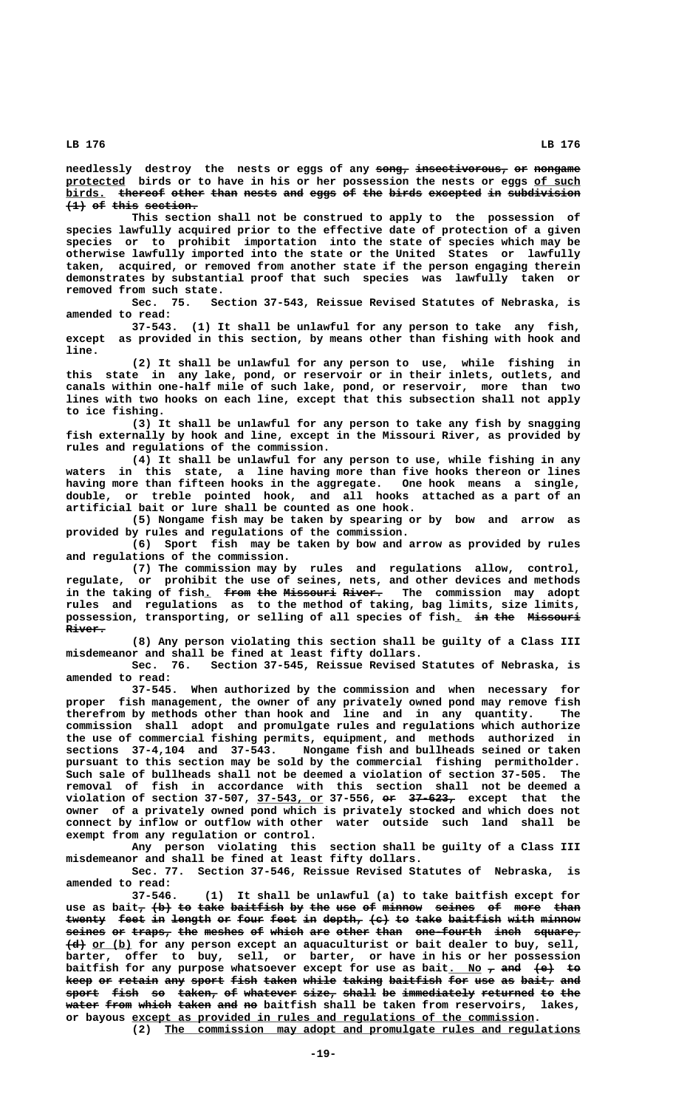${\bf n}$  edlessly destroy the nests or eggs of any  ${\bf n}$   ${\bf o}$   ${\bf n}$   ${\bf n}$   ${\bf n}$   ${\bf o}$   ${\bf n}$   ${\bf o}$   ${\bf n}$   ${\bf n}$   ${\bf n}$   ${\bf n}$   ${\bf n}$ protected birds or to have in his or her possession the nests or eggs of such birds. thereof other than nests and eggs of the birds excepted in subdivision  $\overline{+1}$  of this section.

**This section shall not be construed to apply to the possession of species lawfully acquired prior to the effective date of protection of a given species or to prohibit importation into the state of species which may be otherwise lawfully imported into the state or the United States or lawfully taken, acquired, or removed from another state if the person engaging therein demonstrates by substantial proof that such species was lawfully taken or removed from such state.**

**Sec. 75. Section 37-543, Reissue Revised Statutes of Nebraska, is amended to read:**

**37-543. (1) It shall be unlawful for any person to take any fish, except as provided in this section, by means other than fishing with hook and line.**

**(2) It shall be unlawful for any person to use, while fishing in this state in any lake, pond, or reservoir or in their inlets, outlets, and canals within one-half mile of such lake, pond, or reservoir, more than two lines with two hooks on each line, except that this subsection shall not apply to ice fishing.**

**(3) It shall be unlawful for any person to take any fish by snagging fish externally by hook and line, except in the Missouri River, as provided by rules and regulations of the commission.**

**(4) It shall be unlawful for any person to use, while fishing in any waters in this state, a line having more than five hooks thereon or lines having more than fifteen hooks in the aggregate. One hook means a single, double, or treble pointed hook, and all hooks attached as a part of an artificial bait or lure shall be counted as one hook.**

**(5) Nongame fish may be taken by spearing or by bow and arrow as provided by rules and regulations of the commission.**

**(6) Sport fish may be taken by bow and arrow as provided by rules and regulations of the commission.**

**(7) The commission may by rules and regulations allow, control, regulate, or prohibit the use of seines, nets, and other devices and methods** in the taking of fish<sub>1</sub> from the Missouri River. The commission may adopt **rules and regulations as to the method of taking, bag limits, size limits,** possession, transporting, or selling of all species of fish. in the Missouri  **River. ——————**

**(8) Any person violating this section shall be guilty of a Class III misdemeanor and shall be fined at least fifty dollars.**

Section 37-545, Reissue Revised Statutes of Nebraska, is **amended to read:**

**37-545. When authorized by the commission and when necessary for proper fish management, the owner of any privately owned pond may remove fish therefrom by methods other than hook and line and in any quantity. The commission shall adopt and promulgate rules and regulations which authorize the use of commercial fishing permits, equipment, and methods authorized in sections 37-4,104 and 37-543. Nongame fish and bullheads seined or taken pursuant to this section may be sold by the commercial fishing permitholder. Such sale of bullheads shall not be deemed a violation of section 37-505. The removal of fish in accordance with this section shall not be deemed a \_\_\_\_\_\_\_\_\_\_ —— ——————— violation of section 37-507, 37-543, or 37-556, or 37-623, except that the owner of a privately owned pond which is privately stocked and which does not connect by inflow or outflow with other water outside such land shall be exempt from any regulation or control.**

**Any person violating this section shall be guilty of a Class III misdemeanor and shall be fined at least fifty dollars.**

**Sec. 77. Section 37-546, Reissue Revised Statutes of Nebraska, is amended to read:**

**37-546. (1) It shall be unlawful (a) to take baitfish except for** use as bait<sub>7</sub> (b) to take baitfish by the use of minnow seines of more than twenty feet in length or four feet in depth, (c) to take baitfish with minnow  $s$ eines or traps, the meshes of which are other than one-fourth inch square,  **——— \_\_\_\_\_\_ (d) or (b) for any person except an aquaculturist or bait dealer to buy, sell, barter, offer to buy, sell, or barter, or have in his or her possession** baitfish for any purpose whatsoever except for use as bait. No  $\tau$  and  $\leftarrow$  to **keep or retain any sport fish taken while taking baitfish for use as bait, and** sport fish so taken, of whatever size, shall be immediately returned to the **water from which taken and no baitfish shall be taken from reservoirs, lakes, \_\_\_\_\_\_\_\_\_\_\_\_\_\_\_\_\_\_\_\_\_\_\_\_\_\_\_\_\_\_\_\_\_\_\_\_\_\_\_\_\_\_\_\_\_\_\_\_\_\_\_\_\_\_\_\_\_\_\_\_\_ or bayous except as provided in rules and regulations of the commission.**

 **\_\_\_\_\_\_\_\_\_\_\_\_\_\_\_\_\_\_\_\_\_\_\_\_\_\_\_\_\_\_\_\_\_\_\_\_\_\_\_\_\_\_\_\_\_\_\_\_\_\_\_\_\_\_\_\_\_\_\_\_\_\_\_ (2) The commission may adopt and promulgate rules and regulations**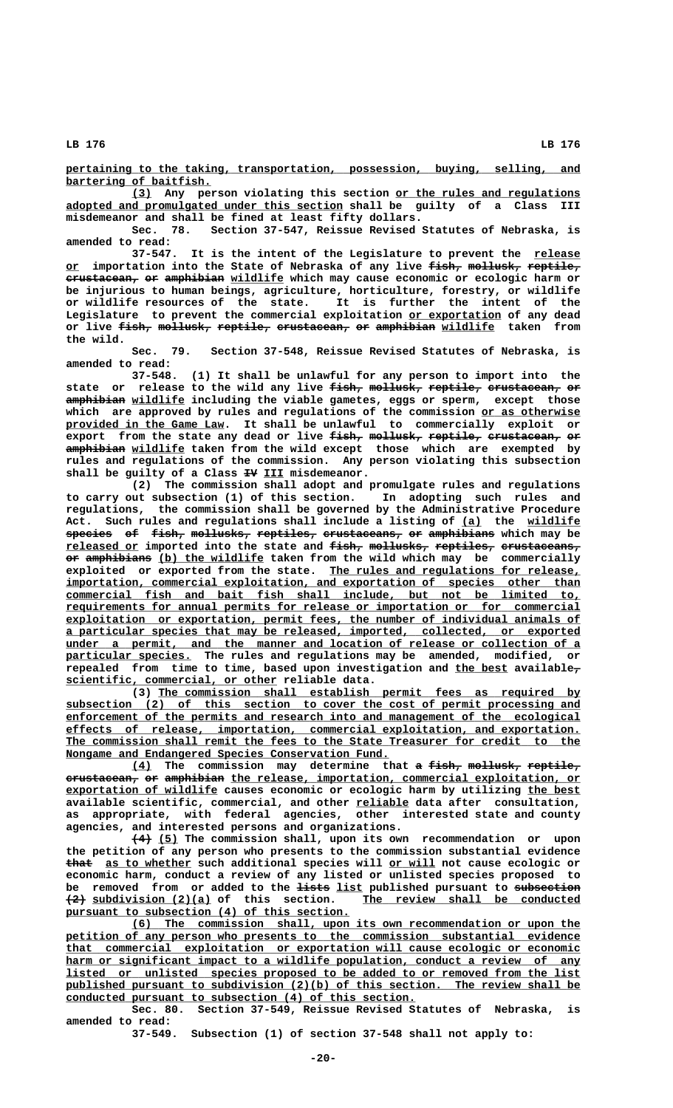**\_\_\_\_\_\_\_\_\_\_\_\_\_\_\_\_\_\_\_\_\_\_\_\_\_\_\_\_\_\_\_\_\_\_\_\_\_\_\_\_\_\_\_\_\_\_\_\_\_\_\_\_\_\_\_\_\_\_\_\_\_\_\_\_\_\_\_\_\_\_\_\_\_\_\_\_\_\_ pertaining to the taking, transportation, possession, buying, selling, and \_\_\_\_\_\_\_\_\_\_\_\_\_\_\_\_\_\_\_\_\_\_ bartering of baitfish.**

 **\_\_\_ \_\_\_\_\_\_\_\_\_\_\_\_\_\_\_\_\_\_\_\_\_\_\_\_\_\_\_\_ (3) Any person violating this section or the rules and regulations \_\_\_\_\_\_\_\_\_\_\_\_\_\_\_\_\_\_\_\_\_\_\_\_\_\_\_\_\_\_\_\_\_\_\_\_\_\_\_\_\_\_ adopted and promulgated under this section shall be guilty of a Class III misdemeanor and shall be fined at least fifty dollars.**

**Sec. 78. Section 37-547, Reissue Revised Statutes of Nebraska, is amended to read:**

It is the intent of the Legislature to prevent the release or importation into the State of Nebraska of any live fish, mollusk, reptile,  $c$ **erustacean, or amphibian wildlife** which may cause economic or ecologic harm or **be injurious to human beings, agriculture, horticulture, forestry, or wildlife or wildlife resources of the state. It is further the intent of the** Legislature to prevent the commercial exploitation or exportation of any dead or live <del>fish, mollusk, reptile, crustacean, er amphibian</del> wildlife taken from  **the wild.**

**Sec. 79. Section 37-548, Reissue Revised Statutes of Nebraska, is amended to read:**

**37-548. (1) It shall be unlawful for any person to import into the** state or release to the wild any live  $f$ <sup>igh</sup>, mollusk, reptile, crustacean, or  **————————— \_\_\_\_\_\_\_\_ amphibian wildlife including the viable gametes, eggs or sperm, except those** which are approved by rules and regulations of the commission or as otherwise  **\_\_\_\_\_\_\_\_\_\_\_\_\_\_\_\_\_\_\_\_\_\_\_\_ provided in the Game Law. It shall be unlawful to commercially exploit or export from the state any dead or live fish, mollusk, reptile, crustacean, or ————— ———————— ———————— ——————————— —— ————————— \_\_\_\_\_\_\_\_ amphibian wildlife taken from the wild except those which are exempted by rules and regulations of the commission. Any person violating this subsection** shall be guilty of a Class  $\exists \Psi$  III misdemeanor.

> **(2) The commission shall adopt and promulgate rules and regulations to carry out subsection (1) of this section. In adopting such rules and regulations, the commission shall be governed by the Administrative Procedure** Act. Such rules and regulations shall include a listing of (a) the wildlife  $\frac{1}{\text{species}}$  of figh, mollusks, reptiles, crustaceans, or amphibians which may be **released or imported into the state and fish, mollusks, reptiles, crustaceans, \_\_\_\_\_\_\_\_\_\_\_ ————— ————————— ————————— ———————————**  $o$ **r** amphibians (b) the wildlife taken from the wild which may be commercially exploited or exported from the state. The rules and regulations for release,  $\frac{1}{2}$  **importation, commercial exploitation, and exportation of species other than \_\_\_\_\_\_\_\_\_\_\_\_\_\_\_\_\_\_\_\_\_\_\_\_\_\_\_\_\_\_\_\_\_\_\_\_\_\_\_\_\_\_\_\_\_\_\_\_\_\_\_\_\_\_\_\_\_\_\_\_\_\_\_\_\_\_\_\_\_\_\_\_\_\_\_\_\_\_ commercial fish and bait fish shall include, but not be limited to, \_\_\_\_\_\_\_\_\_\_\_\_\_\_\_\_\_\_\_\_\_\_\_\_\_\_\_\_\_\_\_\_\_\_\_\_\_\_\_\_\_\_\_\_\_\_\_\_\_\_\_\_\_\_\_\_\_\_\_\_\_\_\_\_\_\_\_\_\_\_\_\_\_\_\_\_\_\_ requirements for annual permits for release or importation or for commercial \_\_\_\_\_\_\_\_\_\_\_\_\_\_\_\_\_\_\_\_\_\_\_\_\_\_\_\_\_\_\_\_\_\_\_\_\_\_\_\_\_\_\_\_\_\_\_\_\_\_\_\_\_\_\_\_\_\_\_\_\_\_\_\_\_\_\_\_\_\_\_\_\_\_\_\_\_\_ exploitation or exportation, permit fees, the number of individual animals of \_\_\_\_\_\_\_\_\_\_\_\_\_\_\_\_\_\_\_\_\_\_\_\_\_\_\_\_\_\_\_\_\_\_\_\_\_\_\_\_\_\_\_\_\_\_\_\_\_\_\_\_\_\_\_\_\_\_\_\_\_\_\_\_\_\_\_\_\_\_\_\_\_\_\_\_\_\_ a particular species that may be released, imported, collected, or exported \_\_\_\_\_\_\_\_\_\_\_\_\_\_\_\_\_\_\_\_\_\_\_\_\_\_\_\_\_\_\_\_\_\_\_\_\_\_\_\_\_\_\_\_\_\_\_\_\_\_\_\_\_\_\_\_\_\_\_\_\_\_\_\_\_\_\_\_\_\_\_\_\_\_\_\_\_\_ under a permit, and the manner and location of release or collection of a \_\_\_\_\_\_\_\_\_\_\_\_\_\_\_\_\_\_\_ particular species. The rules and regulations may be amended, modified, or repealed from time to time, based upon investigation and the best available, \_\_\_\_\_\_\_\_ — \_\_\_\_\_\_\_\_\_\_\_\_\_\_\_\_\_\_\_\_\_\_\_\_\_\_\_\_\_\_\_\_ scientific, commercial, or other reliable data.**

 **\_\_\_\_\_\_\_\_\_\_\_\_\_\_\_\_\_\_\_\_\_\_\_\_\_\_\_\_\_\_\_\_\_\_\_\_\_\_\_\_\_\_\_\_\_\_\_\_\_\_\_\_\_\_\_\_\_\_\_\_\_\_\_\_ (3) The commission shall establish permit fees as required by** subsection (2) of this section to cover the cost of permit processing and  **\_\_\_\_\_\_\_\_\_\_\_\_\_\_\_\_\_\_\_\_\_\_\_\_\_\_\_\_\_\_\_\_\_\_\_\_\_\_\_\_\_\_\_\_\_\_\_\_\_\_\_\_\_\_\_\_\_\_\_\_\_\_\_\_\_\_\_\_\_\_\_\_\_\_\_\_\_\_ enforcement of the permits and research into and management of the ecological \_\_\_\_\_\_\_\_\_\_\_\_\_\_\_\_\_\_\_\_\_\_\_\_\_\_\_\_\_\_\_\_\_\_\_\_\_\_\_\_\_\_\_\_\_\_\_\_\_\_\_\_\_\_\_\_\_\_\_\_\_\_\_\_\_\_\_\_\_\_\_\_\_\_\_\_\_\_ effects of release, importation, commercial exploitation, and exportation.** The commission shall remit the fees to the State Treasurer for credit to the **Nongame and Endangered Species Conservation Fund.** 

> **(4) The commission may determine that a fish, mollusk, reptile, \_\_\_ — ————— ———————— ———————**  $c$ rustacean, or amphibian the release, importation, commercial exploitation, or  **\_\_\_\_\_\_\_\_\_\_\_\_\_\_\_\_\_\_\_\_\_\_\_ \_\_\_\_\_\_\_\_ exportation of wildlife causes economic or ecologic harm by utilizing the best \_\_\_\_\_\_\_\_ available scientific, commercial, and other reliable data after consultation, as appropriate, with federal agencies, other interested state and county agencies, and interested persons and organizations.**

> **——— \_\_\_ (4) (5) The commission shall, upon its own recommendation or upon the petition of any person who presents to the commission substantial evidence ———— \_\_\_\_\_\_\_\_\_\_\_\_\_ \_\_\_\_\_\_\_ that as to whether such additional species will or will not cause ecologic or economic harm, conduct a review of any listed or unlisted species proposed to** be removed from or added to the **lists** list published pursuant to subsection  **——— \_\_\_\_\_\_\_\_\_\_\_\_\_\_\_\_\_\_ \_\_\_\_\_\_\_\_\_\_\_\_\_\_\_\_\_\_\_\_\_\_\_\_\_\_\_\_\_\_\_\_\_ (2) subdivision (2)(a) of this section. The review shall be conducted** pursuant to subsection (4) of this section.

> **\_\_\_\_\_\_\_\_\_\_\_\_\_\_\_\_\_\_\_\_\_\_\_\_\_\_\_\_\_\_\_\_\_\_\_\_\_\_\_\_\_\_\_\_\_\_\_\_\_\_\_\_\_\_\_\_\_\_\_\_\_\_\_\_\_\_\_\_ (6) The commission shall, upon its own recommendation or upon the \_\_\_\_\_\_\_\_\_\_\_\_\_\_\_\_\_\_\_\_\_\_\_\_\_\_\_\_\_\_\_\_\_\_\_\_\_\_\_\_\_\_\_\_\_\_\_\_\_\_\_\_\_\_\_\_\_\_\_\_\_\_\_\_\_\_\_\_\_\_\_\_\_\_\_\_\_\_ petition of any person who presents to the commission substantial evidence \_\_\_\_\_\_\_\_\_\_\_\_\_\_\_\_\_\_\_\_\_\_\_\_\_\_\_\_\_\_\_\_\_\_\_\_\_\_\_\_\_\_\_\_\_\_\_\_\_\_\_\_\_\_\_\_\_\_\_\_\_\_\_\_\_\_\_\_\_\_\_\_\_\_\_\_\_\_ that commercial exploitation or exportation will cause ecologic or economic** harm or significant impact to a wildlife population, conduct a review of any  **\_\_\_\_\_\_\_\_\_\_\_\_\_\_\_\_\_\_\_\_\_\_\_\_\_\_\_\_\_\_\_\_\_\_\_\_\_\_\_\_\_\_\_\_\_\_\_\_\_\_\_\_\_\_\_\_\_\_\_\_\_\_\_\_\_\_\_\_\_\_\_\_\_\_\_\_\_\_ listed or unlisted species proposed to be added to or removed from the list \_\_\_\_\_\_\_\_\_\_\_\_\_\_\_\_\_\_\_\_\_\_\_\_\_\_\_\_\_\_\_\_\_\_\_\_\_\_\_\_\_\_\_\_\_\_\_\_\_\_\_\_\_\_\_\_\_\_\_\_\_\_\_\_\_\_\_\_\_\_\_\_\_\_\_\_\_\_ published pursuant to subdivision (2)(b) of this section. The review shall be \_\_\_\_\_\_\_\_\_\_\_\_\_\_\_\_\_\_\_\_\_\_\_\_\_\_\_\_\_\_\_\_\_\_\_\_\_\_\_\_\_\_\_\_\_\_\_\_\_\_\_\_\_ conducted pursuant to subsection (4) of this section.**

> **Sec. 80. Section 37-549, Reissue Revised Statutes of Nebraska, is amended to read:**

**37-549. Subsection (1) of section 37-548 shall not apply to:**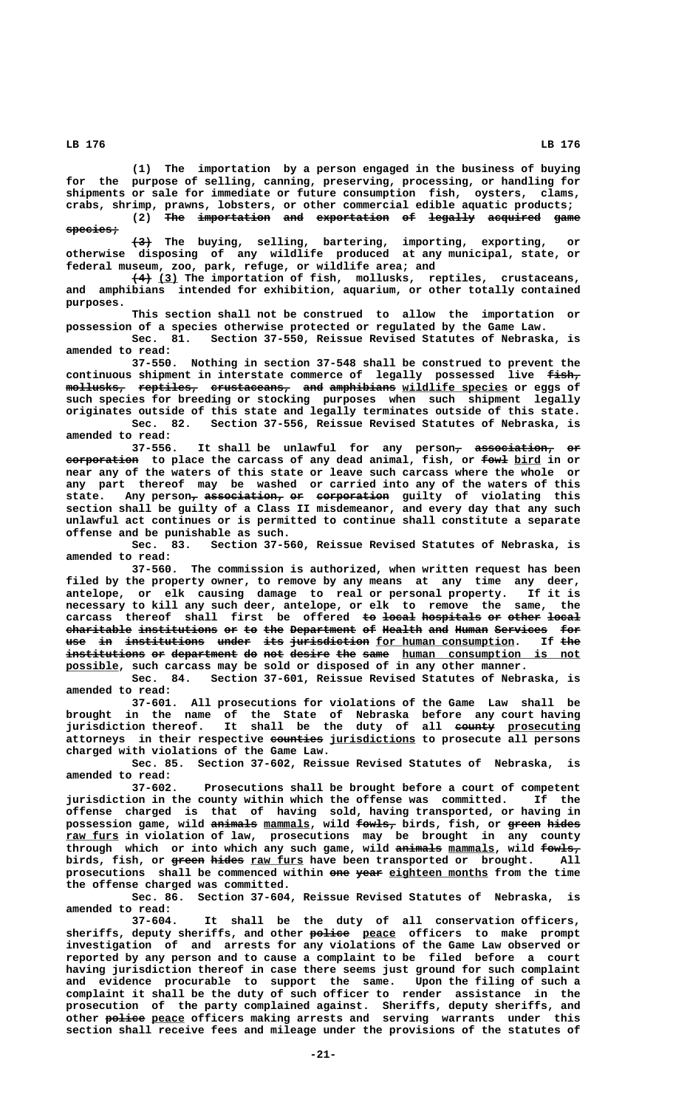**(1) The importation by a person engaged in the business of buying for the purpose of selling, canning, preserving, processing, or handling for shipments or sale for immediate or future consumption fish, oysters, clams, crabs, shrimp, prawns, lobsters, or other commercial edible aquatic products;**

(2) The importation and exportation of legally acquired game  **species; ————————**

 **——— (3) The buying, selling, bartering, importing, exporting, or otherwise disposing of any wildlife produced at any municipal, state, or federal museum, zoo, park, refuge, or wildlife area; and**

 **——— \_\_\_ (4) (3) The importation of fish, mollusks, reptiles, crustaceans, and amphibians intended for exhibition, aquarium, or other totally contained purposes.**

**This section shall not be construed to allow the importation or possession of a species otherwise protected or regulated by the Game Law.**

**Sec. 81. Section 37-550, Reissue Revised Statutes of Nebraska, is amended to read:**

**37-550. Nothing in section 37-548 shall be construed to prevent the** continuous shipment in interstate commerce of legally possessed live  $f$ ish,  $m$ ollusks, reptiles, crustaceans, and amphibians wildlife species or eggs of **such species for breeding or stocking purposes when such shipment legally originates outside of this state and legally terminates outside of this state. Sec. 82. Section 37-556, Reissue Revised Statutes of Nebraska, is**

**amended to read:**

It shall be unlawful for any person<sub>7</sub> association, or  **——————————— ———— \_\_\_\_ corporation to place the carcass of any dead animal, fish, or fowl bird in or near any of the waters of this state or leave such carcass where the whole or any part thereof may be washed or carried into any of the waters of this**  ${\tt state.}$  Any person<del>, association, or corporation</del> guilty of violating this **section shall be guilty of a Class II misdemeanor, and every day that any such unlawful act continues or is permitted to continue shall constitute a separate offense and be punishable as such.**

**Sec. 83. Section 37-560, Reissue Revised Statutes of Nebraska, is amended to read:**

**37-560. The commission is authorized, when written request has been filed by the property owner, to remove by any means at any time any deer, antelope, or elk causing damage to real or personal property. If it is necessary to kill any such deer, antelope, or elk to remove the same, the** carcass thereof shall first be offered <del>to local hospitals or other local</del>  $\frac{1}{2}$   $\frac{1}{2}$   $\frac{1}{2}$   $\frac{1}{2}$   $\frac{1}{2}$   $\frac{1}{2}$   $\frac{1}{2}$   $\frac{1}{2}$   $\frac{1}{2}$   $\frac{1}{2}$   $\frac{1}{2}$   $\frac{1}{2}$   $\frac{1}{2}$   $\frac{1}{2}$   $\frac{1}{2}$   $\frac{1}{2}$   $\frac{1}{2}$   $\frac{1}{2}$   $\frac{1}{2}$   $\frac{1}{2}$   $\frac{1}{2}$   $\frac{1}{2}$   $\$ use in institutions under its jurisdiction for human consumption. If the institutions or department do not desire the same human consumption is not  **\_\_\_\_\_\_\_\_ possible, such carcass may be sold or disposed of in any other manner.**

**Sec. 84. Section 37-601, Reissue Revised Statutes of Nebraska, is amended to read:**

**37-601. All prosecutions for violations of the Game Law shall be brought in the name of the State of Nebraska before any court having** jurisdiction thereof. It shall be the duty of all county prosecuting  $\overline{\text{at့} }$  **attorneys** in their respective <del>counties</del> jurisdictions to prosecute all persons **charged with violations of the Game Law.**

**Sec. 85. Section 37-602, Reissue Revised Statutes of Nebraska, is amended to read:**

**37-602. Prosecutions shall be brought before a court of competent jurisdiction in the county within which the offense was committed. If the offense charged is that of having sold, having transported, or having in ——————— \_\_\_\_\_\_\_ —————— ————— ————— possession game, wild animals mammals, wild fowls, birds, fish, or green hides \_\_\_\_\_\_\_\_ raw furs in violation of law, prosecutions may be brought in any county** through which or into which any such game, wild animals mammals, wild fowls<sub>r</sub> birds, fish, or green hides raw furs have been transported or brought. All prosecutions shall be commenced within one year eighteen months from the time **the offense charged was committed.**

**Sec. 86. Section 37-604, Reissue Revised Statutes of Nebraska, is amended to read:**

**37-604. It shall be the duty of all conservation officers,** sheriffs, deputy sheriffs, and other **police** peace officers to make prompt **investigation of and arrests for any violations of the Game Law observed or reported by any person and to cause a complaint to be filed before a court having jurisdiction thereof in case there seems just ground for such complaint and evidence procurable to support the same. Upon the filing of such a complaint it shall be the duty of such officer to render assistance in the prosecution of the party complained against. Sheriffs, deputy sheriffs, and —————— \_\_\_\_\_ other police peace officers making arrests and serving warrants under this section shall receive fees and mileage under the provisions of the statutes of**

 **LB 176 LB 176**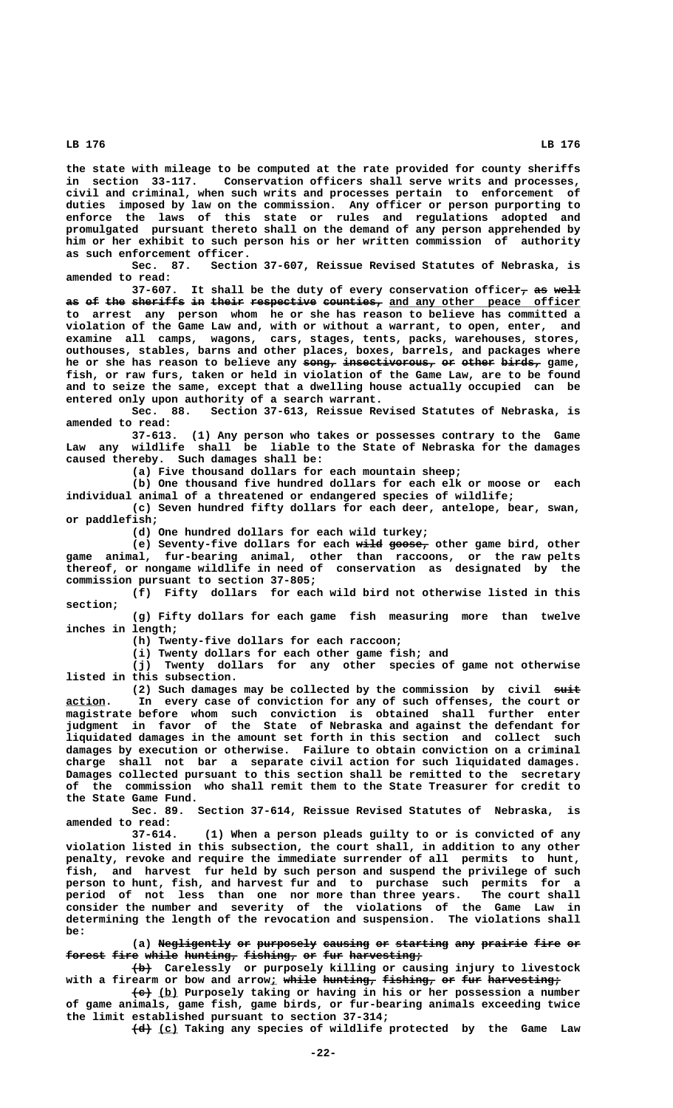**the state with mileage to be computed at the rate provided for county sheriffs in section 33-117. Conservation officers shall serve writs and processes, civil and criminal, when such writs and processes pertain to enforcement of duties imposed by law on the commission. Any officer or person purporting to enforce the laws of this state or rules and regulations adopted and promulgated pursuant thereto shall on the demand of any person apprehended by him or her exhibit to such person his or her written commission of authority as such enforcement officer.**

**Sec. 87. Section 37-607, Reissue Revised Statutes of Nebraska, is amended to read:**

37-607. It shall be the duty of every conservation officer<sub>7</sub> as well as of the sheriffs in their respective counties, and any other peace officer **to arrest any person whom he or she has reason to believe has committed a violation of the Game Law and, with or without a warrant, to open, enter, and examine all camps, wagons, cars, stages, tents, packs, warehouses, stores, outhouses, stables, barns and other places, boxes, barrels, and packages where** he or she has reason to believe any song, insectivorous, or other birds, game, **fish, or raw furs, taken or held in violation of the Game Law, are to be found and to seize the same, except that a dwelling house actually occupied can be entered only upon authority of a search warrant.**

**Sec. 88. Section 37-613, Reissue Revised Statutes of Nebraska, is amended to read:**

**37-613. (1) Any person who takes or possesses contrary to the Game Law any wildlife shall be liable to the State of Nebraska for the damages caused thereby. Such damages shall be:**

**(a) Five thousand dollars for each mountain sheep;**

**(b) One thousand five hundred dollars for each elk or moose or each individual animal of a threatened or endangered species of wildlife;**

**(c) Seven hundred fifty dollars for each deer, antelope, bear, swan, or paddlefish;**

**(d) One hundred dollars for each wild turkey;**

(e) Seventy-five dollars for each wild goose<sub>r</sub> other game bird, other **game animal, fur-bearing animal, other than raccoons, or the raw pelts thereof, or nongame wildlife in need of conservation as designated by the commission pursuant to section 37-805;**

**(f) Fifty dollars for each wild bird not otherwise listed in this section;**

**(g) Fifty dollars for each game fish measuring more than twelve inches in length;**

**(h) Twenty-five dollars for each raccoon;**

**(i) Twenty dollars for each other game fish; and**

**(j) Twenty dollars for any other species of game not otherwise listed in this subsection.**

(2) Such damages may be collected by the commission by civil suit **<u>action</u>. In every case of conviction for any of such offenses, the court or magistrate before whom such conviction is obtained shall further enter judgment in favor of the State of Nebraska and against the defendant for liquidated damages in the amount set forth in this section and collect such damages by execution or otherwise. Failure to obtain conviction on a criminal charge shall not bar a separate civil action for such liquidated damages. Damages collected pursuant to this section shall be remitted to the secretary of the commission who shall remit them to the State Treasurer for credit to the State Game Fund.**

**Sec. 89. Section 37-614, Reissue Revised Statutes of Nebraska, is amended to read:**

**37-614. (1) When a person pleads guilty to or is convicted of any violation listed in this subsection, the court shall, in addition to any other penalty, revoke and require the immediate surrender of all permits to hunt, fish, and harvest fur held by such person and suspend the privilege of such person to hunt, fish, and harvest fur and to purchase such permits for a period of not less than one nor more than three years. The court shall consider the number and severity of the violations of the Game Law in determining the length of the revocation and suspension. The violations shall be:**

(a) Negligently or purposely causing or starting any prairie fire or forest fire while hunting, fishing, or fur harvesting;

 **——— (b) Carelessly or purposely killing or causing injury to livestock** with a firearm or bow and arrow<u>;</u> w<del>hile hunting, fishing, or fur harvesting;</del>

 **——— \_\_\_ (c) (b) Purposely taking or having in his or her possession a number of game animals, game fish, game birds, or fur-bearing animals exceeding twice the limit established pursuant to section 37-314;**

 $\overline{+d}$  (c) Taking any species of wildlife protected by the Game Law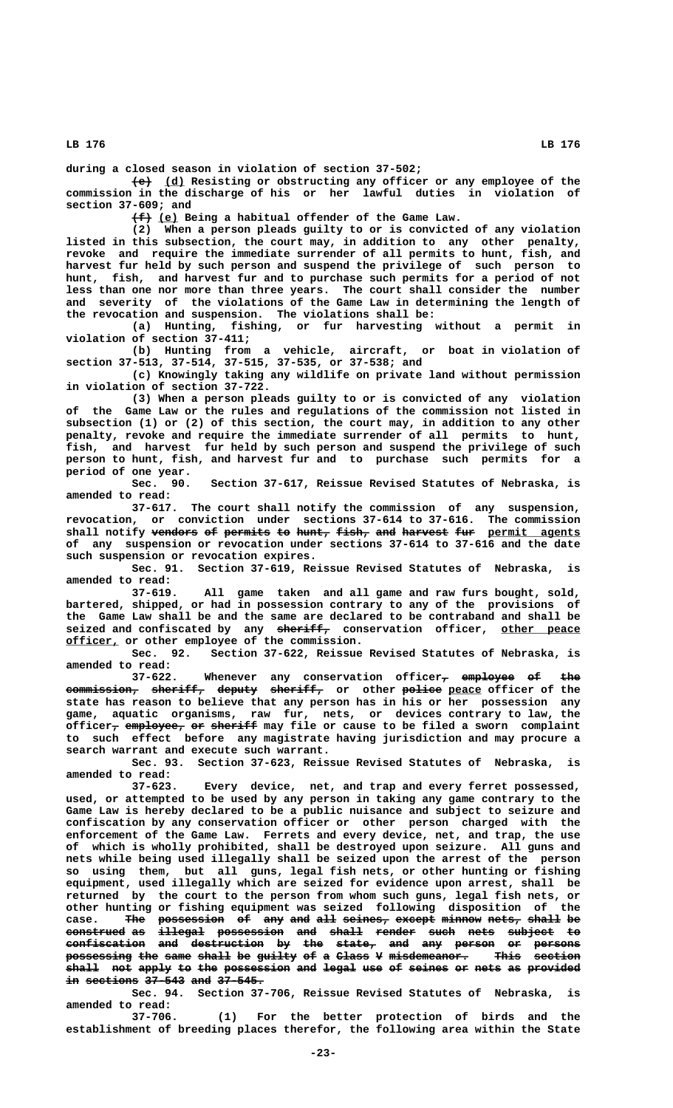**during a closed season in violation of section 37-502;**

 $\overline{e}$  (d) Resisting or obstructing any officer or any employee of the **commission in the discharge of his or her lawful duties in violation of section 37-609; and**

 $\{\text{f}\}\$  (e) Being a habitual offender of the Game Law.

**(2) When a person pleads guilty to or is convicted of any violation listed in this subsection, the court may, in addition to any other penalty, revoke and require the immediate surrender of all permits to hunt, fish, and harvest fur held by such person and suspend the privilege of such person to hunt, fish, and harvest fur and to purchase such permits for a period of not less than one nor more than three years. The court shall consider the number and severity of the violations of the Game Law in determining the length of the revocation and suspension. The violations shall be:**

**(a) Hunting, fishing, or fur harvesting without a permit in violation of section 37-411;**

**(b) Hunting from a vehicle, aircraft, or boat in violation of section 37-513, 37-514, 37-515, 37-535, or 37-538; and**

**(c) Knowingly taking any wildlife on private land without permission in violation of section 37-722.**

**(3) When a person pleads guilty to or is convicted of any violation of the Game Law or the rules and regulations of the commission not listed in subsection (1) or (2) of this section, the court may, in addition to any other penalty, revoke and require the immediate surrender of all permits to hunt, fish, and harvest fur held by such person and suspend the privilege of such person to hunt, fish, and harvest fur and to purchase such permits for a period of one year.**

**Sec. 90. Section 37-617, Reissue Revised Statutes of Nebraska, is amended to read:**

**37-617. The court shall notify the commission of any suspension, revocation, or conviction under sections 37-614 to 37-616. The commission** shall notify vendors of permits to hunt, fish, and harvest fur permit agents **of any suspension or revocation under sections 37-614 to 37-616 and the date such suspension or revocation expires.**

**Sec. 91. Section 37-619, Reissue Revised Statutes of Nebraska, is amended to read:**

**37-619. All game taken and all game and raw furs bought, sold, bartered, shipped, or had in possession contrary to any of the provisions of the Game Law shall be and the same are declared to be contraband and shall be** seized and confiscated by any sheriff, conservation officer, other peace  **\_\_\_\_\_\_\_\_ officer, or other employee of the commission.**

**Sec. 92. Section 37-622, Reissue Revised Statutes of Nebraska, is amended to read:**

**37-622.** Whenever any conservation officer<sub>7</sub> employee of the **commission, sheriff, deputy sheriff, or other police peace officer of the ——————————— ———————— —————— ———————— —————— \_\_\_\_\_ state has reason to believe that any person has in his or her possession any game, aquatic organisms, raw fur, nets, or devices contrary to law, the officer<sub>7</sub> employee<sub>7</sub> or sheriff may file or cause to be filed a sworn complaint to such effect before any magistrate having jurisdiction and may procure a search warrant and execute such warrant.**

**Sec. 93. Section 37-623, Reissue Revised Statutes of Nebraska, is amended to read:**

**37-623. Every device, net, and trap and every ferret possessed, used, or attempted to be used by any person in taking any game contrary to the Game Law is hereby declared to be a public nuisance and subject to seizure and confiscation by any conservation officer or other person charged with the enforcement of the Game Law. Ferrets and every device, net, and trap, the use of which is wholly prohibited, shall be destroyed upon seizure. All guns and nets while being used illegally shall be seized upon the arrest of the person so using them, but all guns, legal fish nets, or other hunting or fishing equipment, used illegally which are seized for evidence upon arrest, shall be returned by the court to the person from whom such guns, legal fish nets, or other hunting or fishing equipment was seized following disposition of the** case. The possession of any and all seines, except minnow nets, shall be **construed as illegal possession and shall render such nets subject to ————————— —— ——————— —————————— ——— ————— —————— ———— ———— ——————— — confiscation and destruction by the state, and any person or persons ———————————— ——— ——————————— —— ——— —————— ——— ——— —————— —— ——————** possessing the same shall be guilty of a Class V misdemeanor. This section shall not apply to the possession and legal use of seines or nets as provided **in sections 37-543 and 37-545.** 

**Sec. 94. Section 37-706, Reissue Revised Statutes of Nebraska, is amended to read:**

**37-706. (1) For the better protection of birds and the establishment of breeding places therefor, the following area within the State**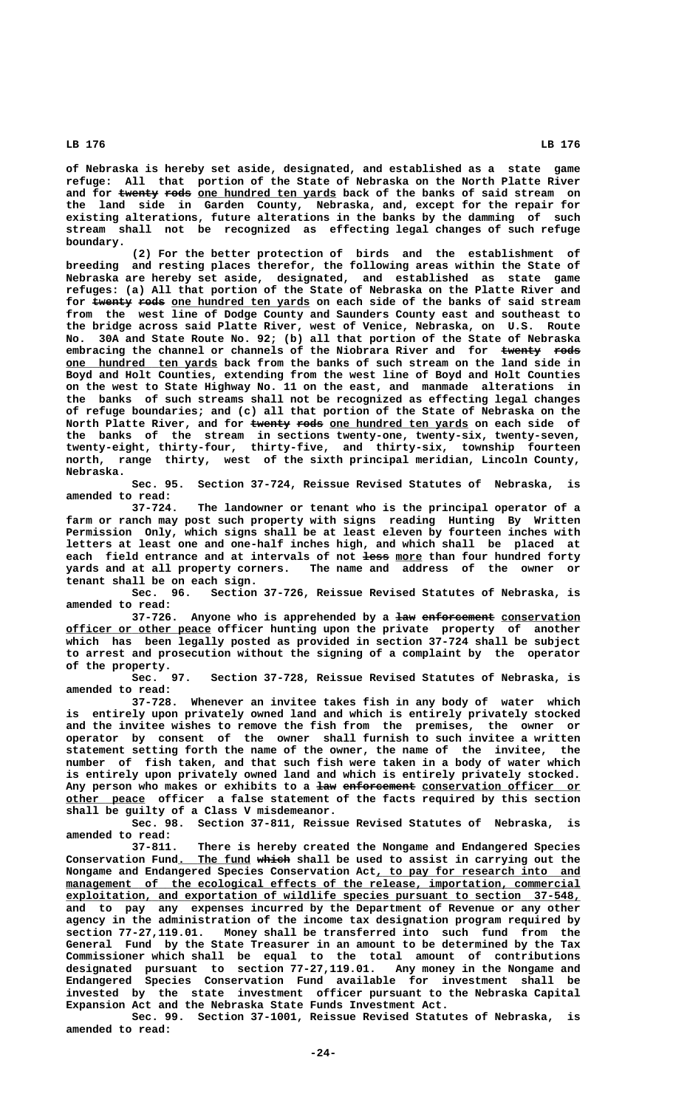**of Nebraska is hereby set aside, designated, and established as a state game refuge: All that portion of the State of Nebraska on the North Platte River** and for twenty rods one hundred ten yards back of the banks of said stream on **the land side in Garden County, Nebraska, and, except for the repair for existing alterations, future alterations in the banks by the damming of such stream shall not be recognized as effecting legal changes of such refuge boundary.**

**(2) For the better protection of birds and the establishment of breeding and resting places therefor, the following areas within the State of Nebraska are hereby set aside, designated, and established as state game refuges: (a) All that portion of the State of Nebraska on the Platte River and** for twenty rods one hundred ten yards on each side of the banks of said stream **from the west line of Dodge County and Saunders County east and southeast to the bridge across said Platte River, west of Venice, Nebraska, on U.S. Route No. 30A and State Route No. 92; (b) all that portion of the State of Nebraska** embracing the channel or channels of the Niobrara River and for twenty rode **one hundred ten yards back from the banks of such stream on the land side in Boyd and Holt Counties, extending from the west line of Boyd and Holt Counties on the west to State Highway No. 11 on the east, and manmade alterations in the banks of such streams shall not be recognized as effecting legal changes of refuge boundaries; and (c) all that portion of the State of Nebraska on the** North Platte River, and for twenty rods one hundred ten yards on each side of **the banks of the stream in sections twenty-one, twenty-six, twenty-seven, twenty-eight, thirty-four, thirty-five, and thirty-six, township fourteen north, range thirty, west of the sixth principal meridian, Lincoln County, Nebraska.**

**Sec. 95. Section 37-724, Reissue Revised Statutes of Nebraska, is amended to read:**

**37-724. The landowner or tenant who is the principal operator of a farm or ranch may post such property with signs reading Hunting By Written Permission Only, which signs shall be at least eleven by fourteen inches with letters at least one and one-half inches high, and which shall be placed at** each field entrance and at intervals of not less more than four hundred forty **yards and at all property corners. The name and address of the owner or tenant shall be on each sign.**

**Sec. 96. Section 37-726, Reissue Revised Statutes of Nebraska, is amended to read:**

37-726. Anyone who is apprehended by a <del>law enforcement</del> conservation  **\_\_\_\_\_\_\_\_\_\_\_\_\_\_\_\_\_\_\_\_\_\_ officer or other peace officer hunting upon the private property of another which has been legally posted as provided in section 37-724 shall be subject to arrest and prosecution without the signing of a complaint by the operator of the property.**

**Sec. 97. Section 37-728, Reissue Revised Statutes of Nebraska, is amended to read:**

**37-728. Whenever an invitee takes fish in any body of water which is entirely upon privately owned land and which is entirely privately stocked and the invitee wishes to remove the fish from the premises, the owner or operator by consent of the owner shall furnish to such invitee a written statement setting forth the name of the owner, the name of the invitee, the number of fish taken, and that such fish were taken in a body of water which is entirely upon privately owned land and which is entirely privately stocked.** Any person who makes or exhibits to a law enforcement conservation officer or  **\_\_\_\_\_\_\_\_\_\_\_\_ other peace officer a false statement of the facts required by this section shall be guilty of a Class V misdemeanor.**

**Sec. 98. Section 37-811, Reissue Revised Statutes of Nebraska, is amended to read:**

**37-811. There is hereby created the Nongame and Endangered Species** Conservation Fund. The fund which shall be used to assist in carrying out the Nongame and Endangered Species Conservation Act, to pay for research into and  $management$  of the ecological effects of the release, importation, commercial  **\_\_\_\_\_\_\_\_\_\_\_\_\_\_\_\_\_\_\_\_\_\_\_\_\_\_\_\_\_\_\_\_\_\_\_\_\_\_\_\_\_\_\_\_\_\_\_\_\_\_\_\_\_\_\_\_\_\_\_\_\_\_\_\_\_\_\_\_\_\_\_\_\_\_\_\_\_\_ exploitation, and exportation of wildlife species pursuant to section 37-548, and to pay any expenses incurred by the Department of Revenue or any other agency in the administration of the income tax designation program required by section 77-27,119.01. Money shall be transferred into such fund from the General Fund by the State Treasurer in an amount to be determined by the Tax Commissioner which shall be equal to the total amount of contributions designated pursuant to section 77-27,119.01. Any money in the Nongame and Endangered Species Conservation Fund available for investment shall be invested by the state investment officer pursuant to the Nebraska Capital Expansion Act and the Nebraska State Funds Investment Act.**

**Sec. 99. Section 37-1001, Reissue Revised Statutes of Nebraska, is amended to read:**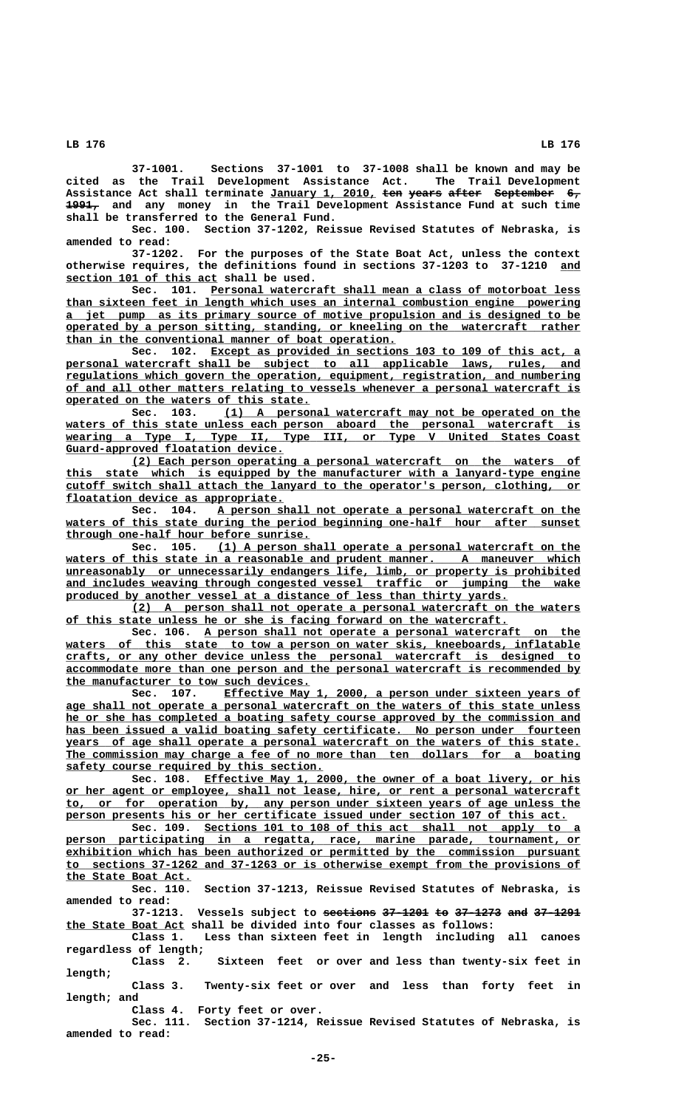**37-1001. Sections 37-1001 to 37-1008 shall be known and may be cited as the Trail Development Assistance Act. The Trail Development** Assistance Act shall terminate January 1, 2010, ten years after September 6,  **————— 1991, and any money in the Trail Development Assistance Fund at such time shall be transferred to the General Fund.**

**Sec. 100. Section 37-1202, Reissue Revised Statutes of Nebraska, is amended to read:**

**37-1202. For the purposes of the State Boat Act, unless the context otherwise requires, the definitions found in sections 37-1203 to 37-1210 and \_\_\_ \_\_\_\_\_\_\_\_\_\_\_\_\_\_\_\_\_\_\_\_\_\_\_ section 101 of this act shall be used.**

 **\_\_\_\_\_\_\_\_\_\_\_\_\_\_\_\_\_\_\_\_\_\_\_\_\_\_\_\_\_\_\_\_\_\_\_\_\_\_\_\_\_\_\_\_\_\_\_\_\_\_\_\_\_\_\_\_ Sec. 101. Personal watercraft shall mean a class of motorboat less \_\_\_\_\_\_\_\_\_\_\_\_\_\_\_\_\_\_\_\_\_\_\_\_\_\_\_\_\_\_\_\_\_\_\_\_\_\_\_\_\_\_\_\_\_\_\_\_\_\_\_\_\_\_\_\_\_\_\_\_\_\_\_\_\_\_\_\_\_\_\_\_\_\_\_\_\_\_ than sixteen feet in length which uses an internal combustion engine powering \_\_\_\_\_\_\_\_\_\_\_\_\_\_\_\_\_\_\_\_\_\_\_\_\_\_\_\_\_\_\_\_\_\_\_\_\_\_\_\_\_\_\_\_\_\_\_\_\_\_\_\_\_\_\_\_\_\_\_\_\_\_\_\_\_\_\_\_\_\_\_\_\_\_\_\_\_\_ a jet pump as its primary source of motive propulsion and is designed to be \_\_\_\_\_\_\_\_\_\_\_\_\_\_\_\_\_\_\_\_\_\_\_\_\_\_\_\_\_\_\_\_\_\_\_\_\_\_\_\_\_\_\_\_\_\_\_\_\_\_\_\_\_\_\_\_\_\_\_\_\_\_\_\_\_\_\_\_\_\_\_\_\_\_\_\_\_\_ operated by a person sitting, standing, or kneeling on the watercraft rather \_\_\_\_\_\_\_\_\_\_\_\_\_\_\_\_\_\_\_\_\_\_\_\_\_\_\_\_\_\_\_\_\_\_\_\_\_\_\_\_\_\_\_\_\_\_\_\_\_\_ than in the conventional manner of boat operation.**

Sec. 102. Except as provided in sections 103 to 109 of this act,  **\_\_\_\_\_\_\_\_\_\_\_\_\_\_\_\_\_\_\_\_\_\_\_\_\_\_\_\_\_\_\_\_\_\_\_\_\_\_\_\_\_\_\_\_\_\_\_\_\_\_\_\_\_\_\_\_\_\_\_\_\_\_\_\_\_\_\_\_\_\_\_\_\_\_\_\_\_\_ personal watercraft shall be subject to all applicable laws, rules, and \_\_\_\_\_\_\_\_\_\_\_\_\_\_\_\_\_\_\_\_\_\_\_\_\_\_\_\_\_\_\_\_\_\_\_\_\_\_\_\_\_\_\_\_\_\_\_\_\_\_\_\_\_\_\_\_\_\_\_\_\_\_\_\_\_\_\_\_\_\_\_\_\_\_\_\_\_\_ regulations which govern the operation, equipment, registration, and numbering \_\_\_\_\_\_\_\_\_\_\_\_\_\_\_\_\_\_\_\_\_\_\_\_\_\_\_\_\_\_\_\_\_\_\_\_\_\_\_\_\_\_\_\_\_\_\_\_\_\_\_\_\_\_\_\_\_\_\_\_\_\_\_\_\_\_\_\_\_\_\_\_\_\_\_\_\_\_ of and all other matters relating to vessels whenever a personal watercraft is \_\_\_\_\_\_\_\_\_\_\_\_\_\_\_\_\_\_\_\_\_\_\_\_\_\_\_\_\_\_\_\_\_\_\_\_\_ operated on the waters of this state.**

**sec.** 103. (1) A personal watercraft may not be operated on the waters of this state unless each person aboard the personal watercraft is  **\_\_\_\_\_\_\_\_\_\_\_\_\_\_\_\_\_\_\_\_\_\_\_\_\_\_\_\_\_\_\_\_\_\_\_\_\_\_\_\_\_\_\_\_\_\_\_\_\_\_\_\_\_\_\_\_\_\_\_\_\_\_\_\_\_\_\_\_\_\_\_\_\_\_\_\_\_\_ wearing a Type I, Type II, Type III, or Type V United States Coast \_\_\_\_\_\_\_\_\_\_\_\_\_\_\_\_\_\_\_\_\_\_\_\_\_\_\_\_\_\_\_\_\_ Guard-approved floatation device.**

 **\_\_\_\_\_\_\_\_\_\_\_\_\_\_\_\_\_\_\_\_\_\_\_\_\_\_\_\_\_\_\_\_\_\_\_\_\_\_\_\_\_\_\_\_\_\_\_\_\_\_\_\_\_\_\_\_\_\_\_\_\_\_\_\_\_\_\_\_ (2) Each person operating a personal watercraft on the waters of** this state which is equipped by the manufacturer with a lanyard-type engine  **\_\_\_\_\_\_\_\_\_\_\_\_\_\_\_\_\_\_\_\_\_\_\_\_\_\_\_\_\_\_\_\_\_\_\_\_\_\_\_\_\_\_\_\_\_\_\_\_\_\_\_\_\_\_\_\_\_\_\_\_\_\_\_\_\_\_\_\_\_\_\_\_\_\_\_\_\_\_ cutoff switch shall attach the lanyard to the operator's person, clothing, or \_\_\_\_\_\_\_\_\_\_\_\_\_\_\_\_\_\_\_\_\_\_\_\_\_\_\_\_\_\_\_\_\_ floatation device as appropriate.**

 **\_\_\_\_\_\_\_\_\_\_\_\_\_\_\_\_\_\_\_\_\_\_\_\_\_\_\_\_\_\_\_\_\_\_\_\_\_\_\_\_\_\_\_\_\_\_\_\_\_\_\_\_\_\_\_ Sec. 104. A person shall not operate a personal watercraft on the \_\_\_\_\_\_\_\_\_\_\_\_\_\_\_\_\_\_\_\_\_\_\_\_\_\_\_\_\_\_\_\_\_\_\_\_\_\_\_\_\_\_\_\_\_\_\_\_\_\_\_\_\_\_\_\_\_\_\_\_\_\_\_\_\_\_\_\_\_\_\_\_\_\_\_\_\_\_ waters of this state during the period beginning one-half hour after sunset through one-half hour before sunrise.**<br>Sec. 105. (1) A person sl

 **\_\_\_\_\_\_\_\_\_\_\_\_\_\_\_\_\_\_\_\_\_\_\_\_\_\_\_\_\_\_\_\_\_\_\_\_\_\_\_\_\_\_\_\_\_\_\_\_\_\_\_\_\_\_\_ Sec. 105. (1) A person shall operate a personal watercraft on the** waters of this state in a reasonable and prudent manner. A maneuver which  **\_\_\_\_\_\_\_\_\_\_\_\_\_\_\_\_\_\_\_\_\_\_\_\_\_\_\_\_\_\_\_\_\_\_\_\_\_\_\_\_\_\_\_\_\_\_\_\_\_\_\_\_\_\_\_\_\_\_\_\_\_\_\_\_\_\_\_\_\_\_\_\_\_\_\_\_\_\_ unreasonably or unnecessarily endangers life, limb, or property is prohibited \_\_\_\_\_\_\_\_\_\_\_\_\_\_\_\_\_\_\_\_\_\_\_\_\_\_\_\_\_\_\_\_\_\_\_\_\_\_\_\_\_\_\_\_\_\_\_\_\_\_\_\_\_\_\_\_\_\_\_\_\_\_\_\_\_\_\_\_\_\_\_\_\_\_\_\_\_\_ and includes weaving through congested vessel traffic or jumping the wake \_\_\_\_\_\_\_\_\_\_\_\_\_\_\_\_\_\_\_\_\_\_\_\_\_\_\_\_\_\_\_\_\_\_\_\_\_\_\_\_\_\_\_\_\_\_\_\_\_\_\_\_\_\_\_\_\_\_\_\_\_\_\_\_\_\_\_ produced by another vessel at a distance of less than thirty yards.**

 **\_\_\_\_\_\_\_\_\_\_\_\_\_\_\_\_\_\_\_\_\_\_\_\_\_\_\_\_\_\_\_\_\_\_\_\_\_\_\_\_\_\_\_\_\_\_\_\_\_\_\_\_\_\_\_\_\_\_\_\_\_\_\_\_\_\_\_\_ (2) A person shall not operate a personal watercraft on the waters \_\_\_\_\_\_\_\_\_\_\_\_\_\_\_\_\_\_\_\_\_\_\_\_\_\_\_\_\_\_\_\_\_\_\_\_\_\_\_\_\_\_\_\_\_\_\_\_\_\_\_\_\_\_\_\_\_\_\_\_\_\_\_\_\_\_\_ of this state unless he or she is facing forward on the watercraft.**

Sec. 106. A person shall not operate a personal watercraft on the waters of this state to tow a person on water skis, kneeboards, inflatable  **\_\_\_\_\_\_\_\_\_\_\_\_\_\_\_\_\_\_\_\_\_\_\_\_\_\_\_\_\_\_\_\_\_\_\_\_\_\_\_\_\_\_\_\_\_\_\_\_\_\_\_\_\_\_\_\_\_\_\_\_\_\_\_\_\_\_\_\_\_\_\_\_\_\_\_\_\_\_ crafts, or any other device unless the personal watercraft is designed to \_\_\_\_\_\_\_\_\_\_\_\_\_\_\_\_\_\_\_\_\_\_\_\_\_\_\_\_\_\_\_\_\_\_\_\_\_\_\_\_\_\_\_\_\_\_\_\_\_\_\_\_\_\_\_\_\_\_\_\_\_\_\_\_\_\_\_\_\_\_\_\_\_\_\_\_\_\_ accommodate more than one person and the personal watercraft is recommended by the manufacturer to tow such devices.**<br>Sec. 107. Effective May

**Effective May 1, 2000, a person under sixteen years of \_\_\_\_\_\_\_\_\_\_\_\_\_\_\_\_\_\_\_\_\_\_\_\_\_\_\_\_\_\_\_\_\_\_\_\_\_\_\_\_\_\_\_\_\_\_\_\_\_\_\_\_\_\_\_\_\_\_\_\_\_\_\_\_\_\_\_\_\_\_\_\_\_\_\_\_\_\_ age shall not operate a personal watercraft on the waters of this state unless \_\_\_\_\_\_\_\_\_\_\_\_\_\_\_\_\_\_\_\_\_\_\_\_\_\_\_\_\_\_\_\_\_\_\_\_\_\_\_\_\_\_\_\_\_\_\_\_\_\_\_\_\_\_\_\_\_\_\_\_\_\_\_\_\_\_\_\_\_\_\_\_\_\_\_\_\_\_ he or she has completed a boating safety course approved by the commission and \_\_\_\_\_\_\_\_\_\_\_\_\_\_\_\_\_\_\_\_\_\_\_\_\_\_\_\_\_\_\_\_\_\_\_\_\_\_\_\_\_\_\_\_\_\_\_\_\_\_\_\_\_\_\_\_\_\_\_\_\_\_\_\_\_\_\_\_\_\_\_\_\_\_\_\_\_\_ has been issued a valid boating safety certificate. No person under fourteen \_\_\_\_\_\_\_\_\_\_\_\_\_\_\_\_\_\_\_\_\_\_\_\_\_\_\_\_\_\_\_\_\_\_\_\_\_\_\_\_\_\_\_\_\_\_\_\_\_\_\_\_\_\_\_\_\_\_\_\_\_\_\_\_\_\_\_\_\_\_\_\_\_\_\_\_\_\_ years of age shall operate a personal watercraft on the waters of this state.** The commission may charge a fee of no more than ten dollars for a boating  **\_\_\_\_\_\_\_\_\_\_\_\_\_\_\_\_\_\_\_\_\_\_\_\_\_\_\_\_\_\_\_\_\_\_\_\_\_\_\_ safety course required by this section.**

Sec. 108. Effective May 1, 2000, the owner of a boat livery, or his  **\_\_\_\_\_\_\_\_\_\_\_\_\_\_\_\_\_\_\_\_\_\_\_\_\_\_\_\_\_\_\_\_\_\_\_\_\_\_\_\_\_\_\_\_\_\_\_\_\_\_\_\_\_\_\_\_\_\_\_\_\_\_\_\_\_\_\_\_\_\_\_\_\_\_\_\_\_\_ or her agent or employee, shall not lease, hire, or rent a personal watercraft \_\_\_\_\_\_\_\_\_\_\_\_\_\_\_\_\_\_\_\_\_\_\_\_\_\_\_\_\_\_\_\_\_\_\_\_\_\_\_\_\_\_\_\_\_\_\_\_\_\_\_\_\_\_\_\_\_\_\_\_\_\_\_\_\_\_\_\_\_\_\_\_\_\_\_\_\_\_ to, or for operation by, any person under sixteen years of age unless the \_\_\_\_\_\_\_\_\_\_\_\_\_\_\_\_\_\_\_\_\_\_\_\_\_\_\_\_\_\_\_\_\_\_\_\_\_\_\_\_\_\_\_\_\_\_\_\_\_\_\_\_\_\_\_\_\_\_\_\_\_\_\_\_\_\_\_\_\_\_\_\_\_\_\_\_ person presents his or her certificate issued under section 107 of this act.** Sec. 109. Sections 101 to 108 of this act shall not apply to a

 **\_\_\_\_\_\_\_\_\_\_\_\_\_\_\_\_\_\_\_\_\_\_\_\_\_\_\_\_\_\_\_\_\_\_\_\_\_\_\_\_\_\_\_\_\_\_\_\_\_\_\_\_\_\_\_\_\_\_\_\_\_\_\_\_\_\_\_\_\_\_\_\_\_\_\_\_\_\_ person participating in a regatta, race, marine parade, tournament, or \_\_\_\_\_\_\_\_\_\_\_\_\_\_\_\_\_\_\_\_\_\_\_\_\_\_\_\_\_\_\_\_\_\_\_\_\_\_\_\_\_\_\_\_\_\_\_\_\_\_\_\_\_\_\_\_\_\_\_\_\_\_\_\_\_\_\_\_\_\_\_\_\_\_\_\_\_\_ exhibition which has been authorized or permitted by the commission pursuant \_\_\_\_\_\_\_\_\_\_\_\_\_\_\_\_\_\_\_\_\_\_\_\_\_\_\_\_\_\_\_\_\_\_\_\_\_\_\_\_\_\_\_\_\_\_\_\_\_\_\_\_\_\_\_\_\_\_\_\_\_\_\_\_\_\_\_\_\_\_\_\_\_\_\_\_\_\_ to sections 37-1262 and 37-1263 or is otherwise exempt from the provisions of \_\_\_\_\_\_\_\_\_\_\_\_\_\_\_\_\_\_\_ the State Boat Act.**

**Sec. 110. Section 37-1213, Reissue Revised Statutes of Nebraska, is amended to read:**

**37-1213. Vessels subject to sections 37-1201 to 37-1273 and 37-1291 ———————— ——————— —— ——————— ——— ——————— \_\_\_\_\_\_\_\_\_\_\_\_\_\_\_\_\_\_ the State Boat Act shall be divided into four classes as follows:**

**Class 1. Less than sixteen feet in length including all canoes regardless of length;**

**Class 2. Sixteen feet or over and less than twenty-six feet in length;**

**Class 3. Twenty-six feet or over and less than forty feet in length; and**

**Class 4. Forty feet or over.**

**Sec. 111. Section 37-1214, Reissue Revised Statutes of Nebraska, is amended to read:**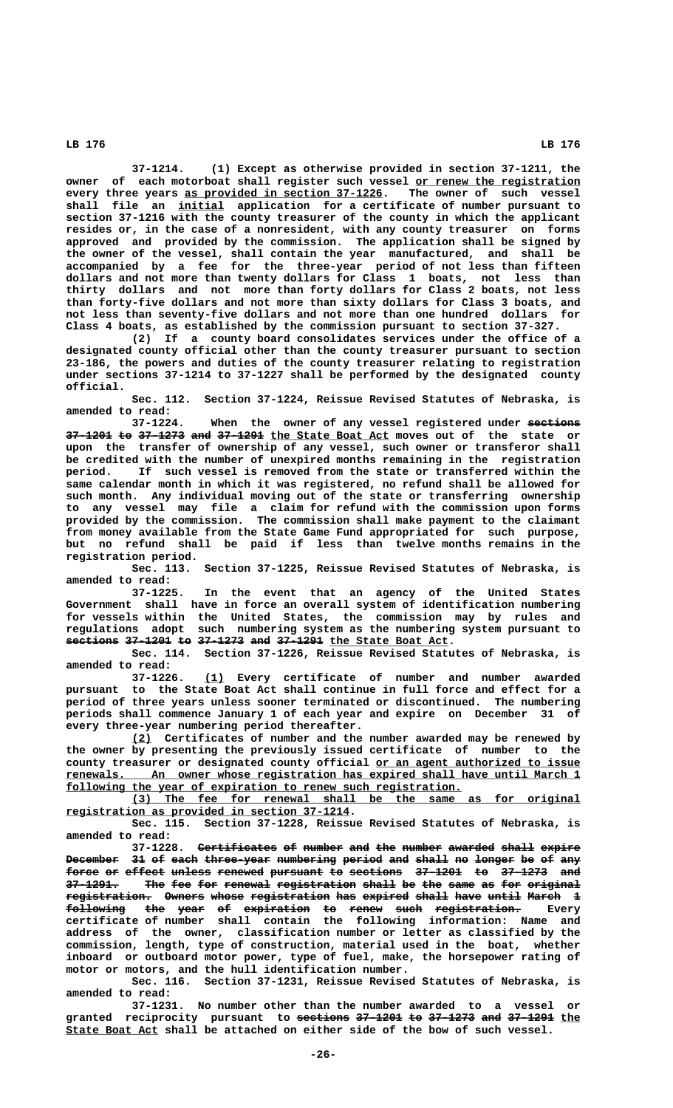**37-1214. (1) Except as otherwise provided in section 37-1211, the** owner of each motorboat shall register such vessel or renew the registration every three years as provided in section 37-1226. The owner of such vessel  **\_\_\_\_\_\_\_ shall file an initial application for a certificate of number pursuant to section 37-1216 with the county treasurer of the county in which the applicant resides or, in the case of a nonresident, with any county treasurer on forms approved and provided by the commission. The application shall be signed by the owner of the vessel, shall contain the year manufactured, and shall be accompanied by a fee for the three-year period of not less than fifteen dollars and not more than twenty dollars for Class 1 boats, not less than thirty dollars and not more than forty dollars for Class 2 boats, not less than forty-five dollars and not more than sixty dollars for Class 3 boats, and not less than seventy-five dollars and not more than one hundred dollars for Class 4 boats, as established by the commission pursuant to section 37-327.**

**(2) If a county board consolidates services under the office of a designated county official other than the county treasurer pursuant to section 23-186, the powers and duties of the county treasurer relating to registration under sections 37-1214 to 37-1227 shall be performed by the designated county official.**

**Sec. 112. Section 37-1224, Reissue Revised Statutes of Nebraska, is amended to read:**

37-1224. When the owner of any vessel registered under sections **37-1201 to 37-1273 and 37-1291 the State Boat Act moves out of the state or ——————— —— ——————— ——— ——————— \_\_\_\_\_\_\_\_\_\_\_\_\_\_\_\_\_\_ upon the transfer of ownership of any vessel, such owner or transferor shall be credited with the number of unexpired months remaining in the registration period. If such vessel is removed from the state or transferred within the same calendar month in which it was registered, no refund shall be allowed for such month. Any individual moving out of the state or transferring ownership to any vessel may file a claim for refund with the commission upon forms provided by the commission. The commission shall make payment to the claimant from money available from the State Game Fund appropriated for such purpose, but no refund shall be paid if less than twelve months remains in the registration period.**

**Sec. 113. Section 37-1225, Reissue Revised Statutes of Nebraska, is amended to read:**

**37-1225. In the event that an agency of the United States Government shall have in force an overall system of identification numbering for vessels within the United States, the commission may by rules and regulations adopt such numbering system as the numbering system pursuant to sections 37-1201 to 37-1273 and 37-1291** the State Boat Act.

**Sec. 114. Section 37-1226, Reissue Revised Statutes of Nebraska, is amended to read:**

 **\_\_\_ 37-1226. (1) Every certificate of number and number awarded pursuant to the State Boat Act shall continue in full force and effect for a period of three years unless sooner terminated or discontinued. The numbering periods shall commence January 1 of each year and expire on December 31 of every three-year numbering period thereafter.**

 **\_\_\_ (2) Certificates of number and the number awarded may be renewed by the owner by presenting the previously issued certificate of number to the** county treasurer or designated county official or an agent authorized to issue  **\_\_\_\_\_\_\_\_\_\_\_\_\_\_\_\_\_\_\_\_\_\_\_\_\_\_\_\_\_\_\_\_\_\_\_\_\_\_\_\_\_\_\_\_\_\_\_\_\_\_\_\_\_\_\_\_\_\_\_\_\_\_\_\_\_\_\_\_\_\_\_\_\_\_\_\_\_\_ renewals. An owner whose registration has expired shall have until March 1** following the year of expiration to renew such registration.

 **\_\_\_\_\_\_\_\_\_\_\_\_\_\_\_\_\_\_\_\_\_\_\_\_\_\_\_\_\_\_\_\_\_\_\_\_\_\_\_\_\_\_\_\_\_\_\_\_\_\_\_\_\_\_\_\_\_\_\_\_\_\_\_\_\_\_\_\_ (3) The fee for renewal shall be the same as for original \_\_\_\_\_\_\_\_\_\_\_\_\_\_\_\_\_\_\_\_\_\_\_\_\_\_\_\_\_\_\_\_\_\_\_\_\_\_\_\_\_\_\_ registration as provided in section 37-1214.**

**Sec. 115. Section 37-1228, Reissue Revised Statutes of Nebraska, is amended to read:**

**37-1228.** Certificates of number and the number awarded shall expire Becember 31 of each three-year numbering period and shall no longer be of any **force or effect unless renewed pursuant to sections 37-1201 to 37-1273 and ————— —— —————— —————— ——————— ———————— —— ———————— ——————— —— ——————— ———** 37-1291. The fee for renewal registration shall be the same as for original  ${\tt registration.}$  Owners whose registration has expired shall have until March 1  $\texttt{following}$  t<del>h</del>e <del>year</del> <del>of expiration to renew such registration.</del> Every **certificate of number shall contain the following information: Name and address of the owner, classification number or letter as classified by the commission, length, type of construction, material used in the boat, whether inboard or outboard motor power, type of fuel, make, the horsepower rating of motor or motors, and the hull identification number.**

**Sec. 116. Section 37-1231, Reissue Revised Statutes of Nebraska, is amended to read:**

**37-1231. No number other than the number awarded to a vessel or** granted reciprocity pursuant to <del>sections 37-1201 to 37-1273 and 37-1291</del> the  **\_\_\_\_\_\_\_\_\_\_\_\_\_\_ State Boat Act shall be attached on either side of the bow of such vessel.**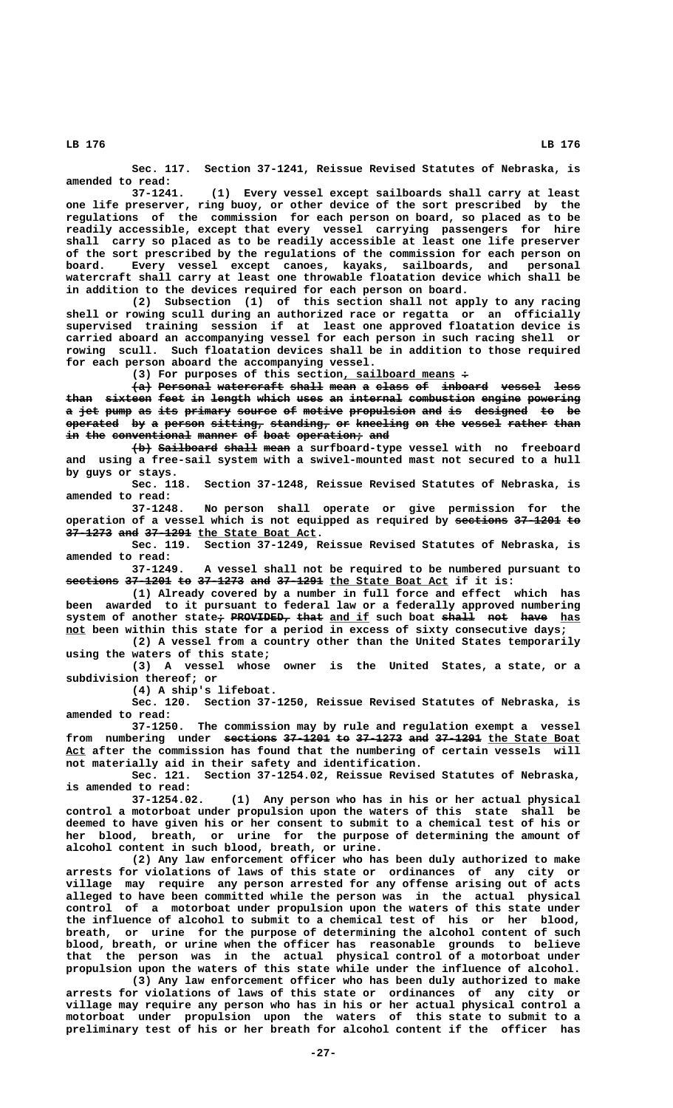**Sec. 117. Section 37-1241, Reissue Revised Statutes of Nebraska, is amended to read:**

**37-1241. (1) Every vessel except sailboards shall carry at least one life preserver, ring buoy, or other device of the sort prescribed by the regulations of the commission for each person on board, so placed as to be readily accessible, except that every vessel carrying passengers for hire shall carry so placed as to be readily accessible at least one life preserver of the sort prescribed by the regulations of the commission for each person on board. Every vessel except canoes, kayaks, sailboards, and personal watercraft shall carry at least one throwable floatation device which shall be in addition to the devices required for each person on board.**

**(2) Subsection (1) of this section shall not apply to any racing shell or rowing scull during an authorized race or regatta or an officially supervised training session if at least one approved floatation device is carried aboard an accompanying vessel for each person in such racing shell or rowing scull. Such floatation devices shall be in addition to those required for each person aboard the accompanying vessel.**

 **\_\_\_\_\_\_\_\_\_\_\_\_\_\_\_\_\_ — (3) For purposes of this section, sailboard means :**

 $\{a\}$  Personal watercraft shall mean a class of inboard vessel less than sixteen feet in length which uses an internal combustion engine powering a jet pump as its primary source of motive propulsion and is designed to be **operated** by a person sitting, standing, or kneeling on the vessel rather than in the conventional manner of boat operation; and

 $\{\pm\}$  Sailboard shall mean a surfboard-type vessel with no freeboard **and using a free-sail system with a swivel-mounted mast not secured to a hull by guys or stays.**

**Sec. 118. Section 37-1248, Reissue Revised Statutes of Nebraska, is amended to read:**

**37-1248. No person shall operate or give permission for the operation of a vessel which is not equipped as required by sestions 37-1201 to**  $37-1273$  and  $37-1291$  the State Boat Act.

**Sec. 119. Section 37-1249, Reissue Revised Statutes of Nebraska, is amended to read:**

**37-1249. A vessel shall not be required to be numbered pursuant to sections 37-1201 to 37-1273 and 37-1291** <u>the State Boat Act</u> if it is:

**(1) Already covered by a number in full force and effect which has been awarded to it pursuant to federal law or a federally approved numbering** system of another state<del>;</del> PROVIDED, that and if such boat shall not have has  **\_\_\_ not been within this state for a period in excess of sixty consecutive days;**

**(2) A vessel from a country other than the United States temporarily using the waters of this state;**

**(3) A vessel whose owner is the United States, a state, or a subdivision thereof; or**

**(4) A ship's lifeboat.**

**Sec. 120. Section 37-1250, Reissue Revised Statutes of Nebraska, is amended to read:**

**37-1250. The commission may by rule and regulation exempt a vessel** from numbering under <del>sections 37-1201 to 37-1273 and 37-1291</del> the State Boat Act after the commission has found that the numbering of certain vessels will **not materially aid in their safety and identification.**

**Sec. 121. Section 37-1254.02, Reissue Revised Statutes of Nebraska, is amended to read:**

**37-1254.02. (1) Any person who has in his or her actual physical control a motorboat under propulsion upon the waters of this state shall be deemed to have given his or her consent to submit to a chemical test of his or her blood, breath, or urine for the purpose of determining the amount of alcohol content in such blood, breath, or urine.**

**(2) Any law enforcement officer who has been duly authorized to make arrests for violations of laws of this state or ordinances of any city or village may require any person arrested for any offense arising out of acts alleged to have been committed while the person was in the actual physical control of a motorboat under propulsion upon the waters of this state under the influence of alcohol to submit to a chemical test of his or her blood, breath, or urine for the purpose of determining the alcohol content of such blood, breath, or urine when the officer has reasonable grounds to believe that the person was in the actual physical control of a motorboat under propulsion upon the waters of this state while under the influence of alcohol.**

**(3) Any law enforcement officer who has been duly authorized to make arrests for violations of laws of this state or ordinances of any city or village may require any person who has in his or her actual physical control a motorboat under propulsion upon the waters of this state to submit to a preliminary test of his or her breath for alcohol content if the officer has**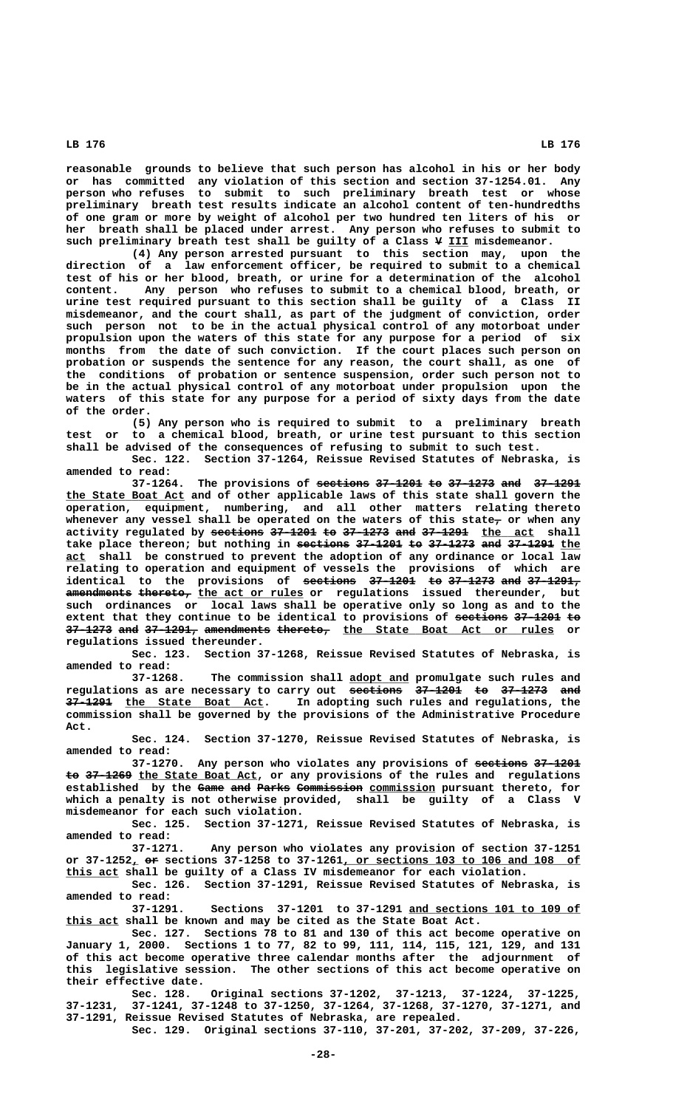**reasonable grounds to believe that such person has alcohol in his or her body or has committed any violation of this section and section 37-1254.01. Any person who refuses to submit to such preliminary breath test or whose preliminary breath test results indicate an alcohol content of ten-hundredths of one gram or more by weight of alcohol per two hundred ten liters of his or her breath shall be placed under arrest. Any person who refuses to submit to**

such preliminary breath test shall be guilty of a Class  $\Psi$  III misdemeanor. **(4) Any person arrested pursuant to this section may, upon the direction of a law enforcement officer, be required to submit to a chemical test of his or her blood, breath, or urine for a determination of the alcohol content. Any person who refuses to submit to a chemical blood, breath, or urine test required pursuant to this section shall be guilty of a Class II misdemeanor, and the court shall, as part of the judgment of conviction, order such person not to be in the actual physical control of any motorboat under propulsion upon the waters of this state for any purpose for a period of six months from the date of such conviction. If the court places such person on probation or suspends the sentence for any reason, the court shall, as one of the conditions of probation or sentence suspension, order such person not to be in the actual physical control of any motorboat under propulsion upon the waters of this state for any purpose for a period of sixty days from the date of the order.**

**(5) Any person who is required to submit to a preliminary breath test or to a chemical blood, breath, or urine test pursuant to this section shall be advised of the consequences of refusing to submit to such test.**

**Sec. 122. Section 37-1264, Reissue Revised Statutes of Nebraska, is amended to read:**

**37-1264. The provisions of sections 37-1201 to 37-1273 and 37-1291 ———————— ——————— —— ——————— ——— ——————— \_\_\_\_\_\_\_\_\_\_\_\_\_\_\_\_\_\_ the State Boat Act and of other applicable laws of this state shall govern the operation, equipment, numbering, and all other matters relating thereto** whenever any vessel shall be operated on the waters of this state<sub>7</sub> or when any **activity regulated by sections 37-1201 to 37-1273 and 37-1291 the act shall ———————— ——————— —— ——————— ——— ——————— \_\_\_\_\_\_\_\_** take place thereon; but nothing in sections 37-1201 to 37-1273 and 37-1291 the  **\_\_\_ act shall be construed to prevent the adoption of any ordinance or local law relating to operation and equipment of vessels the provisions of which are identical to the provisions of <del>sections</del> 37-1201 to 37-1273 and 37-1291,**  $a$ mendments thereto, the act or rules or regulations issued thereunder, but **such ordinances or local laws shall be operative only so long as and to the** extent that they continue to be identical to provisions of sections 37-1201 to 37-1273 and 37-1291, amendments thereto, the State Boat Act or rules or **regulations issued thereunder.**

**Sec. 123. Section 37-1268, Reissue Revised Statutes of Nebraska, is amended to read:**

 **\_\_\_\_\_\_\_\_\_ 37-1268. The commission shall adopt and promulgate such rules and** regulations as are necessary to carry out <del>sections 37-1201 to 37-1273 and</del>  **——————— \_\_\_\_\_\_\_\_\_\_\_\_\_\_\_\_\_\_\_\_\_ 37-1291 the State Boat Act. In adopting such rules and regulations, the commission shall be governed by the provisions of the Administrative Procedure Act.**

**Sec. 124. Section 37-1270, Reissue Revised Statutes of Nebraska, is amended to read:**

37-1270. Any person who violates any provisions of sections 37-1201 to 37-1269 the State Boat Act, or any provisions of the rules and regulations established by the Game and Parks Commission commission pursuant thereto, for **which a penalty is not otherwise provided, shall be guilty of a Class V misdemeanor for each such violation.**

**Sec. 125. Section 37-1271, Reissue Revised Statutes of Nebraska, is amended to read:**

**37-1271. Any person who violates any provision of section 37-1251 \_ —— \_\_\_\_\_\_\_\_\_\_\_\_\_\_\_\_\_\_\_\_\_\_\_\_\_\_\_\_\_\_\_\_\_\_\_\_ or 37-1252, or sections 37-1258 to 37-1261, or sections 103 to 106 and 108 of \_\_\_\_\_\_\_\_ this act shall be guilty of a Class IV misdemeanor for each violation.**

**Sec. 126. Section 37-1291, Reissue Revised Statutes of Nebraska, is amended to read:**

**37-1291. Sections 37-1201 to 37-1291 and sections 101 to 109 of \_\_\_\_\_\_\_\_\_\_\_\_\_\_\_\_\_\_\_\_\_\_\_\_\_\_ \_\_\_\_\_\_\_\_ this act shall be known and may be cited as the State Boat Act.**

**Sec. 127. Sections 78 to 81 and 130 of this act become operative on January 1, 2000. Sections 1 to 77, 82 to 99, 111, 114, 115, 121, 129, and 131 of this act become operative three calendar months after the adjournment of this legislative session. The other sections of this act become operative on their effective date.**

**Sec. 128. Original sections 37-1202, 37-1213, 37-1224, 37-1225, 37-1231, 37-1241, 37-1248 to 37-1250, 37-1264, 37-1268, 37-1270, 37-1271, and 37-1291, Reissue Revised Statutes of Nebraska, are repealed.**

**Sec. 129. Original sections 37-110, 37-201, 37-202, 37-209, 37-226,**